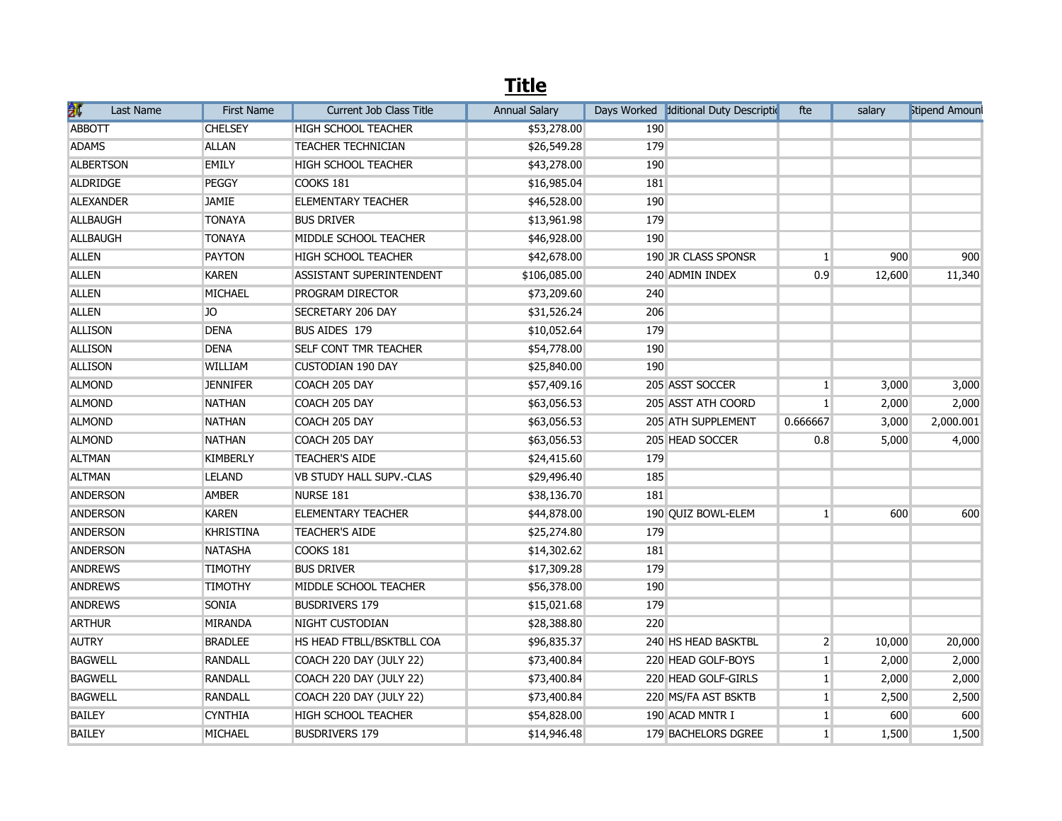## **Title**

| 扩<br>Last Name   | <b>First Name</b> | <b>Current Job Class Title</b> | <b>Annual Salary</b> |     | Days Worked diditional Duty Description | fte            | salary | <b>Stipend Amoun</b> |
|------------------|-------------------|--------------------------------|----------------------|-----|-----------------------------------------|----------------|--------|----------------------|
| <b>ABBOTT</b>    | <b>CHELSEY</b>    | <b>HIGH SCHOOL TEACHER</b>     | \$53,278.00          | 190 |                                         |                |        |                      |
| <b>ADAMS</b>     | <b>ALLAN</b>      | <b>TEACHER TECHNICIAN</b>      | \$26,549.28          | 179 |                                         |                |        |                      |
| <b>ALBERTSON</b> | <b>EMILY</b>      | <b>HIGH SCHOOL TEACHER</b>     | \$43,278.00          | 190 |                                         |                |        |                      |
| ALDRIDGE         | <b>PEGGY</b>      | COOKS 181                      | \$16,985.04          | 181 |                                         |                |        |                      |
| <b>ALEXANDER</b> | <b>JAMIE</b>      | <b>ELEMENTARY TEACHER</b>      | \$46,528.00          | 190 |                                         |                |        |                      |
| <b>ALLBAUGH</b>  | <b>TONAYA</b>     | <b>BUS DRIVER</b>              | \$13,961.98          | 179 |                                         |                |        |                      |
| <b>ALLBAUGH</b>  | <b>TONAYA</b>     | MIDDLE SCHOOL TEACHER          | \$46,928.00          | 190 |                                         |                |        |                      |
| <b>ALLEN</b>     | <b>PAYTON</b>     | <b>HIGH SCHOOL TEACHER</b>     | \$42,678.00          |     | 190 JR CLASS SPONSR                     | 1 <sup>1</sup> | 900    | 900                  |
| <b>ALLEN</b>     | <b>KAREN</b>      | ASSISTANT SUPERINTENDENT       | \$106,085.00         |     | 240 ADMIN INDEX                         | 0.9            | 12,600 | 11,340               |
| <b>ALLEN</b>     | MICHAEL           | PROGRAM DIRECTOR               | \$73,209.60          | 240 |                                         |                |        |                      |
| <b>ALLEN</b>     | JO                | SECRETARY 206 DAY              | \$31,526.24          | 206 |                                         |                |        |                      |
| <b>ALLISON</b>   | <b>DENA</b>       | BUS AIDES 179                  | \$10,052.64          | 179 |                                         |                |        |                      |
| <b>ALLISON</b>   | <b>DENA</b>       | SELF CONT TMR TEACHER          | \$54,778.00          | 190 |                                         |                |        |                      |
| <b>ALLISON</b>   | WILLIAM           | <b>CUSTODIAN 190 DAY</b>       | \$25,840.00          | 190 |                                         |                |        |                      |
| <b>ALMOND</b>    | <b>JENNIFER</b>   | COACH 205 DAY                  | \$57,409.16          |     | 205 ASST SOCCER                         | $\mathbf{1}$   | 3,000  | 3,000                |
| <b>ALMOND</b>    | <b>NATHAN</b>     | COACH 205 DAY                  | \$63,056.53          |     | 205 ASST ATH COORD                      | 1 <sup>1</sup> | 2,000  | 2,000                |
| <b>ALMOND</b>    | <b>NATHAN</b>     | COACH 205 DAY                  | \$63,056.53          |     | 205 ATH SUPPLEMENT                      | 0.666667       | 3,000  | 2,000.001            |
| <b>ALMOND</b>    | <b>NATHAN</b>     | COACH 205 DAY                  | \$63,056.53          |     | 205 HEAD SOCCER                         | 0.8            | 5,000  | 4,000                |
| <b>ALTMAN</b>    | <b>KIMBERLY</b>   | <b>TEACHER'S AIDE</b>          | \$24,415.60          | 179 |                                         |                |        |                      |
| <b>ALTMAN</b>    | <b>LELAND</b>     | VB STUDY HALL SUPV.-CLAS       | \$29,496.40          | 185 |                                         |                |        |                      |
| <b>ANDERSON</b>  | <b>AMBER</b>      | NURSE 181                      | \$38,136.70          | 181 |                                         |                |        |                      |
| <b>ANDERSON</b>  | <b>KAREN</b>      | <b>ELEMENTARY TEACHER</b>      | \$44,878.00          |     | 190 QUIZ BOWL-ELEM                      | 1 <sup>1</sup> | 600    | 600                  |
| <b>ANDERSON</b>  | <b>KHRISTINA</b>  | <b>TEACHER'S AIDE</b>          | \$25,274.80          | 179 |                                         |                |        |                      |
| <b>ANDERSON</b>  | <b>NATASHA</b>    | COOKS 181                      | \$14,302.62          | 181 |                                         |                |        |                      |
| <b>ANDREWS</b>   | <b>TIMOTHY</b>    | <b>BUS DRIVER</b>              | \$17,309.28          | 179 |                                         |                |        |                      |
| <b>ANDREWS</b>   | TIMOTHY           | MIDDLE SCHOOL TEACHER          | \$56,378.00          | 190 |                                         |                |        |                      |
| <b>ANDREWS</b>   | SONIA             | <b>BUSDRIVERS 179</b>          | \$15,021.68          | 179 |                                         |                |        |                      |
| <b>ARTHUR</b>    | <b>MIRANDA</b>    | NIGHT CUSTODIAN                | \$28,388.80          | 220 |                                         |                |        |                      |
| <b>AUTRY</b>     | <b>BRADLEE</b>    | HS HEAD FTBLL/BSKTBLL COA      | \$96,835.37          |     | 240 HS HEAD BASKTBL                     | $\overline{2}$ | 10,000 | 20,000               |
| <b>BAGWELL</b>   | <b>RANDALL</b>    | COACH 220 DAY (JULY 22)        | \$73,400.84          |     | 220 HEAD GOLF-BOYS                      | 1 <sup>1</sup> | 2,000  | 2,000                |
| <b>BAGWELL</b>   | <b>RANDALL</b>    | COACH 220 DAY (JULY 22)        | \$73,400.84          |     | 220 HEAD GOLF-GIRLS                     | $\mathbf{1}$   | 2,000  | 2,000                |
| <b>BAGWELL</b>   | <b>RANDALL</b>    | COACH 220 DAY (JULY 22)        | \$73,400.84          |     | 220 MS/FA AST BSKTB                     | 1 <sup>1</sup> | 2,500  | 2,500                |
| <b>BAILEY</b>    | <b>CYNTHIA</b>    | <b>HIGH SCHOOL TEACHER</b>     | \$54,828.00          |     | 190 ACAD MNTR I                         | 1 <sup>1</sup> | 600    | 600                  |
| <b>BAILEY</b>    | <b>MICHAEL</b>    | <b>BUSDRIVERS 179</b>          | \$14,946.48          |     | 179 BACHELORS DGREE                     | 1              | 1,500  | 1,500                |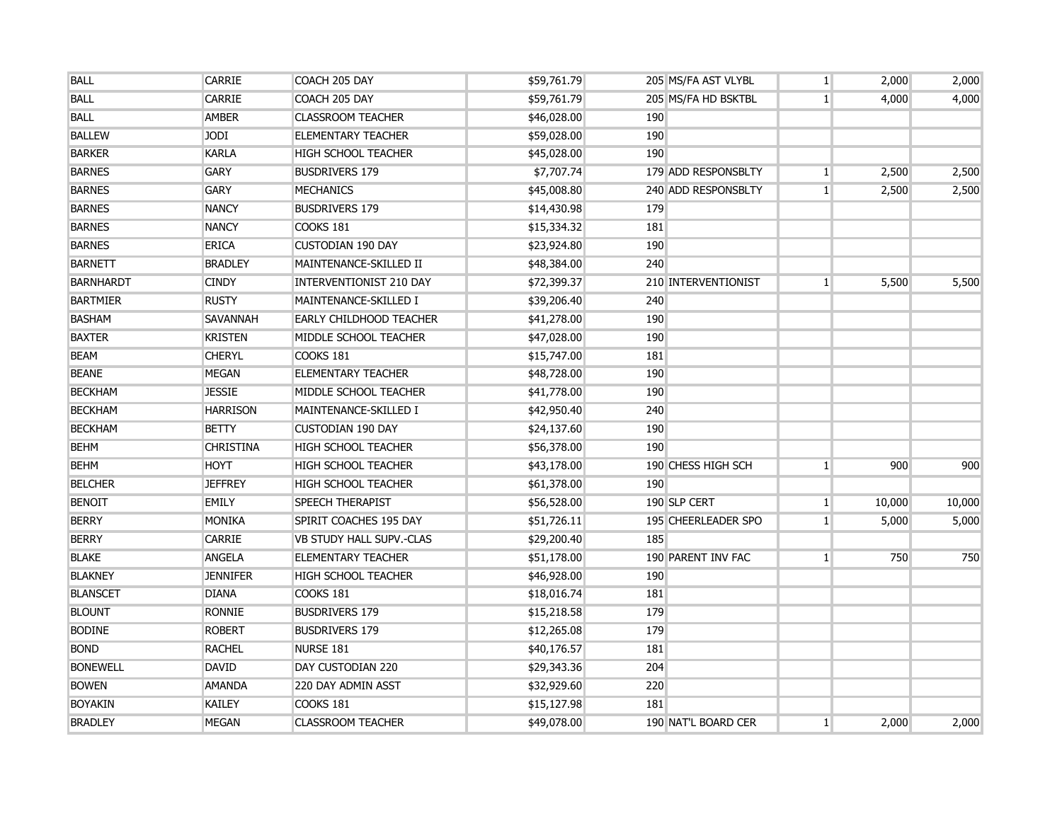| <b>BALL</b>      | CARRIE           | COACH 205 DAY                  | \$59,761.79 |            | 205 MS/FA AST VLYBL | $\mathbf{1}$   | 2,000  | 2,000  |
|------------------|------------------|--------------------------------|-------------|------------|---------------------|----------------|--------|--------|
| <b>BALL</b>      | <b>CARRIE</b>    | COACH 205 DAY                  | \$59,761.79 |            | 205 MS/FA HD BSKTBL | 1 <sup>1</sup> | 4,000  | 4,000  |
| <b>BALL</b>      | <b>AMBER</b>     | <b>CLASSROOM TEACHER</b>       | \$46,028.00 | 190        |                     |                |        |        |
| <b>BALLEW</b>    | <b>JODI</b>      | <b>ELEMENTARY TEACHER</b>      | \$59,028.00 | 190        |                     |                |        |        |
| <b>BARKER</b>    | <b>KARLA</b>     | <b>HIGH SCHOOL TEACHER</b>     | \$45,028.00 | 190        |                     |                |        |        |
| <b>BARNES</b>    | <b>GARY</b>      | <b>BUSDRIVERS 179</b>          | \$7,707.74  |            | 179 ADD RESPONSBLTY | $\mathbf{1}$   | 2,500  | 2,500  |
| <b>BARNES</b>    | <b>GARY</b>      | <b>MECHANICS</b>               | \$45,008.80 |            | 240 ADD RESPONSBLTY | 1 <sup>1</sup> | 2,500  | 2,500  |
| <b>BARNES</b>    | <b>NANCY</b>     | <b>BUSDRIVERS 179</b>          | \$14,430.98 | 179        |                     |                |        |        |
| <b>BARNES</b>    | <b>NANCY</b>     | COOKS 181                      | \$15,334.32 | <b>181</b> |                     |                |        |        |
| <b>BARNES</b>    | <b>ERICA</b>     | <b>CUSTODIAN 190 DAY</b>       | \$23,924.80 | 190        |                     |                |        |        |
| <b>BARNETT</b>   | <b>BRADLEY</b>   | MAINTENANCE-SKILLED II         | \$48,384.00 | 240        |                     |                |        |        |
| <b>BARNHARDT</b> | <b>CINDY</b>     | <b>INTERVENTIONIST 210 DAY</b> | \$72,399.37 |            | 210 INTERVENTIONIST | 1 <sup>1</sup> | 5,500  | 5,500  |
| <b>BARTMIER</b>  | RUSTY            | MAINTENANCE-SKILLED I          | \$39,206.40 | 240        |                     |                |        |        |
| <b>BASHAM</b>    | SAVANNAH         | <b>EARLY CHILDHOOD TEACHER</b> | \$41,278.00 | 190        |                     |                |        |        |
| <b>BAXTER</b>    | <b>KRISTEN</b>   | MIDDLE SCHOOL TEACHER          | \$47,028.00 | 190        |                     |                |        |        |
| <b>BEAM</b>      | <b>CHERYL</b>    | <b>COOKS 181</b>               | \$15,747.00 | 181        |                     |                |        |        |
| <b>BEANE</b>     | MEGAN            | <b>ELEMENTARY TEACHER</b>      | \$48,728.00 | 190        |                     |                |        |        |
| <b>BECKHAM</b>   | <b>JESSIE</b>    | MIDDLE SCHOOL TEACHER          | \$41,778.00 | 190        |                     |                |        |        |
| <b>BECKHAM</b>   | <b>HARRISON</b>  | MAINTENANCE-SKILLED I          | \$42,950.40 | 240        |                     |                |        |        |
| <b>BECKHAM</b>   | <b>BETTY</b>     | <b>CUSTODIAN 190 DAY</b>       | \$24,137.60 | 190        |                     |                |        |        |
| <b>BEHM</b>      | <b>CHRISTINA</b> | <b>HIGH SCHOOL TEACHER</b>     | \$56,378.00 | 190        |                     |                |        |        |
| <b>BEHM</b>      | <b>HOYT</b>      | <b>HIGH SCHOOL TEACHER</b>     | \$43,178.00 |            | 190 CHESS HIGH SCH  | $\mathbf{1}$   | 900    | 900    |
| <b>BELCHER</b>   | <b>JEFFREY</b>   | <b>HIGH SCHOOL TEACHER</b>     | \$61,378.00 | 190        |                     |                |        |        |
| <b>BENOIT</b>    | EMILY            | <b>SPEECH THERAPIST</b>        | \$56,528.00 |            | 190 SLP CERT        | $\mathbf{1}$   | 10,000 | 10,000 |
| <b>BERRY</b>     | MONIKA           | SPIRIT COACHES 195 DAY         | \$51,726.11 |            | 195 CHEERLEADER SPO | $\mathbf{1}$   | 5,000  | 5,000  |
| <b>BERRY</b>     | <b>CARRIE</b>    | VB STUDY HALL SUPV.-CLAS       | \$29,200.40 | 185        |                     |                |        |        |
| <b>BLAKE</b>     | ANGELA           | <b>ELEMENTARY TEACHER</b>      | \$51,178.00 |            | 190 PARENT INV FAC  | 1 <sup>1</sup> | 750    | 750    |
| <b>BLAKNEY</b>   | <b>JENNIFER</b>  | <b>HIGH SCHOOL TEACHER</b>     | \$46,928.00 | 190        |                     |                |        |        |
| <b>BLANSCET</b>  | <b>DIANA</b>     | COOKS 181                      | \$18,016.74 | 181        |                     |                |        |        |
| <b>BLOUNT</b>    | <b>RONNIE</b>    | <b>BUSDRIVERS 179</b>          | \$15,218.58 | 179        |                     |                |        |        |
| <b>BODINE</b>    | <b>ROBERT</b>    | <b>BUSDRIVERS 179</b>          | \$12,265.08 | 179        |                     |                |        |        |
| <b>BOND</b>      | <b>RACHEL</b>    | NURSE 181                      | \$40,176.57 | 181        |                     |                |        |        |
| <b>BONEWELL</b>  | DAVID            | DAY CUSTODIAN 220              | \$29,343.36 | 204        |                     |                |        |        |
| <b>BOWEN</b>     | <b>AMANDA</b>    | 220 DAY ADMIN ASST             | \$32,929.60 | 220        |                     |                |        |        |
| <b>BOYAKIN</b>   | KAILEY           | <b>COOKS 181</b>               | \$15,127.98 | 181        |                     |                |        |        |
| <b>BRADLEY</b>   | MEGAN            | <b>CLASSROOM TEACHER</b>       | \$49,078.00 |            | 190 NAT'L BOARD CER | 1 <sup>1</sup> | 2,000  | 2,000  |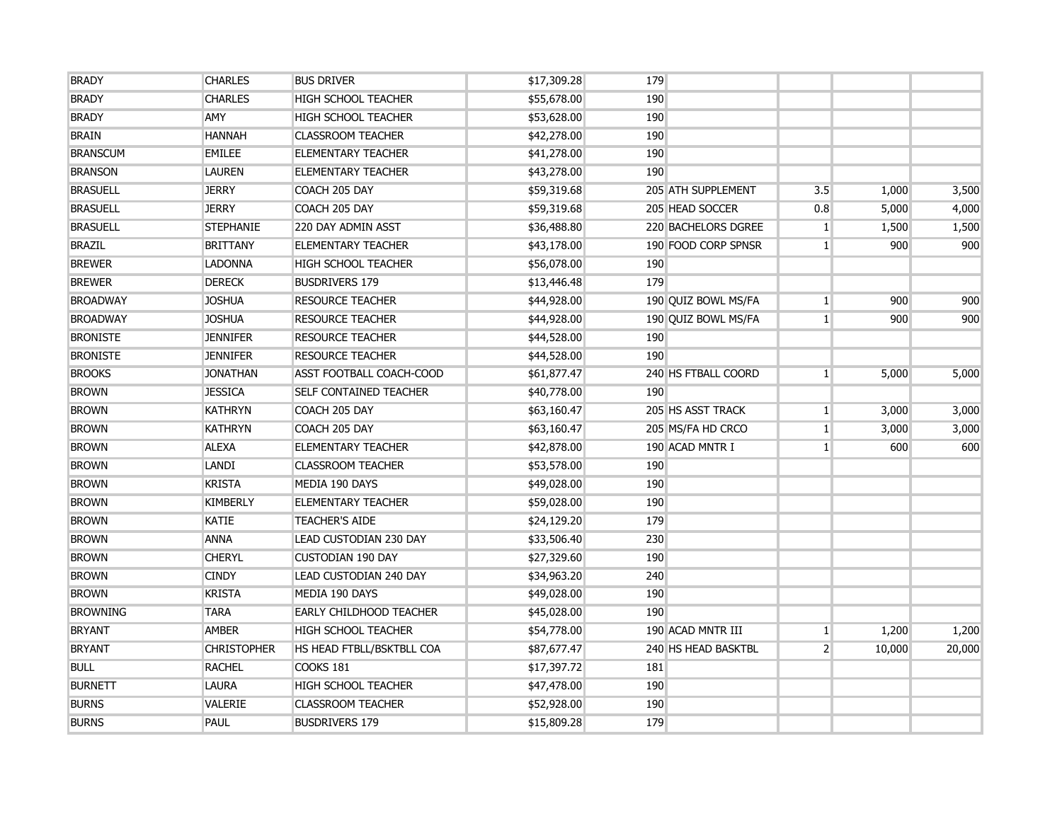| <b>BRADY</b>    | <b>CHARLES</b>     | <b>BUS DRIVER</b>             | \$17,309.28 | 179 |                            |                |        |        |
|-----------------|--------------------|-------------------------------|-------------|-----|----------------------------|----------------|--------|--------|
| <b>BRADY</b>    | <b>CHARLES</b>     | <b>HIGH SCHOOL TEACHER</b>    | \$55,678.00 | 190 |                            |                |        |        |
| <b>BRADY</b>    | AMY                | <b>HIGH SCHOOL TEACHER</b>    | \$53,628.00 | 190 |                            |                |        |        |
| <b>BRAIN</b>    | <b>HANNAH</b>      | <b>CLASSROOM TEACHER</b>      | \$42,278.00 | 190 |                            |                |        |        |
| <b>BRANSCUM</b> | <b>EMILEE</b>      | <b>ELEMENTARY TEACHER</b>     | \$41,278.00 | 190 |                            |                |        |        |
| <b>BRANSON</b>  | <b>LAUREN</b>      | <b>ELEMENTARY TEACHER</b>     | \$43,278.00 | 190 |                            |                |        |        |
| <b>BRASUELL</b> | <b>JERRY</b>       | COACH 205 DAY                 | \$59,319.68 |     | 205 ATH SUPPLEMENT         | 3.5            | 1,000  | 3,500  |
| <b>BRASUELL</b> | <b>JERRY</b>       | COACH 205 DAY                 | \$59,319.68 |     | 205 HEAD SOCCER            | 0.8            | 5,000  | 4,000  |
| <b>BRASUELL</b> | <b>STEPHANIE</b>   | 220 DAY ADMIN ASST            | \$36,488.80 |     | <b>220 BACHELORS DGREE</b> | 1 <sup>1</sup> | 1,500  | 1,500  |
| <b>BRAZIL</b>   | <b>BRITTANY</b>    | <b>ELEMENTARY TEACHER</b>     | \$43,178.00 |     | 190 FOOD CORP SPNSR        | 1 <sup>1</sup> | 900    | 900    |
| <b>BREWER</b>   | <b>LADONNA</b>     | <b>HIGH SCHOOL TEACHER</b>    | \$56,078.00 | 190 |                            |                |        |        |
| <b>BREWER</b>   | <b>DERECK</b>      | <b>BUSDRIVERS 179</b>         | \$13,446.48 | 179 |                            |                |        |        |
| <b>BROADWAY</b> | <b>JOSHUA</b>      | <b>RESOURCE TEACHER</b>       | \$44,928.00 |     | 190 QUIZ BOWL MS/FA        | 1 <sup>1</sup> | 900    | 900    |
| <b>BROADWAY</b> | <b>JOSHUA</b>      | <b>RESOURCE TEACHER</b>       | \$44,928.00 |     | 190 OUIZ BOWL MS/FA        | 1 <sup>1</sup> | 900    | 900    |
| <b>BRONISTE</b> | <b>JENNIFER</b>    | <b>RESOURCE TEACHER</b>       | \$44,528.00 | 190 |                            |                |        |        |
| <b>BRONISTE</b> | <b>JENNIFER</b>    | <b>RESOURCE TEACHER</b>       | \$44,528.00 | 190 |                            |                |        |        |
| <b>BROOKS</b>   | <b>JONATHAN</b>    | ASST FOOTBALL COACH-COOD      | \$61,877.47 |     | 240 HS FTBALL COORD        | 1 <sup>1</sup> | 5,000  | 5,000  |
| <b>BROWN</b>    | <b>JESSICA</b>     | <b>SELF CONTAINED TEACHER</b> | \$40,778.00 | 190 |                            |                |        |        |
| <b>BROWN</b>    | <b>KATHRYN</b>     | COACH 205 DAY                 | \$63,160.47 |     | 205 HS ASST TRACK          | $\mathbf{1}$   | 3,000  | 3,000  |
| <b>BROWN</b>    | <b>KATHRYN</b>     | COACH 205 DAY                 | \$63,160.47 |     | 205 MS/FA HD CRCO          | 1 <sup>1</sup> | 3,000  | 3,000  |
| <b>BROWN</b>    | <b>ALEXA</b>       | <b>ELEMENTARY TEACHER</b>     | \$42,878.00 |     | 190 ACAD MNTR I            | 1 <sup>1</sup> | 600    | 600    |
| <b>BROWN</b>    | <b>LANDI</b>       | <b>CLASSROOM TEACHER</b>      | \$53,578.00 | 190 |                            |                |        |        |
| <b>BROWN</b>    | <b>KRISTA</b>      | MEDIA 190 DAYS                | \$49,028.00 | 190 |                            |                |        |        |
| <b>BROWN</b>    | <b>KIMBERLY</b>    | <b>ELEMENTARY TEACHER</b>     | \$59,028.00 | 190 |                            |                |        |        |
| <b>BROWN</b>    | <b>KATIE</b>       | <b>TEACHER'S AIDE</b>         | \$24,129.20 | 179 |                            |                |        |        |
| <b>BROWN</b>    | <b>ANNA</b>        | <b>LEAD CUSTODIAN 230 DAY</b> | \$33,506.40 | 230 |                            |                |        |        |
| <b>BROWN</b>    | <b>CHERYL</b>      | <b>CUSTODIAN 190 DAY</b>      | \$27,329.60 | 190 |                            |                |        |        |
| <b>BROWN</b>    | <b>CINDY</b>       | LEAD CUSTODIAN 240 DAY        | \$34,963.20 | 240 |                            |                |        |        |
| <b>BROWN</b>    | <b>KRISTA</b>      | MEDIA 190 DAYS                | \$49,028.00 | 190 |                            |                |        |        |
| <b>BROWNING</b> | <b>TARA</b>        | EARLY CHILDHOOD TEACHER       | \$45,028.00 | 190 |                            |                |        |        |
| <b>BRYANT</b>   | <b>AMBER</b>       | <b>HIGH SCHOOL TEACHER</b>    | \$54,778.00 |     | 190 ACAD MNTR III          | 1 <sup>1</sup> | 1,200  | 1,200  |
| <b>BRYANT</b>   | <b>CHRISTOPHER</b> | HS HEAD FTBLL/BSKTBLL COA     | \$87,677.47 |     | 240 HS HEAD BASKTBL        | $\overline{2}$ | 10,000 | 20,000 |
| <b>BULL</b>     | <b>RACHEL</b>      | COOKS 181                     | \$17,397.72 | 181 |                            |                |        |        |
| <b>BURNETT</b>  | <b>LAURA</b>       | <b>HIGH SCHOOL TEACHER</b>    | \$47,478.00 | 190 |                            |                |        |        |
| <b>BURNS</b>    | VALERIE            | <b>CLASSROOM TEACHER</b>      | \$52,928.00 | 190 |                            |                |        |        |
| <b>BURNS</b>    | <b>PAUL</b>        | <b>BUSDRIVERS 179</b>         | \$15,809.28 | 179 |                            |                |        |        |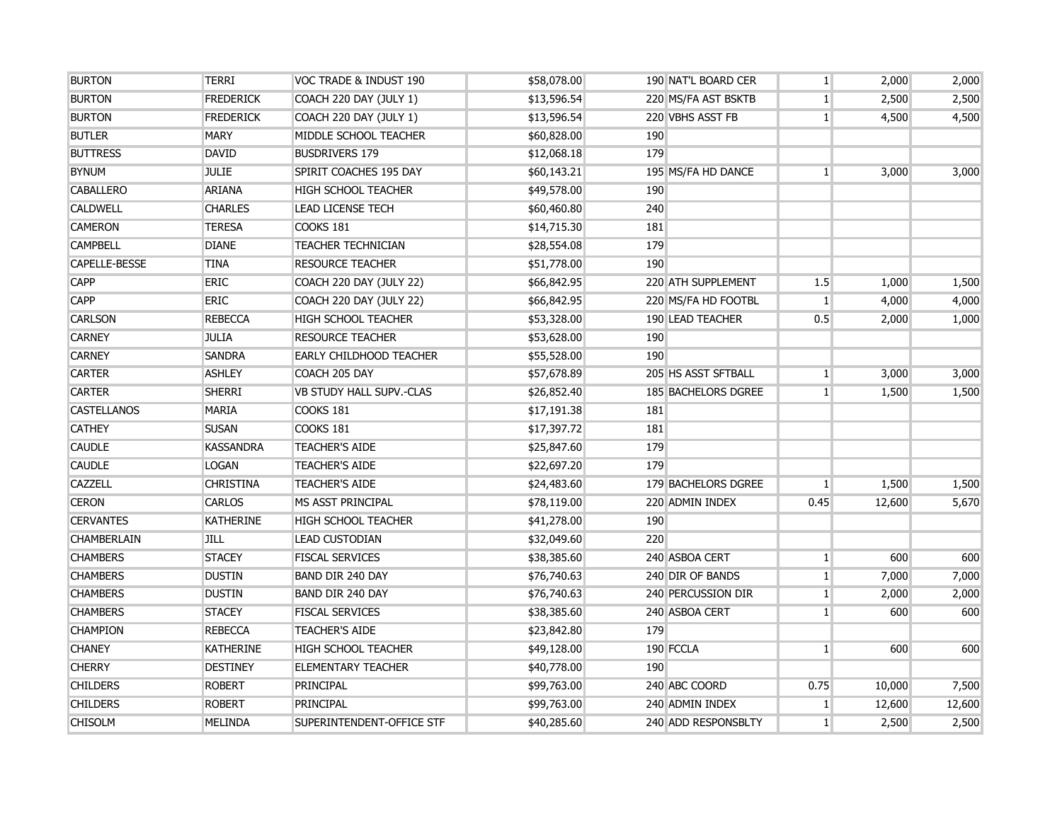| <b>BURTON</b>      | <b>TERRI</b>     | VOC TRADE & INDUST 190          | \$58,078.00 | 190 NAT'L BOARD CER | $\mathbf{1}$   | 2,000  | 2,000  |
|--------------------|------------------|---------------------------------|-------------|---------------------|----------------|--------|--------|
| <b>BURTON</b>      | <b>FREDERICK</b> | COACH 220 DAY (JULY 1)          | \$13,596.54 | 220 MS/FA AST BSKTB | $1\vert$       | 2,500  | 2,500  |
| <b>BURTON</b>      | <b>FREDERICK</b> | COACH 220 DAY (JULY 1)          | \$13,596.54 | 220 VBHS ASST FB    | $\mathbf{1}$   | 4,500  | 4,500  |
| <b>BUTLER</b>      | <b>MARY</b>      | MIDDLE SCHOOL TEACHER           | \$60,828.00 | 190                 |                |        |        |
| <b>BUTTRESS</b>    | <b>DAVID</b>     | <b>BUSDRIVERS 179</b>           | \$12,068.18 | 179                 |                |        |        |
| <b>BYNUM</b>       | <b>JULIE</b>     | SPIRIT COACHES 195 DAY          | \$60,143.21 | 195 MS/FA HD DANCE  | $\mathbf{1}$   | 3,000  | 3,000  |
| <b>CABALLERO</b>   | <b>ARIANA</b>    | <b>HIGH SCHOOL TEACHER</b>      | \$49,578.00 | 190                 |                |        |        |
| <b>CALDWELL</b>    | <b>CHARLES</b>   | <b>LEAD LICENSE TECH</b>        | \$60,460.80 | 240                 |                |        |        |
| <b>CAMERON</b>     | <b>TERESA</b>    | <b>COOKS 181</b>                | \$14,715.30 | 181                 |                |        |        |
| <b>CAMPBELL</b>    | <b>DIANE</b>     | <b>TEACHER TECHNICIAN</b>       | \$28,554.08 | 179                 |                |        |        |
| CAPELLE-BESSE      | <b>TINA</b>      | <b>RESOURCE TEACHER</b>         | \$51,778.00 | 190                 |                |        |        |
| <b>CAPP</b>        | <b>ERIC</b>      | COACH 220 DAY (JULY 22)         | \$66,842.95 | 220 ATH SUPPLEMENT  | 1.5            | 1,000  | 1,500  |
| <b>CAPP</b>        | ERIC             | COACH 220 DAY (JULY 22)         | \$66,842.95 | 220 MS/FA HD FOOTBL | 1 <sup>1</sup> | 4,000  | 4,000  |
| <b>CARLSON</b>     | <b>REBECCA</b>   | <b>HIGH SCHOOL TEACHER</b>      | \$53,328.00 | 190 LEAD TEACHER    | 0.5            | 2,000  | 1,000  |
| <b>CARNEY</b>      | <b>JULIA</b>     | <b>RESOURCE TEACHER</b>         | \$53,628.00 | 190                 |                |        |        |
| <b>CARNEY</b>      | <b>SANDRA</b>    | <b>EARLY CHILDHOOD TEACHER</b>  | \$55,528.00 | 190                 |                |        |        |
| <b>CARTER</b>      | <b>ASHLEY</b>    | COACH 205 DAY                   | \$57,678.89 | 205 HS ASST SFTBALL | $\mathbf{1}$   | 3,000  | 3,000  |
| <b>CARTER</b>      | <b>SHERRI</b>    | <b>VB STUDY HALL SUPV.-CLAS</b> | \$26,852.40 | 185 BACHELORS DGREE | 1 <sup>1</sup> | 1,500  | 1,500  |
| <b>CASTELLANOS</b> | <b>MARIA</b>     | COOKS 181                       | \$17,191.38 | 181                 |                |        |        |
| <b>CATHEY</b>      | <b>SUSAN</b>     | COOKS 181                       | \$17,397.72 | 181                 |                |        |        |
| <b>CAUDLE</b>      | <b>KASSANDRA</b> | <b>TEACHER'S AIDE</b>           | \$25,847.60 | 179                 |                |        |        |
| <b>CAUDLE</b>      | <b>LOGAN</b>     | <b>TEACHER'S AIDE</b>           | \$22,697.20 | 179                 |                |        |        |
| CAZZELL            | <b>CHRISTINA</b> | <b>TEACHER'S AIDE</b>           | \$24,483.60 | 179 BACHELORS DGREE | $\mathbf{1}$   | 1,500  | 1,500  |
| <b>CERON</b>       | <b>CARLOS</b>    | MS ASST PRINCIPAL               | \$78,119.00 | 220 ADMIN INDEX     | 0.45           | 12,600 | 5,670  |
| <b>CERVANTES</b>   | <b>KATHERINE</b> | <b>HIGH SCHOOL TEACHER</b>      | \$41,278.00 | 190                 |                |        |        |
| <b>CHAMBERLAIN</b> | <b>JILL</b>      | LEAD CUSTODIAN                  | \$32,049.60 | 220                 |                |        |        |
| <b>CHAMBERS</b>    | <b>STACEY</b>    | <b>FISCAL SERVICES</b>          | \$38,385.60 | 240 ASBOA CERT      | $1\vert$       | 600    | 600    |
| <b>CHAMBERS</b>    | <b>DUSTIN</b>    | BAND DIR 240 DAY                | \$76,740.63 | 240 DIR OF BANDS    | $1\vert$       | 7,000  | 7,000  |
| <b>CHAMBERS</b>    | <b>DUSTIN</b>    | BAND DIR 240 DAY                | \$76,740.63 | 240 PERCUSSION DIR  | $\mathbf{1}$   | 2,000  | 2,000  |
| <b>CHAMBERS</b>    | <b>STACEY</b>    | <b>FISCAL SERVICES</b>          | \$38,385.60 | 240 ASBOA CERT      | 1 <sup>1</sup> | 600    | 600    |
| <b>CHAMPION</b>    | <b>REBECCA</b>   | <b>TEACHER'S AIDE</b>           | \$23,842.80 | 179                 |                |        |        |
| <b>CHANEY</b>      | <b>KATHERINE</b> | <b>HIGH SCHOOL TEACHER</b>      | \$49,128.00 | 190 FCCLA           | $\mathbf{1}$   | 600    | 600    |
| <b>CHERRY</b>      | <b>DESTINEY</b>  | <b>ELEMENTARY TEACHER</b>       | \$40,778.00 | 190                 |                |        |        |
| <b>CHILDERS</b>    | <b>ROBERT</b>    | <b>PRINCIPAL</b>                | \$99,763.00 | 240 ABC COORD       | 0.75           | 10,000 | 7,500  |
| <b>CHILDERS</b>    | <b>ROBERT</b>    | PRINCIPAL                       | \$99,763.00 | 240 ADMIN INDEX     | $1\vert$       | 12,600 | 12,600 |
| <b>CHISOLM</b>     | <b>MELINDA</b>   | SUPERINTENDENT-OFFICE STF       | \$40,285.60 | 240 ADD RESPONSBLTY | 1 <sup>1</sup> | 2,500  | 2,500  |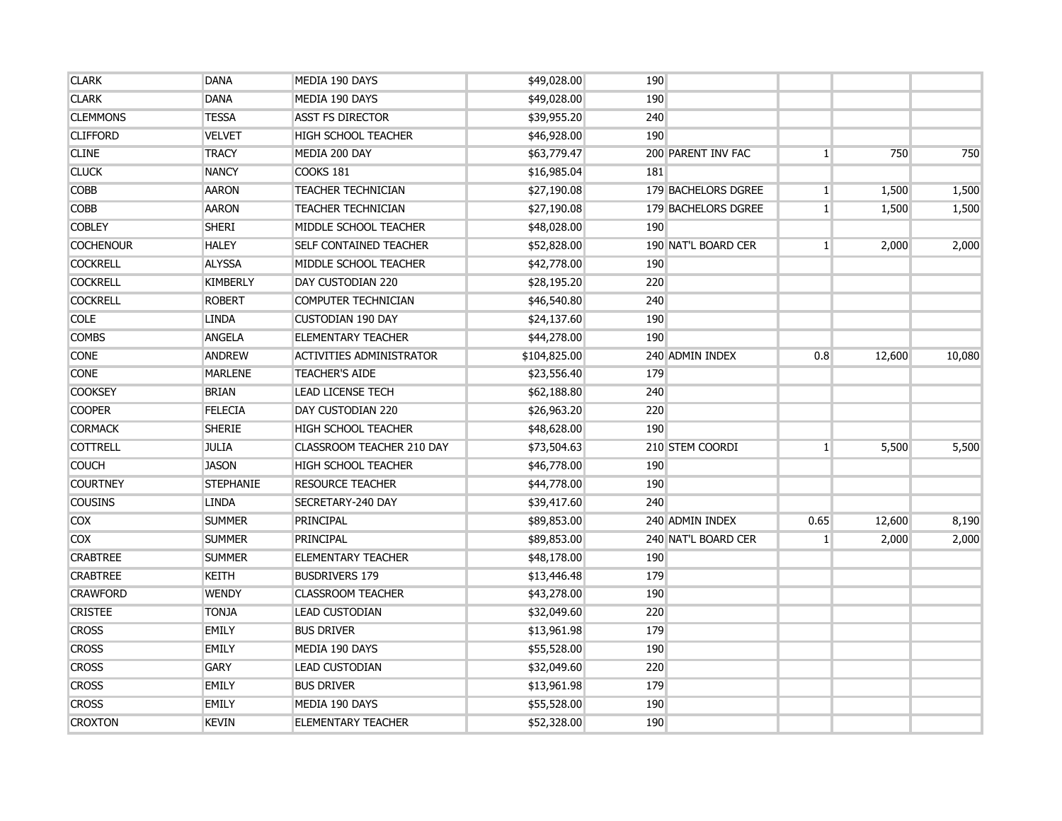| <b>CLARK</b>     | <b>DANA</b>      | MEDIA 190 DAYS                   | \$49,028.00  | 190        |                           |                |        |        |
|------------------|------------------|----------------------------------|--------------|------------|---------------------------|----------------|--------|--------|
| <b>CLARK</b>     | <b>DANA</b>      | MEDIA 190 DAYS                   | \$49,028.00  | 190        |                           |                |        |        |
| <b>CLEMMONS</b>  | <b>TESSA</b>     | <b>ASST FS DIRECTOR</b>          | \$39,955.20  | 240        |                           |                |        |        |
| <b>CLIFFORD</b>  | <b>VELVET</b>    | <b>HIGH SCHOOL TEACHER</b>       | \$46,928.00  | 190        |                           |                |        |        |
| <b>CLINE</b>     | <b>TRACY</b>     | MEDIA 200 DAY                    | \$63,779.47  |            | <b>200 PARENT INV FAC</b> | $\mathbf{1}$   | 750    | 750    |
| <b>CLUCK</b>     | <b>NANCY</b>     | COOKS 181                        | \$16,985.04  | <b>181</b> |                           |                |        |        |
| <b>COBB</b>      | <b>AARON</b>     | <b>TEACHER TECHNICIAN</b>        | \$27,190.08  |            | 179 BACHELORS DGREE       | $\mathbf{1}$   | 1,500  | 1,500  |
| <b>COBB</b>      | <b>AARON</b>     | <b>TEACHER TECHNICIAN</b>        | \$27,190.08  |            | 179 BACHELORS DGREE       | 1 <sup>1</sup> | 1,500  | 1,500  |
| <b>COBLEY</b>    | <b>SHERI</b>     | MIDDLE SCHOOL TEACHER            | \$48,028.00  | 190        |                           |                |        |        |
| <b>COCHENOUR</b> | <b>HALEY</b>     | <b>SELF CONTAINED TEACHER</b>    | \$52,828.00  |            | 190 NAT'L BOARD CER       | 1 <sup>1</sup> | 2,000  | 2,000  |
| <b>COCKRELL</b>  | <b>ALYSSA</b>    | MIDDLE SCHOOL TEACHER            | \$42,778.00  | 190        |                           |                |        |        |
| <b>COCKRELL</b>  | <b>KIMBERLY</b>  | DAY CUSTODIAN 220                | \$28,195.20  | 220        |                           |                |        |        |
| <b>COCKRELL</b>  | <b>ROBERT</b>    | COMPUTER TECHNICIAN              | \$46,540.80  | 240        |                           |                |        |        |
| <b>COLE</b>      | <b>LINDA</b>     | <b>CUSTODIAN 190 DAY</b>         | \$24,137.60  | 190        |                           |                |        |        |
| <b>COMBS</b>     | ANGELA           | <b>ELEMENTARY TEACHER</b>        | \$44,278.00  | 190        |                           |                |        |        |
| <b>CONE</b>      | <b>ANDREW</b>    | <b>ACTIVITIES ADMINISTRATOR</b>  | \$104,825.00 |            | 240 ADMIN INDEX           | 0.8            | 12,600 | 10,080 |
| <b>CONE</b>      | <b>MARLENE</b>   | <b>TEACHER'S AIDE</b>            | \$23,556.40  | 179        |                           |                |        |        |
| <b>COOKSEY</b>   | <b>BRIAN</b>     | <b>LEAD LICENSE TECH</b>         | \$62,188.80  | 240        |                           |                |        |        |
| <b>COOPER</b>    | <b>FELECIA</b>   | DAY CUSTODIAN 220                | \$26,963.20  | 220        |                           |                |        |        |
| <b>CORMACK</b>   | <b>SHERIE</b>    | <b>HIGH SCHOOL TEACHER</b>       | \$48,628.00  | 190        |                           |                |        |        |
| <b>COTTRELL</b>  | <b>JULIA</b>     | <b>CLASSROOM TEACHER 210 DAY</b> | \$73,504.63  |            | 210 STEM COORDI           | 1 <sup>1</sup> | 5,500  | 5,500  |
| <b>COUCH</b>     | <b>JASON</b>     | <b>HIGH SCHOOL TEACHER</b>       | \$46,778.00  | 190        |                           |                |        |        |
| <b>COURTNEY</b>  | <b>STEPHANIE</b> | <b>RESOURCE TEACHER</b>          | \$44,778.00  | 190        |                           |                |        |        |
| <b>COUSINS</b>   | <b>LINDA</b>     | SECRETARY-240 DAY                | \$39,417.60  | 240        |                           |                |        |        |
| <b>COX</b>       | <b>SUMMER</b>    | PRINCIPAL                        | \$89,853.00  |            | 240 ADMIN INDEX           | 0.65           | 12,600 | 8,190  |
| <b>COX</b>       | <b>SUMMER</b>    | <b>PRINCIPAL</b>                 | \$89,853.00  |            | 240 NAT'L BOARD CER       | $\mathbf{1}$   | 2,000  | 2,000  |
| <b>CRABTREE</b>  | <b>SUMMER</b>    | <b>ELEMENTARY TEACHER</b>        | \$48,178.00  | 190        |                           |                |        |        |
| <b>CRABTREE</b>  | <b>KEITH</b>     | <b>BUSDRIVERS 179</b>            | \$13,446.48  | 179        |                           |                |        |        |
| <b>CRAWFORD</b>  | <b>WENDY</b>     | <b>CLASSROOM TEACHER</b>         | \$43,278.00  | 190        |                           |                |        |        |
| <b>CRISTEE</b>   | <b>TONJA</b>     | <b>LEAD CUSTODIAN</b>            | \$32,049.60  | 220        |                           |                |        |        |
| <b>CROSS</b>     | <b>EMILY</b>     | <b>BUS DRIVER</b>                | \$13,961.98  | 179        |                           |                |        |        |
| <b>CROSS</b>     | <b>EMILY</b>     | MEDIA 190 DAYS                   | \$55,528.00  | 190        |                           |                |        |        |
| <b>CROSS</b>     | <b>GARY</b>      | <b>LEAD CUSTODIAN</b>            | \$32,049.60  | 220        |                           |                |        |        |
| <b>CROSS</b>     | <b>EMILY</b>     | <b>BUS DRIVER</b>                | \$13,961.98  | 179        |                           |                |        |        |
| <b>CROSS</b>     | <b>EMILY</b>     | MEDIA 190 DAYS                   | \$55,528.00  | 190        |                           |                |        |        |
| <b>CROXTON</b>   | <b>KEVIN</b>     | <b>ELEMENTARY TEACHER</b>        | \$52,328.00  | 190        |                           |                |        |        |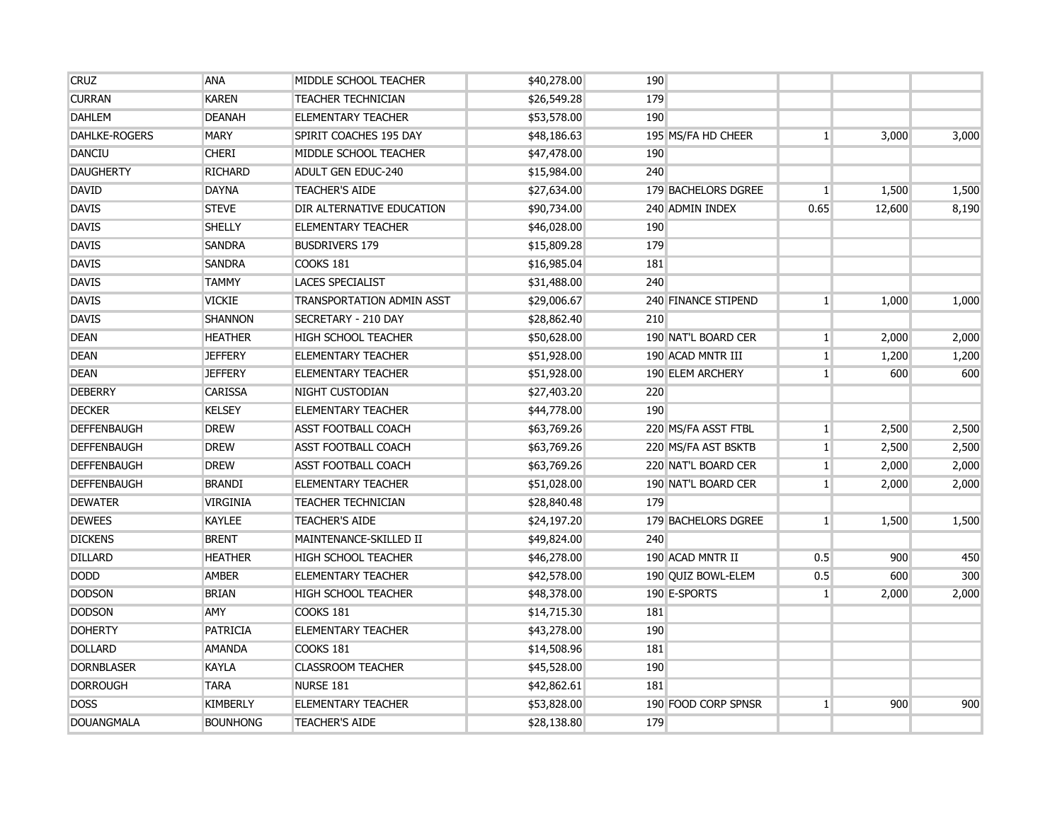| <b>CRUZ</b>          | <b>ANA</b>      | MIDDLE SCHOOL TEACHER      | \$40,278.00 | 190 |                     |                |        |       |
|----------------------|-----------------|----------------------------|-------------|-----|---------------------|----------------|--------|-------|
| <b>CURRAN</b>        | <b>KAREN</b>    | <b>TEACHER TECHNICIAN</b>  | \$26,549.28 | 179 |                     |                |        |       |
| <b>DAHLEM</b>        | <b>DEANAH</b>   | <b>ELEMENTARY TEACHER</b>  | \$53,578.00 | 190 |                     |                |        |       |
| <b>DAHLKE-ROGERS</b> | <b>MARY</b>     | SPIRIT COACHES 195 DAY     | \$48,186.63 |     | 195 MS/FA HD CHEER  | $\mathbf{1}$   | 3,000  | 3,000 |
| <b>DANCIU</b>        | <b>CHERI</b>    | MIDDLE SCHOOL TEACHER      | \$47,478.00 | 190 |                     |                |        |       |
| <b>DAUGHERTY</b>     | <b>RICHARD</b>  | <b>ADULT GEN EDUC-240</b>  | \$15,984.00 | 240 |                     |                |        |       |
| <b>DAVID</b>         | <b>DAYNA</b>    | <b>TEACHER'S AIDE</b>      | \$27,634.00 |     | 179 BACHELORS DGREE | $\mathbf{1}$   | 1,500  | 1,500 |
| <b>DAVIS</b>         | <b>STEVE</b>    | DIR ALTERNATIVE EDUCATION  | \$90,734.00 |     | 240 ADMIN INDEX     | 0.65           | 12,600 | 8,190 |
| <b>DAVIS</b>         | <b>SHELLY</b>   | <b>ELEMENTARY TEACHER</b>  | \$46,028.00 | 190 |                     |                |        |       |
| <b>DAVIS</b>         | <b>SANDRA</b>   | <b>BUSDRIVERS 179</b>      | \$15,809.28 | 179 |                     |                |        |       |
| <b>DAVIS</b>         | <b>SANDRA</b>   | <b>COOKS 181</b>           | \$16,985.04 | 181 |                     |                |        |       |
| <b>DAVIS</b>         | <b>TAMMY</b>    | <b>LACES SPECIALIST</b>    | \$31,488.00 | 240 |                     |                |        |       |
| <b>DAVIS</b>         | <b>VICKIE</b>   | TRANSPORTATION ADMIN ASST  | \$29,006.67 |     | 240 FINANCE STIPEND | 1 <sup>1</sup> | 1,000  | 1,000 |
| <b>DAVIS</b>         | <b>SHANNON</b>  | SECRETARY - 210 DAY        | \$28,862.40 | 210 |                     |                |        |       |
| <b>DEAN</b>          | <b>HEATHER</b>  | <b>HIGH SCHOOL TEACHER</b> | \$50,628.00 |     | 190 NAT'L BOARD CER | $\vert$        | 2,000  | 2,000 |
| <b>DEAN</b>          | <b>JEFFERY</b>  | <b>ELEMENTARY TEACHER</b>  | \$51,928.00 |     | 190 ACAD MNTR III   | 1              | 1,200  | 1,200 |
| <b>DEAN</b>          | <b>JEFFERY</b>  | <b>ELEMENTARY TEACHER</b>  | \$51,928.00 |     | 190 ELEM ARCHERY    | $\vert$        | 600    | 600   |
| <b>DEBERRY</b>       | <b>CARISSA</b>  | <b>NIGHT CUSTODIAN</b>     | \$27,403.20 | 220 |                     |                |        |       |
| <b>DECKER</b>        | <b>KELSEY</b>   | <b>ELEMENTARY TEACHER</b>  | \$44,778.00 | 190 |                     |                |        |       |
| <b>DEFFENBAUGH</b>   | <b>DREW</b>     | <b>ASST FOOTBALL COACH</b> | \$63,769.26 |     | 220 MS/FA ASST FTBL | $\mathbf{1}$   | 2,500  | 2,500 |
| <b>DEFFENBAUGH</b>   | <b>DREW</b>     | <b>ASST FOOTBALL COACH</b> | \$63,769.26 |     | 220 MS/FA AST BSKTB | $\mathbf{1}$   | 2,500  | 2,500 |
| <b>DEFFENBAUGH</b>   | <b>DREW</b>     | <b>ASST FOOTBALL COACH</b> | \$63,769.26 |     | 220 NAT'L BOARD CER | $1\vert$       | 2,000  | 2,000 |
| <b>DEFFENBAUGH</b>   | <b>BRANDI</b>   | <b>ELEMENTARY TEACHER</b>  | \$51,028.00 |     | 190 NAT'L BOARD CER | $1\vert$       | 2,000  | 2,000 |
| <b>DEWATER</b>       | <b>VIRGINIA</b> | <b>TEACHER TECHNICIAN</b>  | \$28,840.48 | 179 |                     |                |        |       |
| <b>DEWEES</b>        | <b>KAYLEE</b>   | <b>TEACHER'S AIDE</b>      | \$24,197.20 |     | 179 BACHELORS DGREE | $\mathbf{1}$   | 1,500  | 1,500 |
| <b>DICKENS</b>       | <b>BRENT</b>    | MAINTENANCE-SKILLED II     | \$49,824.00 | 240 |                     |                |        |       |
| <b>DILLARD</b>       | <b>HEATHER</b>  | <b>HIGH SCHOOL TEACHER</b> | \$46,278.00 |     | 190 ACAD MNTR II    | 0.5            | 900    | 450   |
| <b>DODD</b>          | <b>AMBER</b>    | <b>ELEMENTARY TEACHER</b>  | \$42,578.00 |     | 190 QUIZ BOWL-ELEM  | 0.5            | 600    | 300   |
| <b>DODSON</b>        | <b>BRIAN</b>    | <b>HIGH SCHOOL TEACHER</b> | \$48,378.00 |     | 190 E-SPORTS        | $\mathbf{1}$   | 2,000  | 2,000 |
| <b>DODSON</b>        | AMY             | COOKS 181                  | \$14,715.30 | 181 |                     |                |        |       |
| <b>DOHERTY</b>       | <b>PATRICIA</b> | <b>ELEMENTARY TEACHER</b>  | \$43,278.00 | 190 |                     |                |        |       |
| <b>DOLLARD</b>       | <b>AMANDA</b>   | COOKS 181                  | \$14,508.96 | 181 |                     |                |        |       |
| <b>DORNBLASER</b>    | <b>KAYLA</b>    | <b>CLASSROOM TEACHER</b>   | \$45,528.00 | 190 |                     |                |        |       |
| <b>DORROUGH</b>      | <b>TARA</b>     | NURSE 181                  | \$42,862.61 | 181 |                     |                |        |       |
| <b>DOSS</b>          | <b>KIMBERLY</b> | <b>ELEMENTARY TEACHER</b>  | \$53,828.00 |     | 190 FOOD CORP SPNSR | $\mathbf{1}$   | 900    | 900   |
| <b>DOUANGMALA</b>    | <b>BOUNHONG</b> | <b>TEACHER'S AIDE</b>      | \$28,138.80 | 179 |                     |                |        |       |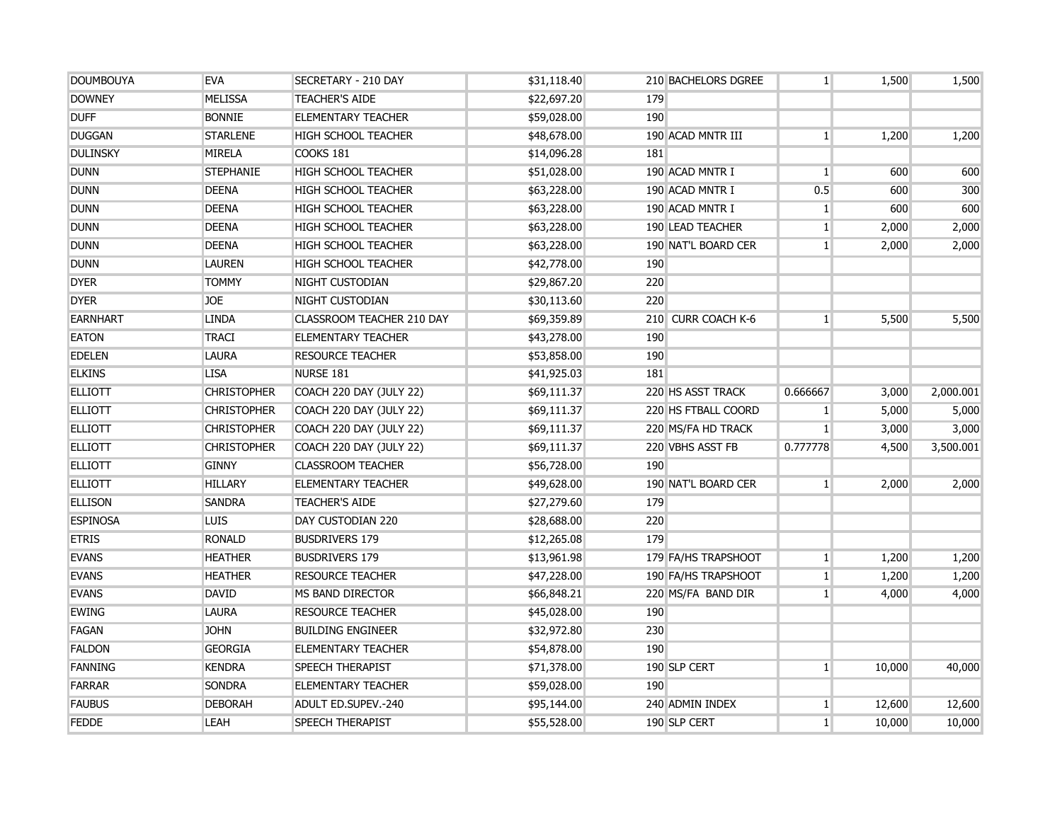| <b>DOUMBOUYA</b> | <b>EVA</b>         | SECRETARY - 210 DAY        | \$31,118.40 |     | 210 BACHELORS DGREE | 1 <sup>1</sup> | 1,500  | 1,500     |
|------------------|--------------------|----------------------------|-------------|-----|---------------------|----------------|--------|-----------|
| <b>DOWNEY</b>    | <b>MELISSA</b>     | <b>TEACHER'S AIDE</b>      | \$22,697.20 | 179 |                     |                |        |           |
| <b>DUFF</b>      | <b>BONNIE</b>      | <b>ELEMENTARY TEACHER</b>  | \$59,028.00 | 190 |                     |                |        |           |
| <b>DUGGAN</b>    | <b>STARLENE</b>    | <b>HIGH SCHOOL TEACHER</b> | \$48,678.00 |     | 190 ACAD MNTR III   | 1 <sup>1</sup> | 1,200  | 1,200     |
| <b>DULINSKY</b>  | <b>MIRELA</b>      | COOKS 181                  | \$14,096.28 | 181 |                     |                |        |           |
| <b>DUNN</b>      | <b>STEPHANIE</b>   | <b>HIGH SCHOOL TEACHER</b> | \$51,028.00 |     | 190 ACAD MNTR I     | $\mathbf{1}$   | 600    | 600       |
| <b>DUNN</b>      | <b>DEENA</b>       | <b>HIGH SCHOOL TEACHER</b> | \$63,228.00 |     | 190 ACAD MNTR I     | 0.5            | 600    | 300       |
| <b>DUNN</b>      | <b>DEENA</b>       | <b>HIGH SCHOOL TEACHER</b> | \$63,228.00 |     | 190 ACAD MNTR I     | 1 <sup>1</sup> | 600    | 600       |
| <b>DUNN</b>      | <b>DEENA</b>       | <b>HIGH SCHOOL TEACHER</b> | \$63,228.00 |     | 190 LEAD TEACHER    | 1 <sup>1</sup> | 2,000  | 2,000     |
| <b>DUNN</b>      | <b>DEENA</b>       | <b>HIGH SCHOOL TEACHER</b> | \$63,228.00 |     | 190 NAT'L BOARD CER | 1 <sup>1</sup> | 2,000  | 2,000     |
| <b>DUNN</b>      | <b>LAUREN</b>      | <b>HIGH SCHOOL TEACHER</b> | \$42,778.00 | 190 |                     |                |        |           |
| <b>DYER</b>      | <b>TOMMY</b>       | NIGHT CUSTODIAN            | \$29,867.20 | 220 |                     |                |        |           |
| <b>DYER</b>      | <b>JOE</b>         | NIGHT CUSTODIAN            | \$30,113.60 | 220 |                     |                |        |           |
| <b>EARNHART</b>  | <b>LINDA</b>       | CLASSROOM TEACHER 210 DAY  | \$69,359.89 |     | 210 CURR COACH K-6  | $\mathbf{1}$   | 5,500  | 5,500     |
| <b>EATON</b>     | TRACI              | <b>ELEMENTARY TEACHER</b>  | \$43,278.00 | 190 |                     |                |        |           |
| <b>EDELEN</b>    | LAURA              | <b>RESOURCE TEACHER</b>    | \$53,858.00 | 190 |                     |                |        |           |
| <b>ELKINS</b>    | <b>LISA</b>        | <b>NURSE 181</b>           | \$41,925.03 | 181 |                     |                |        |           |
| <b>ELLIOTT</b>   | <b>CHRISTOPHER</b> | COACH 220 DAY (JULY 22)    | \$69,111.37 |     | 220 HS ASST TRACK   | 0.666667       | 3,000  | 2,000.001 |
| <b>ELLIOTT</b>   | <b>CHRISTOPHER</b> | COACH 220 DAY (JULY 22)    | \$69,111.37 |     | 220 HS FTBALL COORD | 1 <sup>1</sup> | 5,000  | 5,000     |
| <b>ELLIOTT</b>   | <b>CHRISTOPHER</b> | COACH 220 DAY (JULY 22)    | \$69,111.37 |     | 220 MS/FA HD TRACK  | 1 <sup>1</sup> | 3,000  | 3,000     |
| <b>ELLIOTT</b>   | <b>CHRISTOPHER</b> | COACH 220 DAY (JULY 22)    | \$69,111.37 |     | 220 VBHS ASST FB    | 0.777778       | 4,500  | 3,500.001 |
| <b>ELLIOTT</b>   | <b>GINNY</b>       | <b>CLASSROOM TEACHER</b>   | \$56,728.00 | 190 |                     |                |        |           |
| <b>ELLIOTT</b>   | <b>HILLARY</b>     | <b>ELEMENTARY TEACHER</b>  | \$49,628.00 |     | 190 NAT'L BOARD CER | 1 <sup>1</sup> | 2,000  | 2,000     |
| <b>ELLISON</b>   | <b>SANDRA</b>      | <b>TEACHER'S AIDE</b>      | \$27,279.60 | 179 |                     |                |        |           |
| <b>ESPINOSA</b>  | <b>LUIS</b>        | DAY CUSTODIAN 220          | \$28,688.00 | 220 |                     |                |        |           |
| <b>ETRIS</b>     | <b>RONALD</b>      | <b>BUSDRIVERS 179</b>      | \$12,265.08 | 179 |                     |                |        |           |
| <b>EVANS</b>     | <b>HEATHER</b>     | <b>BUSDRIVERS 179</b>      | \$13,961.98 |     | 179 FA/HS TRAPSHOOT | 1 <sup>1</sup> | 1,200  | 1,200     |
| <b>EVANS</b>     | <b>HEATHER</b>     | <b>RESOURCE TEACHER</b>    | \$47,228.00 |     | 190 FA/HS TRAPSHOOT | $\mathbf{1}$   | 1,200  | 1,200     |
| <b>EVANS</b>     | <b>DAVID</b>       | MS BAND DIRECTOR           | \$66,848.21 |     | 220 MS/FA BAND DIR  | 1 <sup>1</sup> | 4,000  | 4,000     |
| <b>EWING</b>     | <b>LAURA</b>       | <b>RESOURCE TEACHER</b>    | \$45,028.00 | 190 |                     |                |        |           |
| <b>FAGAN</b>     | <b>JOHN</b>        | <b>BUILDING ENGINEER</b>   | \$32,972.80 | 230 |                     |                |        |           |
| <b>FALDON</b>    | <b>GEORGIA</b>     | <b>ELEMENTARY TEACHER</b>  | \$54,878.00 | 190 |                     |                |        |           |
| <b>FANNING</b>   | <b>KENDRA</b>      | <b>SPEECH THERAPIST</b>    | \$71,378.00 |     | 190 SLP CERT        | 1 <sup>1</sup> | 10,000 | 40,000    |
| <b>FARRAR</b>    | <b>SONDRA</b>      | <b>ELEMENTARY TEACHER</b>  | \$59,028.00 | 190 |                     |                |        |           |
| <b>FAUBUS</b>    | <b>DEBORAH</b>     | <b>ADULT ED.SUPEV.-240</b> | \$95,144.00 |     | 240 ADMIN INDEX     | $\mathbf{1}$   | 12,600 | 12,600    |
| <b>FEDDE</b>     | <b>LEAH</b>        | <b>SPEECH THERAPIST</b>    | \$55,528.00 |     | 190 SLP CERT        | 1 <sup>1</sup> | 10,000 | 10,000    |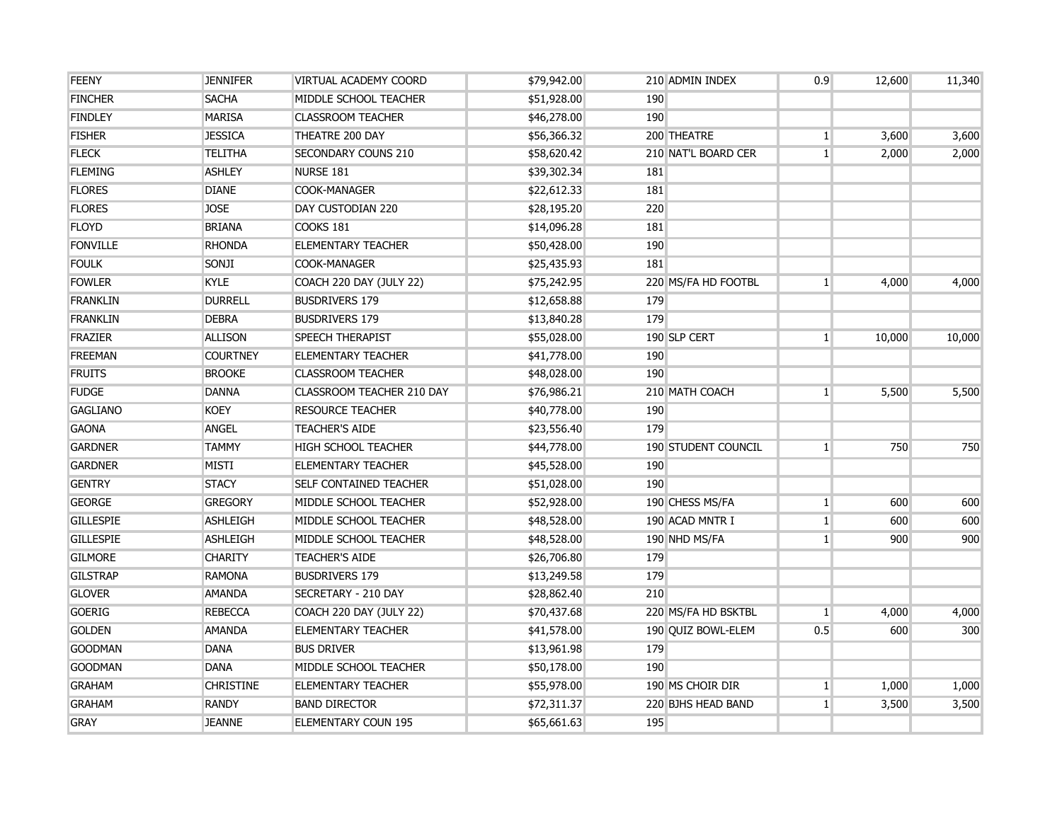| <b>FEENY</b>     | <b>JENNIFER</b>  | VIRTUAL ACADEMY COORD         | \$79,942.00 |            | 210 ADMIN INDEX     | 0.9            | 12,600 | 11,340 |
|------------------|------------------|-------------------------------|-------------|------------|---------------------|----------------|--------|--------|
| <b>FINCHER</b>   | <b>SACHA</b>     | MIDDLE SCHOOL TEACHER         | \$51,928.00 | 190        |                     |                |        |        |
| <b>FINDLEY</b>   | <b>MARISA</b>    | <b>CLASSROOM TEACHER</b>      | \$46,278.00 | 190        |                     |                |        |        |
| <b>FISHER</b>    | <b>JESSICA</b>   | THEATRE 200 DAY               | \$56,366.32 |            | 200 THEATRE         | 1              | 3,600  | 3,600  |
| <b>FLECK</b>     | <b>TELITHA</b>   | SECONDARY COUNS 210           | \$58,620.42 |            | 210 NAT'L BOARD CER | $\mathbf{1}$   | 2,000  | 2,000  |
| <b>FLEMING</b>   | <b>ASHLEY</b>    | NURSE 181                     | \$39,302.34 | 181        |                     |                |        |        |
| <b>FLORES</b>    | <b>DIANE</b>     | <b>COOK-MANAGER</b>           | \$22,612.33 | <b>181</b> |                     |                |        |        |
| <b>FLORES</b>    | <b>JOSE</b>      | DAY CUSTODIAN 220             | \$28,195.20 | 220        |                     |                |        |        |
| <b>FLOYD</b>     | <b>BRIANA</b>    | <b>COOKS 181</b>              | \$14,096.28 | <b>181</b> |                     |                |        |        |
| <b>FONVILLE</b>  | <b>RHONDA</b>    | <b>ELEMENTARY TEACHER</b>     | \$50,428.00 | 190        |                     |                |        |        |
| <b>FOULK</b>     | SONJI            | <b>COOK-MANAGER</b>           | \$25,435.93 | 181        |                     |                |        |        |
| <b>FOWLER</b>    | <b>KYLE</b>      | COACH 220 DAY (JULY 22)       | \$75,242.95 |            | 220 MS/FA HD FOOTBL | 1 <sup>1</sup> | 4,000  | 4,000  |
| <b>FRANKLIN</b>  | <b>DURRELL</b>   | <b>BUSDRIVERS 179</b>         | \$12,658.88 | 179        |                     |                |        |        |
| <b>FRANKLIN</b>  | <b>DEBRA</b>     | <b>BUSDRIVERS 179</b>         | \$13,840.28 | 179        |                     |                |        |        |
| <b>FRAZIER</b>   | <b>ALLISON</b>   | <b>SPEECH THERAPIST</b>       | \$55,028.00 |            | 190 SLP CERT        | $\mathbf{1}$   | 10,000 | 10,000 |
| <b>FREEMAN</b>   | <b>COURTNEY</b>  | <b>ELEMENTARY TEACHER</b>     | \$41,778.00 | 190        |                     |                |        |        |
| <b>FRUITS</b>    | <b>BROOKE</b>    | <b>CLASSROOM TEACHER</b>      | \$48,028.00 | 190        |                     |                |        |        |
| <b>FUDGE</b>     | <b>DANNA</b>     | CLASSROOM TEACHER 210 DAY     | \$76,986.21 |            | 210 MATH COACH      | $\mathbf{1}$   | 5,500  | 5,500  |
| <b>GAGLIANO</b>  | <b>KOEY</b>      | <b>RESOURCE TEACHER</b>       | \$40,778.00 | 190        |                     |                |        |        |
| <b>GAONA</b>     | <b>ANGEL</b>     | <b>TEACHER'S AIDE</b>         | \$23,556.40 | 179        |                     |                |        |        |
| <b>GARDNER</b>   | <b>TAMMY</b>     | <b>HIGH SCHOOL TEACHER</b>    | \$44,778.00 |            | 190 STUDENT COUNCIL | $\mathbf{1}$   | 750    | 750    |
| <b>GARDNER</b>   | <b>MISTI</b>     | <b>ELEMENTARY TEACHER</b>     | \$45,528.00 | 190        |                     |                |        |        |
| <b>GENTRY</b>    | <b>STACY</b>     | <b>SELF CONTAINED TEACHER</b> | \$51,028.00 | 190        |                     |                |        |        |
| <b>GEORGE</b>    | <b>GREGORY</b>   | MIDDLE SCHOOL TEACHER         | \$52,928.00 |            | 190 CHESS MS/FA     | $\mathbf{1}$   | 600    | 600    |
| <b>GILLESPIE</b> | <b>ASHLEIGH</b>  | MIDDLE SCHOOL TEACHER         | \$48,528.00 |            | 190 ACAD MNTR I     | $\mathbf{1}$   | 600    | 600    |
| <b>GILLESPIE</b> | <b>ASHLEIGH</b>  | MIDDLE SCHOOL TEACHER         | \$48,528.00 |            | 190 NHD MS/FA       | $\mathbf{1}$   | 900    | 900    |
| <b>GILMORE</b>   | <b>CHARITY</b>   | <b>TEACHER'S AIDE</b>         | \$26,706.80 | 179        |                     |                |        |        |
| <b>GILSTRAP</b>  | <b>RAMONA</b>    | <b>BUSDRIVERS 179</b>         | \$13,249.58 | 179        |                     |                |        |        |
| <b>GLOVER</b>    | <b>AMANDA</b>    | SECRETARY - 210 DAY           | \$28,862.40 | 210        |                     |                |        |        |
| <b>GOERIG</b>    | <b>REBECCA</b>   | COACH 220 DAY (JULY 22)       | \$70,437.68 |            | 220 MS/FA HD BSKTBL | $\mathbf{1}$   | 4,000  | 4,000  |
| <b>GOLDEN</b>    | <b>AMANDA</b>    | <b>ELEMENTARY TEACHER</b>     | \$41,578.00 |            | 190 OUIZ BOWL-ELEM  | 0.5            | 600    | 300    |
| <b>GOODMAN</b>   | <b>DANA</b>      | <b>BUS DRIVER</b>             | \$13,961.98 | 179        |                     |                |        |        |
| <b>GOODMAN</b>   | <b>DANA</b>      | MIDDLE SCHOOL TEACHER         | \$50,178.00 | 190        |                     |                |        |        |
| <b>GRAHAM</b>    | <b>CHRISTINE</b> | <b>ELEMENTARY TEACHER</b>     | \$55,978.00 |            | 190 MS CHOIR DIR    | $\mathbf{1}$   | 1,000  | 1,000  |
| <b>GRAHAM</b>    | <b>RANDY</b>     | <b>BAND DIRECTOR</b>          | \$72,311.37 |            | 220 BJHS HEAD BAND  | 1 <sup>1</sup> | 3,500  | 3,500  |
| <b>GRAY</b>      | <b>JEANNE</b>    | ELEMENTARY COUN 195           | \$65,661.63 | 195        |                     |                |        |        |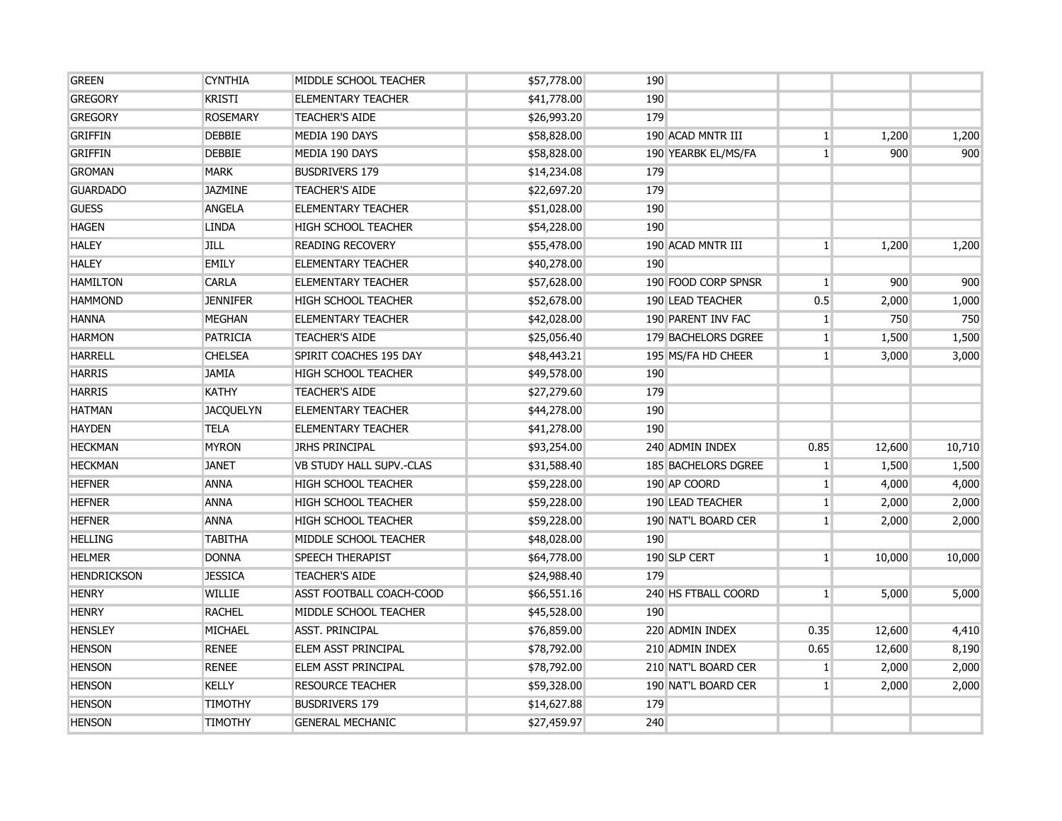| <b>GREEN</b>       | <b>CYNTHIA</b>   | MIDDLE SCHOOL TEACHER           | \$57,778.00 | 190                        |                 |        |        |
|--------------------|------------------|---------------------------------|-------------|----------------------------|-----------------|--------|--------|
| <b>GREGORY</b>     | <b>KRISTI</b>    | <b>ELEMENTARY TEACHER</b>       | \$41,778.00 | 190                        |                 |        |        |
| <b>GREGORY</b>     | <b>ROSEMARY</b>  | <b>TEACHER'S AIDE</b>           | \$26,993.20 | 179                        |                 |        |        |
| <b>GRIFFIN</b>     | <b>DEBBIE</b>    | MEDIA 190 DAYS                  | \$58,828.00 | 190 ACAD MNTR III          | $\mathbf{1}$    | 1,200  | 1,200  |
| <b>GRIFFIN</b>     | <b>DEBBIE</b>    | MEDIA 190 DAYS                  | \$58,828.00 | 190 YEARBK EL/MS/FA        | $\vert 1 \vert$ | 900    | 900    |
| <b>GROMAN</b>      | <b>MARK</b>      | <b>BUSDRIVERS 179</b>           | \$14,234.08 | 179                        |                 |        |        |
| <b>GUARDADO</b>    | <b>JAZMINE</b>   | <b>TEACHER'S AIDE</b>           | \$22,697.20 | 179                        |                 |        |        |
| <b>GUESS</b>       | <b>ANGELA</b>    | <b>ELEMENTARY TEACHER</b>       | \$51,028.00 | 190                        |                 |        |        |
| <b>HAGEN</b>       | <b>LINDA</b>     | <b>HIGH SCHOOL TEACHER</b>      | \$54,228.00 | 190                        |                 |        |        |
| <b>HALEY</b>       | <b>JILL</b>      | <b>READING RECOVERY</b>         | \$55,478.00 | 190 ACAD MNTR III          | 1 <sup>1</sup>  | 1,200  | 1,200  |
| <b>HALEY</b>       | <b>EMILY</b>     | <b>ELEMENTARY TEACHER</b>       | \$40,278.00 | 190                        |                 |        |        |
| <b>HAMILTON</b>    | <b>CARLA</b>     | <b>ELEMENTARY TEACHER</b>       | \$57,628.00 | 190 FOOD CORP SPNSR        | $\mathbf{1}$    | 900    | 900    |
| <b>HAMMOND</b>     | <b>JENNIFER</b>  | <b>HIGH SCHOOL TEACHER</b>      | \$52,678.00 | 190 LEAD TEACHER           | 0.5             | 2,000  | 1,000  |
| <b>HANNA</b>       | <b>MEGHAN</b>    | <b>ELEMENTARY TEACHER</b>       | \$42,028.00 | 190 PARENT INV FAC         | $\mathbf{1}$    | 750    | 750    |
| <b>HARMON</b>      | <b>PATRICIA</b>  | <b>TEACHER'S AIDE</b>           | \$25,056.40 | 179 BACHELORS DGREE        | $\mathbf{1}$    | 1,500  | 1,500  |
| <b>HARRELL</b>     | <b>CHELSEA</b>   | SPIRIT COACHES 195 DAY          | \$48,443.21 | 195 MS/FA HD CHEER         | $\mathbf{1}$    | 3,000  | 3,000  |
| <b>HARRIS</b>      | <b>JAMIA</b>     | <b>HIGH SCHOOL TEACHER</b>      | \$49,578.00 | 190                        |                 |        |        |
| <b>HARRIS</b>      | <b>KATHY</b>     | <b>TEACHER'S AIDE</b>           | \$27,279.60 | 179                        |                 |        |        |
| <b>HATMAN</b>      | <b>JACOUELYN</b> | <b>ELEMENTARY TEACHER</b>       | \$44,278.00 | 190                        |                 |        |        |
| <b>HAYDEN</b>      | <b>TELA</b>      | <b>ELEMENTARY TEACHER</b>       | \$41,278.00 | 190                        |                 |        |        |
| <b>HECKMAN</b>     | <b>MYRON</b>     | <b>JRHS PRINCIPAL</b>           | \$93,254.00 | 240 ADMIN INDEX            | 0.85            | 12,600 | 10,710 |
| <b>HECKMAN</b>     | <b>JANET</b>     | <b>VB STUDY HALL SUPV.-CLAS</b> | \$31,588.40 | <b>185 BACHELORS DGREE</b> | 1 <sup>1</sup>  | 1,500  | 1,500  |
| <b>HEFNER</b>      | <b>ANNA</b>      | <b>HIGH SCHOOL TEACHER</b>      | \$59,228.00 | 190 AP COORD               | $\mathbf{1}$    | 4,000  | 4,000  |
| <b>HEFNER</b>      | <b>ANNA</b>      | <b>HIGH SCHOOL TEACHER</b>      | \$59,228.00 | 190 LEAD TEACHER           | $\mathbf{1}$    | 2,000  | 2,000  |
| <b>HEFNER</b>      | <b>ANNA</b>      | <b>HIGH SCHOOL TEACHER</b>      | \$59,228.00 | 190 NAT'L BOARD CER        | 1 <sup>1</sup>  | 2,000  | 2,000  |
| <b>HELLING</b>     | <b>TABITHA</b>   | MIDDLE SCHOOL TEACHER           | \$48,028.00 | 190                        |                 |        |        |
| <b>HELMER</b>      | <b>DONNA</b>     | <b>SPEECH THERAPIST</b>         | \$64,778.00 | 190 SLP CERT               | $\mathbf{1}$    | 10,000 | 10,000 |
| <b>HENDRICKSON</b> | <b>JESSICA</b>   | <b>TEACHER'S AIDE</b>           | \$24,988.40 | 179                        |                 |        |        |
| <b>HENRY</b>       | <b>WILLIE</b>    | ASST FOOTBALL COACH-COOD        | \$66,551.16 | 240 HS FTBALL COORD        | $\vert 1 \vert$ | 5,000  | 5,000  |
| <b>HENRY</b>       | <b>RACHEL</b>    | MIDDLE SCHOOL TEACHER           | \$45,528.00 | 190                        |                 |        |        |
| <b>HENSLEY</b>     | MICHAEL          | <b>ASST. PRINCIPAL</b>          | \$76,859.00 | 220 ADMIN INDEX            | 0.35            | 12,600 | 4,410  |
| <b>HENSON</b>      | <b>RENEE</b>     | ELEM ASST PRINCIPAL             | \$78,792.00 | 210 ADMIN INDEX            | 0.65            | 12,600 | 8,190  |
| <b>HENSON</b>      | <b>RENEE</b>     | <b>ELEM ASST PRINCIPAL</b>      | \$78,792.00 | 210 NAT'L BOARD CER        | $\mathbf{1}$    | 2,000  | 2,000  |
| <b>HENSON</b>      | <b>KELLY</b>     | <b>RESOURCE TEACHER</b>         | \$59,328.00 | 190 NAT'L BOARD CER        | 1 <sup>1</sup>  | 2,000  | 2,000  |
| <b>HENSON</b>      | <b>TIMOTHY</b>   | <b>BUSDRIVERS 179</b>           | \$14,627.88 | 179                        |                 |        |        |
| <b>HENSON</b>      | <b>TIMOTHY</b>   | <b>GENERAL MECHANIC</b>         | \$27,459.97 | 240                        |                 |        |        |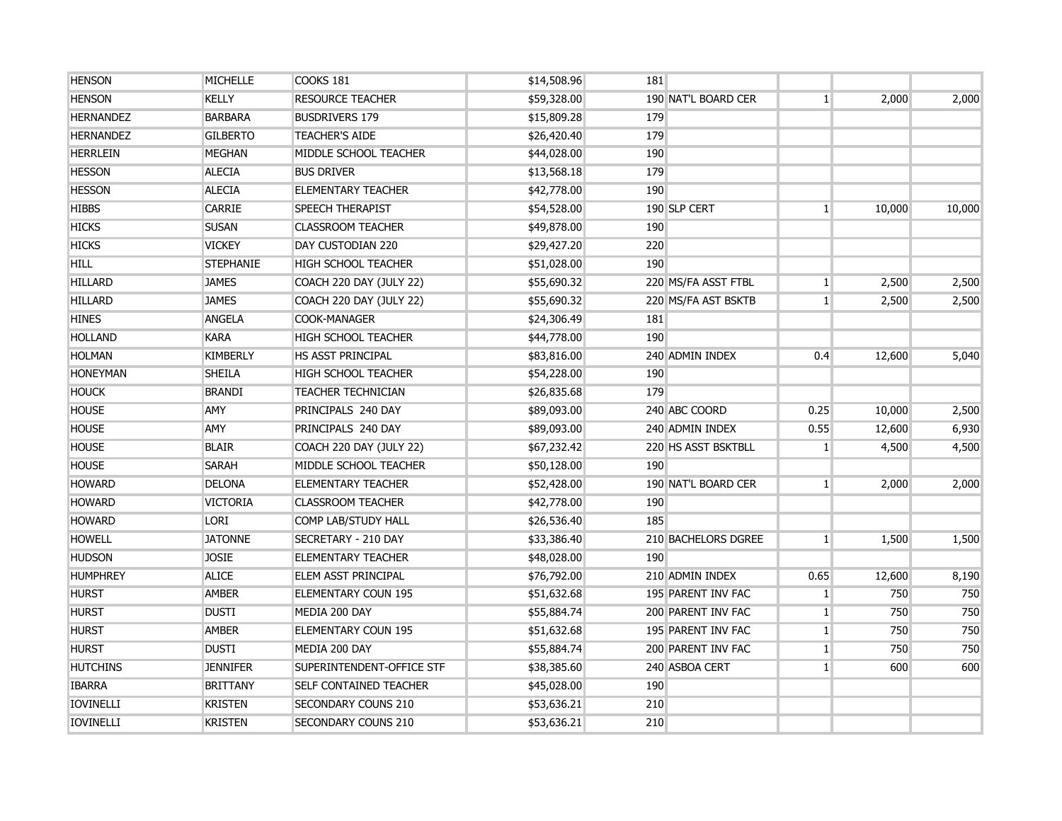| <b>HENSON</b>    | <b>MICHELLE</b>  | COOKS 181                     | \$14,508.96 | 181                 |                 |        |        |
|------------------|------------------|-------------------------------|-------------|---------------------|-----------------|--------|--------|
| <b>HENSON</b>    | <b>KELLY</b>     | <b>RESOURCE TEACHER</b>       | \$59,328.00 | 190 NAT'L BOARD CER | $\mathbf{1}$    | 2,000  | 2,000  |
| <b>HERNANDEZ</b> | <b>BARBARA</b>   | <b>BUSDRIVERS 179</b>         | \$15,809.28 | 179                 |                 |        |        |
| <b>HERNANDEZ</b> | <b>GILBERTO</b>  | <b>TEACHER'S AIDE</b>         | \$26,420.40 | 179                 |                 |        |        |
| <b>HERRLEIN</b>  | <b>MEGHAN</b>    | MIDDLE SCHOOL TEACHER         | \$44,028.00 | 190                 |                 |        |        |
| <b>HESSON</b>    | <b>ALECIA</b>    | <b>BUS DRIVER</b>             | \$13,568.18 | 179                 |                 |        |        |
| <b>HESSON</b>    | <b>ALECIA</b>    | <b>ELEMENTARY TEACHER</b>     | \$42,778.00 | 190                 |                 |        |        |
| <b>HIBBS</b>     | <b>CARRIE</b>    | <b>SPEECH THERAPIST</b>       | \$54,528.00 | 190 SLP CERT        | 1 <sup>1</sup>  | 10,000 | 10,000 |
| <b>HICKS</b>     | <b>SUSAN</b>     | <b>CLASSROOM TEACHER</b>      | \$49,878.00 | 190                 |                 |        |        |
| <b>HICKS</b>     | <b>VICKEY</b>    | DAY CUSTODIAN 220             | \$29,427.20 | 220                 |                 |        |        |
| <b>HILL</b>      | <b>STEPHANIE</b> | <b>HIGH SCHOOL TEACHER</b>    | \$51,028.00 | 190                 |                 |        |        |
| <b>HILLARD</b>   | <b>JAMES</b>     | COACH 220 DAY (JULY 22)       | \$55,690.32 | 220 MS/FA ASST FTBL | 1 <sup>1</sup>  | 2,500  | 2,500  |
| <b>HILLARD</b>   | <b>JAMES</b>     | COACH 220 DAY (JULY 22)       | \$55,690.32 | 220 MS/FA AST BSKTB | 1 <sup>1</sup>  | 2,500  | 2,500  |
| <b>HINES</b>     | <b>ANGELA</b>    | COOK-MANAGER                  | \$24,306.49 | 181                 |                 |        |        |
| <b>HOLLAND</b>   | <b>KARA</b>      | <b>HIGH SCHOOL TEACHER</b>    | \$44,778.00 | 190                 |                 |        |        |
| <b>HOLMAN</b>    | <b>KIMBERLY</b>  | <b>HS ASST PRINCIPAL</b>      | \$83,816.00 | 240 ADMIN INDEX     | 0.4             | 12,600 | 5,040  |
| <b>HONEYMAN</b>  | <b>SHEILA</b>    | <b>HIGH SCHOOL TEACHER</b>    | \$54,228.00 | 190                 |                 |        |        |
| <b>HOUCK</b>     | <b>BRANDI</b>    | <b>TEACHER TECHNICIAN</b>     | \$26,835.68 | 179                 |                 |        |        |
| <b>HOUSE</b>     | <b>AMY</b>       | PRINCIPALS 240 DAY            | \$89,093.00 | 240 ABC COORD       | 0.25            | 10,000 | 2,500  |
| <b>HOUSE</b>     | AMY              | PRINCIPALS 240 DAY            | \$89,093.00 | 240 ADMIN INDEX     | 0.55            | 12,600 | 6,930  |
| <b>HOUSE</b>     | <b>BLAIR</b>     | COACH 220 DAY (JULY 22)       | \$67,232.42 | 220 HS ASST BSKTBLL | $\mathbf{1}$    | 4,500  | 4,500  |
| <b>HOUSE</b>     | <b>SARAH</b>     | MIDDLE SCHOOL TEACHER         | \$50,128.00 | 190                 |                 |        |        |
| <b>HOWARD</b>    | <b>DELONA</b>    | <b>ELEMENTARY TEACHER</b>     | \$52,428.00 | 190 NAT'L BOARD CER | 1 <sup>1</sup>  | 2,000  | 2,000  |
| <b>HOWARD</b>    | <b>VICTORIA</b>  | <b>CLASSROOM TEACHER</b>      | \$42,778.00 | 190                 |                 |        |        |
| <b>HOWARD</b>    | <b>LORI</b>      | COMP LAB/STUDY HALL           | \$26,536.40 | 185                 |                 |        |        |
| <b>HOWELL</b>    | <b>JATONNE</b>   | SECRETARY - 210 DAY           | \$33,386.40 | 210 BACHELORS DGREE | 1 <sup>1</sup>  | 1,500  | 1,500  |
| <b>HUDSON</b>    | <b>JOSIE</b>     | <b>ELEMENTARY TEACHER</b>     | \$48,028.00 | 190                 |                 |        |        |
| <b>HUMPHREY</b>  | <b>ALICE</b>     | ELEM ASST PRINCIPAL           | \$76,792.00 | 210 ADMIN INDEX     | 0.65            | 12,600 | 8,190  |
| <b>HURST</b>     | <b>AMBER</b>     | <b>ELEMENTARY COUN 195</b>    | \$51,632.68 | 195 PARENT INV FAC  | $\vert 1 \vert$ | 750    | 750    |
| <b>HURST</b>     | <b>DUSTI</b>     | MEDIA 200 DAY                 | \$55,884.74 | 200 PARENT INV FAC  | $\mathbf{1}$    | 750    | 750    |
| <b>HURST</b>     | <b>AMBER</b>     | <b>ELEMENTARY COUN 195</b>    | \$51,632.68 | 195 PARENT INV FAC  | 1 <sup>1</sup>  | 750    | 750    |
| <b>HURST</b>     | <b>DUSTI</b>     | MEDIA 200 DAY                 | \$55,884.74 | 200 PARENT INV FAC  | 1 <sup>1</sup>  | 750    | 750    |
| <b>HUTCHINS</b>  | <b>JENNIFER</b>  | SUPERINTENDENT-OFFICE STF     | \$38,385.60 | 240 ASBOA CERT      | 1 <sup>1</sup>  | 600    | 600    |
| <b>IBARRA</b>    | <b>BRITTANY</b>  | <b>SELF CONTAINED TEACHER</b> | \$45,028.00 | 190                 |                 |        |        |
| <b>IOVINELLI</b> | <b>KRISTEN</b>   | SECONDARY COUNS 210           | \$53,636.21 | 210                 |                 |        |        |
| <b>IOVINELLI</b> | <b>KRISTEN</b>   | SECONDARY COUNS 210           | \$53,636.21 | 210                 |                 |        |        |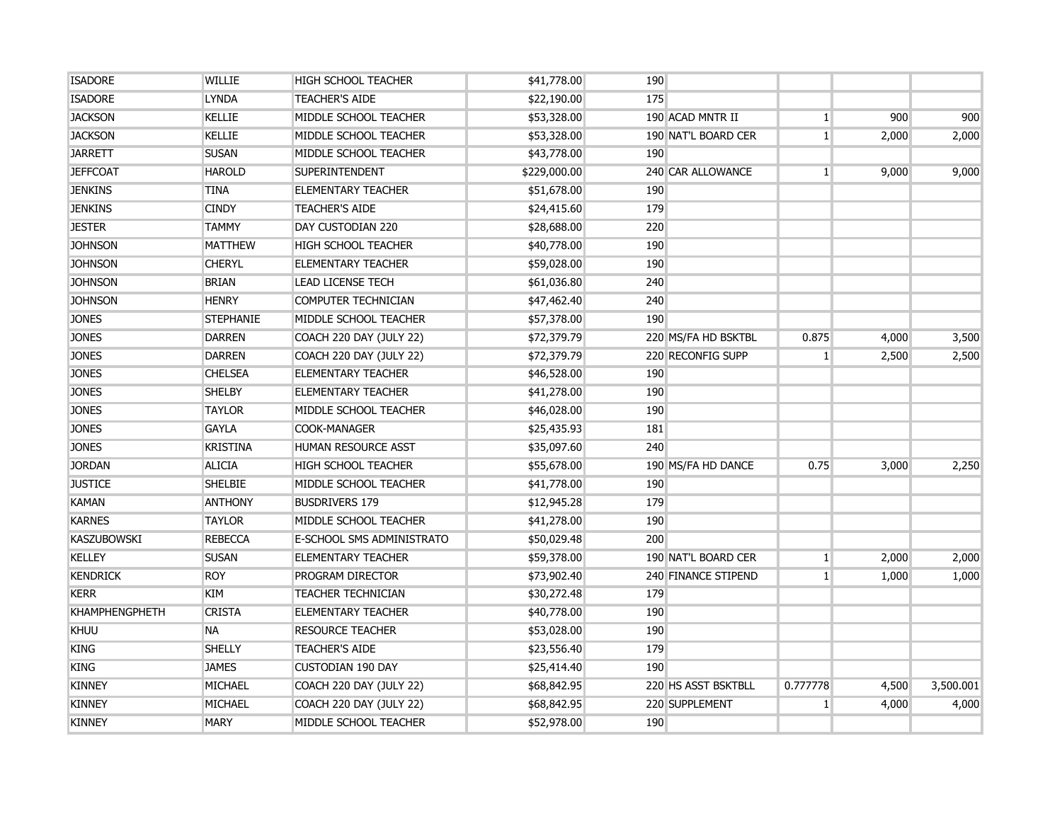| <b>ISADORE</b>        | <b>WILLIE</b>    | <b>HIGH SCHOOL TEACHER</b>       | \$41,778.00  | 190 |                     |                 |       |           |
|-----------------------|------------------|----------------------------------|--------------|-----|---------------------|-----------------|-------|-----------|
| <b>ISADORE</b>        | <b>LYNDA</b>     | <b>TEACHER'S AIDE</b>            | \$22,190.00  | 175 |                     |                 |       |           |
| <b>JACKSON</b>        | <b>KELLIE</b>    | MIDDLE SCHOOL TEACHER            | \$53,328.00  |     | 190 ACAD MNTR II    | $\mathbf{1}$    | 900   | 900       |
| <b>JACKSON</b>        | <b>KELLIE</b>    | MIDDLE SCHOOL TEACHER            | \$53,328.00  |     | 190 NAT'L BOARD CER | $\vert 1 \vert$ | 2,000 | 2,000     |
| <b>JARRETT</b>        | <b>SUSAN</b>     | MIDDLE SCHOOL TEACHER            | \$43,778.00  | 190 |                     |                 |       |           |
| <b>JEFFCOAT</b>       | <b>HAROLD</b>    | SUPERINTENDENT                   | \$229,000.00 |     | 240 CAR ALLOWANCE   | $\mathbf{1}$    | 9,000 | 9,000     |
| <b>JENKINS</b>        | <b>TINA</b>      | <b>ELEMENTARY TEACHER</b>        | \$51,678.00  | 190 |                     |                 |       |           |
| <b>JENKINS</b>        | <b>CINDY</b>     | <b>TEACHER'S AIDE</b>            | \$24,415.60  | 179 |                     |                 |       |           |
| <b>JESTER</b>         | <b>TAMMY</b>     | DAY CUSTODIAN 220                | \$28,688.00  | 220 |                     |                 |       |           |
| <b>JOHNSON</b>        | <b>MATTHEW</b>   | <b>HIGH SCHOOL TEACHER</b>       | \$40,778.00  | 190 |                     |                 |       |           |
| <b>JOHNSON</b>        | <b>CHERYL</b>    | <b>ELEMENTARY TEACHER</b>        | \$59,028.00  | 190 |                     |                 |       |           |
| <b>JOHNSON</b>        | <b>BRIAN</b>     | <b>LEAD LICENSE TECH</b>         | \$61,036.80  | 240 |                     |                 |       |           |
| <b>JOHNSON</b>        | <b>HENRY</b>     | COMPUTER TECHNICIAN              | \$47,462.40  | 240 |                     |                 |       |           |
| <b>JONES</b>          | <b>STEPHANIE</b> | MIDDLE SCHOOL TEACHER            | \$57,378.00  | 190 |                     |                 |       |           |
| <b>JONES</b>          | <b>DARREN</b>    | COACH 220 DAY (JULY 22)          | \$72,379.79  |     | 220 MS/FA HD BSKTBL | 0.875           | 4,000 | 3,500     |
| <b>JONES</b>          | <b>DARREN</b>    | COACH 220 DAY (JULY 22)          | \$72,379.79  |     | 220 RECONFIG SUPP   | $\mathbf{1}$    | 2,500 | 2,500     |
| <b>JONES</b>          | <b>CHELSEA</b>   | <b>ELEMENTARY TEACHER</b>        | \$46,528.00  | 190 |                     |                 |       |           |
| <b>JONES</b>          | <b>SHELBY</b>    | <b>ELEMENTARY TEACHER</b>        | \$41,278.00  | 190 |                     |                 |       |           |
| <b>JONES</b>          | <b>TAYLOR</b>    | MIDDLE SCHOOL TEACHER            | \$46,028.00  | 190 |                     |                 |       |           |
| <b>JONES</b>          | <b>GAYLA</b>     | <b>COOK-MANAGER</b>              | \$25,435.93  | 181 |                     |                 |       |           |
| <b>JONES</b>          | <b>KRISTINA</b>  | <b>HUMAN RESOURCE ASST</b>       | \$35,097.60  | 240 |                     |                 |       |           |
| <b>JORDAN</b>         | <b>ALICIA</b>    | <b>HIGH SCHOOL TEACHER</b>       | \$55,678.00  |     | 190 MS/FA HD DANCE  | 0.75            | 3,000 | 2,250     |
| <b>JUSTICE</b>        | <b>SHELBIE</b>   | MIDDLE SCHOOL TEACHER            | \$41,778.00  | 190 |                     |                 |       |           |
| <b>KAMAN</b>          | <b>ANTHONY</b>   | <b>BUSDRIVERS 179</b>            | \$12,945.28  | 179 |                     |                 |       |           |
| <b>KARNES</b>         | <b>TAYLOR</b>    | MIDDLE SCHOOL TEACHER            | \$41,278.00  | 190 |                     |                 |       |           |
| <b>KASZUBOWSKI</b>    | <b>REBECCA</b>   | <b>E-SCHOOL SMS ADMINISTRATO</b> | \$50,029.48  | 200 |                     |                 |       |           |
| <b>KELLEY</b>         | <b>SUSAN</b>     | <b>ELEMENTARY TEACHER</b>        | \$59,378.00  |     | 190 NAT'L BOARD CER | $\mathbf{1}$    | 2,000 | 2,000     |
| <b>KENDRICK</b>       | <b>ROY</b>       | PROGRAM DIRECTOR                 | \$73,902.40  |     | 240 FINANCE STIPEND | $\mathbf{1}$    | 1,000 | 1,000     |
| <b>KERR</b>           | <b>KIM</b>       | <b>TEACHER TECHNICIAN</b>        | \$30,272.48  | 179 |                     |                 |       |           |
| <b>KHAMPHENGPHETH</b> | <b>CRISTA</b>    | <b>ELEMENTARY TEACHER</b>        | \$40,778.00  | 190 |                     |                 |       |           |
| <b>KHUU</b>           | <b>NA</b>        | <b>RESOURCE TEACHER</b>          | \$53,028.00  | 190 |                     |                 |       |           |
| <b>KING</b>           | <b>SHELLY</b>    | <b>TEACHER'S AIDE</b>            | \$23,556.40  | 179 |                     |                 |       |           |
| <b>KING</b>           | <b>JAMES</b>     | <b>CUSTODIAN 190 DAY</b>         | \$25,414.40  | 190 |                     |                 |       |           |
| <b>KINNEY</b>         | <b>MICHAEL</b>   | COACH 220 DAY (JULY 22)          | \$68,842.95  |     | 220 HS ASST BSKTBLL | 0.777778        | 4,500 | 3,500.001 |
| <b>KINNEY</b>         | MICHAEL          | COACH 220 DAY (JULY 22)          | \$68,842.95  |     | 220 SUPPLEMENT      | $\mathbf{1}$    | 4,000 | 4,000     |
| <b>KINNEY</b>         | <b>MARY</b>      | MIDDLE SCHOOL TEACHER            | \$52,978.00  | 190 |                     |                 |       |           |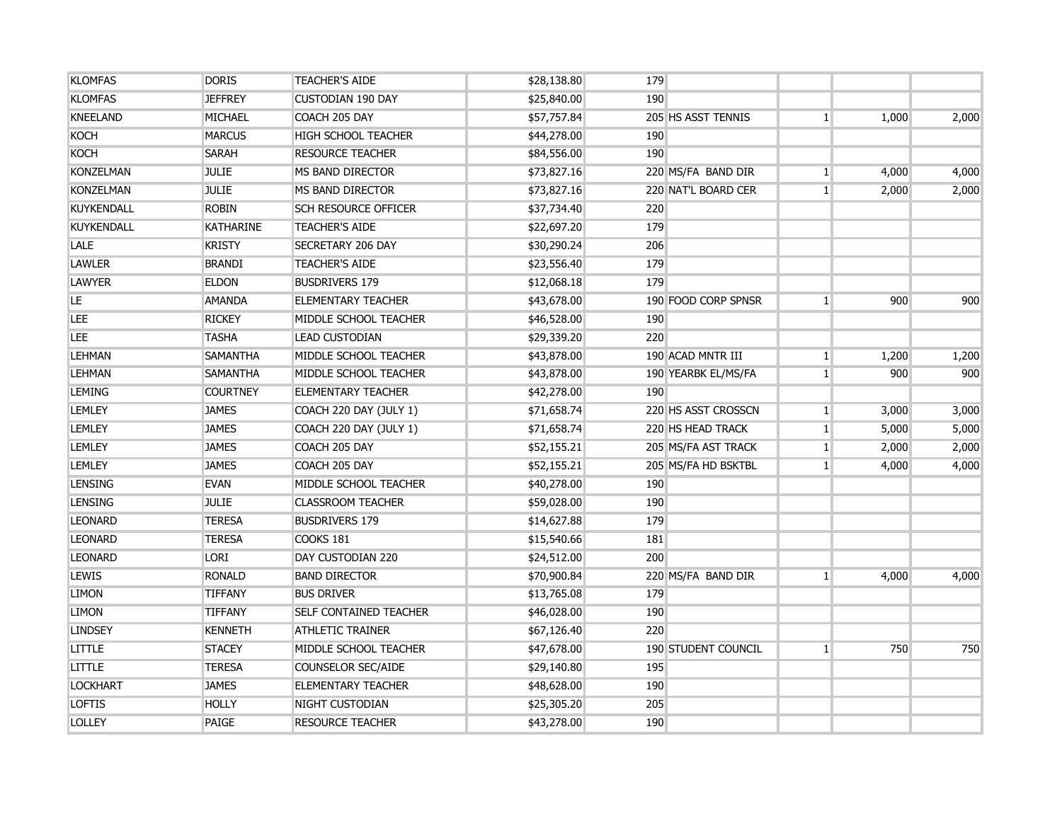| <b>KLOMFAS</b>    | <b>DORIS</b>     | <b>TEACHER'S AIDE</b>         | \$28,138.80 | 179                        |                |       |       |
|-------------------|------------------|-------------------------------|-------------|----------------------------|----------------|-------|-------|
| <b>KLOMFAS</b>    | <b>JEFFREY</b>   | <b>CUSTODIAN 190 DAY</b>      | \$25,840.00 | 190                        |                |       |       |
| <b>KNEELAND</b>   | <b>MICHAEL</b>   | COACH 205 DAY                 | \$57,757.84 | 205 HS ASST TENNIS         | 1 <sup>1</sup> | 1,000 | 2,000 |
| <b>KOCH</b>       | <b>MARCUS</b>    | <b>HIGH SCHOOL TEACHER</b>    | \$44,278.00 | 190                        |                |       |       |
| <b>KOCH</b>       | <b>SARAH</b>     | <b>RESOURCE TEACHER</b>       | \$84,556.00 | 190                        |                |       |       |
| <b>KONZELMAN</b>  | <b>JULIE</b>     | MS BAND DIRECTOR              | \$73,827.16 | 220 MS/FA BAND DIR         | $\mathbf{1}$   | 4,000 | 4,000 |
| <b>KONZELMAN</b>  | <b>JULIE</b>     | MS BAND DIRECTOR              | \$73,827.16 | 220 NAT'L BOARD CER        | 1 <sup>1</sup> | 2,000 | 2,000 |
| <b>KUYKENDALL</b> | <b>ROBIN</b>     | <b>SCH RESOURCE OFFICER</b>   | \$37,734.40 | 220                        |                |       |       |
| <b>KUYKENDALL</b> | <b>KATHARINE</b> | <b>TEACHER'S AIDE</b>         | \$22,697.20 | 179                        |                |       |       |
| <b>LALE</b>       | <b>KRISTY</b>    | SECRETARY 206 DAY             | \$30,290.24 | 206                        |                |       |       |
| <b>LAWLER</b>     | <b>BRANDI</b>    | <b>TEACHER'S AIDE</b>         | \$23,556.40 | 179                        |                |       |       |
| <b>LAWYER</b>     | <b>ELDON</b>     | <b>BUSDRIVERS 179</b>         | \$12,068.18 | 179                        |                |       |       |
| LE                | <b>AMANDA</b>    | <b>ELEMENTARY TEACHER</b>     | \$43,678.00 | 190 FOOD CORP SPNSR        | 1 <sup>1</sup> | 900   | 900   |
| LEE               | <b>RICKEY</b>    | MIDDLE SCHOOL TEACHER         | \$46,528.00 | 190                        |                |       |       |
| LEE               | TASHA            | <b>LEAD CUSTODIAN</b>         | \$29,339.20 | 220                        |                |       |       |
| <b>LEHMAN</b>     | <b>SAMANTHA</b>  | MIDDLE SCHOOL TEACHER         | \$43,878.00 | 190 ACAD MNTR III          | $\mathbf{1}$   | 1,200 | 1,200 |
| <b>LEHMAN</b>     | <b>SAMANTHA</b>  | MIDDLE SCHOOL TEACHER         | \$43,878.00 | 190 YEARBK EL/MS/FA        | 1 <sup>1</sup> | 900   | 900   |
| <b>LEMING</b>     | <b>COURTNEY</b>  | <b>ELEMENTARY TEACHER</b>     | \$42,278.00 | 190                        |                |       |       |
| <b>LEMLEY</b>     | <b>JAMES</b>     | COACH 220 DAY (JULY 1)        | \$71,658.74 | 220 HS ASST CROSSCN        | $\mathbf{1}$   | 3,000 | 3,000 |
| <b>LEMLEY</b>     | <b>JAMES</b>     | COACH 220 DAY (JULY 1)        | \$71,658.74 | 220 HS HEAD TRACK          | $1\vert$       | 5,000 | 5,000 |
| <b>LEMLEY</b>     | <b>JAMES</b>     | COACH 205 DAY                 | \$52,155.21 | 205 MS/FA AST TRACK        | $1\vert$       | 2,000 | 2,000 |
| <b>LEMLEY</b>     | <b>JAMES</b>     | COACH 205 DAY                 | \$52,155.21 | 205 MS/FA HD BSKTBL        | 1 <sup>1</sup> | 4,000 | 4,000 |
| <b>LENSING</b>    | <b>EVAN</b>      | MIDDLE SCHOOL TEACHER         | \$40,278.00 | 190                        |                |       |       |
| <b>LENSING</b>    | <b>JULIE</b>     | <b>CLASSROOM TEACHER</b>      | \$59,028.00 | 190                        |                |       |       |
| <b>LEONARD</b>    | <b>TERESA</b>    | <b>BUSDRIVERS 179</b>         | \$14,627.88 | 179                        |                |       |       |
| <b>LEONARD</b>    | <b>TERESA</b>    | COOKS 181                     | \$15,540.66 | 181                        |                |       |       |
| <b>LEONARD</b>    | LORI             | DAY CUSTODIAN 220             | \$24,512.00 | 200                        |                |       |       |
| <b>LEWIS</b>      | <b>RONALD</b>    | <b>BAND DIRECTOR</b>          | \$70,900.84 | 220 MS/FA BAND DIR         | 1 <sup>1</sup> | 4,000 | 4,000 |
| <b>LIMON</b>      | <b>TIFFANY</b>   | <b>BUS DRIVER</b>             | \$13,765.08 | 179                        |                |       |       |
| <b>LIMON</b>      | <b>TIFFANY</b>   | <b>SELF CONTAINED TEACHER</b> | \$46,028.00 | 190                        |                |       |       |
| <b>LINDSEY</b>    | <b>KENNETH</b>   | <b>ATHLETIC TRAINER</b>       | \$67,126.40 | 220                        |                |       |       |
| <b>LITTLE</b>     | <b>STACEY</b>    | MIDDLE SCHOOL TEACHER         | \$47,678.00 | <b>190 STUDENT COUNCIL</b> | 1 <sup>1</sup> | 750   | 750   |
| <b>LITTLE</b>     | <b>TERESA</b>    | <b>COUNSELOR SEC/AIDE</b>     | \$29,140.80 | 195                        |                |       |       |
| <b>LOCKHART</b>   | <b>JAMES</b>     | <b>ELEMENTARY TEACHER</b>     | \$48,628.00 | 190                        |                |       |       |
| <b>LOFTIS</b>     | <b>HOLLY</b>     | NIGHT CUSTODIAN               | \$25,305.20 | 205                        |                |       |       |
| <b>LOLLEY</b>     | PAIGE            | <b>RESOURCE TEACHER</b>       | \$43,278.00 | 190                        |                |       |       |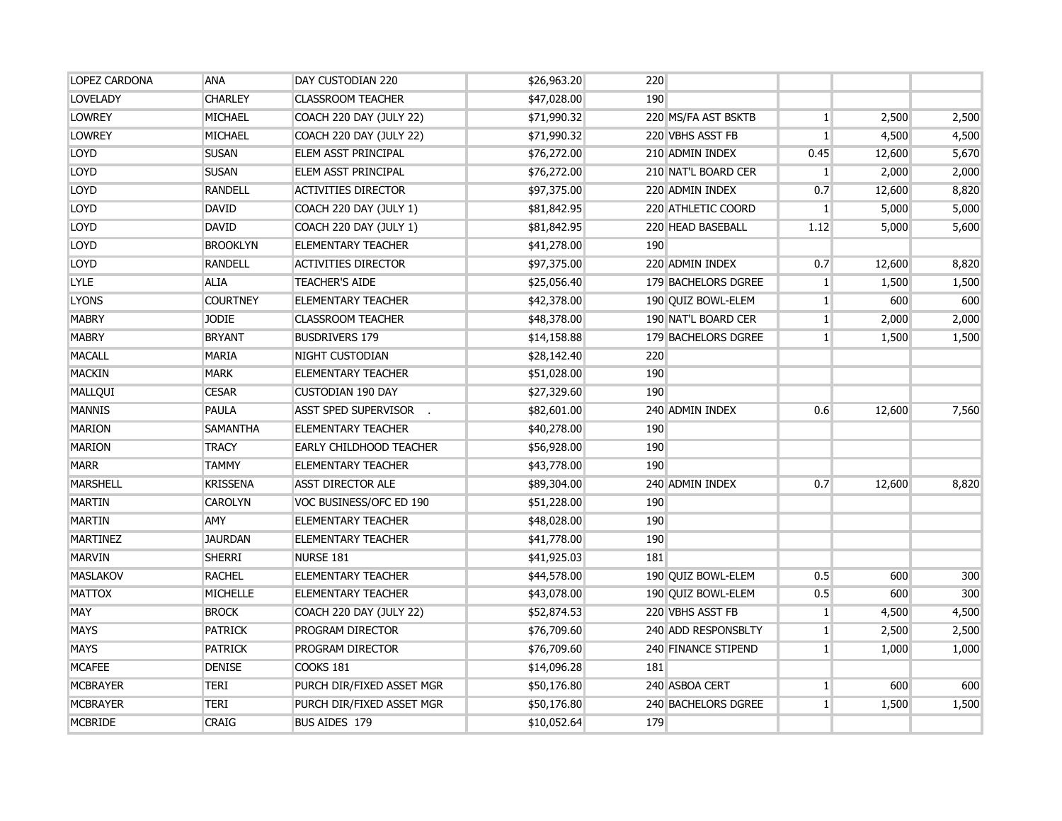| <b>LOPEZ CARDONA</b> | <b>ANA</b>      | DAY CUSTODIAN 220              | \$26,963.20 | 220 |                     |                |        |       |
|----------------------|-----------------|--------------------------------|-------------|-----|---------------------|----------------|--------|-------|
| <b>LOVELADY</b>      | <b>CHARLEY</b>  | <b>CLASSROOM TEACHER</b>       | \$47,028.00 | 190 |                     |                |        |       |
| <b>LOWREY</b>        | MICHAEL         | COACH 220 DAY (JULY 22)        | \$71,990.32 |     | 220 MS/FA AST BSKTB | 1 <sup>1</sup> | 2,500  | 2,500 |
| <b>LOWREY</b>        | MICHAEL         | COACH 220 DAY (JULY 22)        | \$71,990.32 |     | 220 VBHS ASST FB    | 1              | 4,500  | 4,500 |
| LOYD                 | <b>SUSAN</b>    | ELEM ASST PRINCIPAL            | \$76,272.00 |     | 210 ADMIN INDEX     | 0.45           | 12,600 | 5,670 |
| LOYD                 | <b>SUSAN</b>    | ELEM ASST PRINCIPAL            | \$76,272.00 |     | 210 NAT'L BOARD CER | $\mathbf{1}$   | 2,000  | 2,000 |
| LOYD                 | <b>RANDELL</b>  | <b>ACTIVITIES DIRECTOR</b>     | \$97,375.00 |     | 220 ADMIN INDEX     | 0.7            | 12,600 | 8,820 |
| <b>LOYD</b>          | <b>DAVID</b>    | COACH 220 DAY (JULY 1)         | \$81,842.95 |     | 220 ATHLETIC COORD  | $\mathbf{1}$   | 5,000  | 5,000 |
| <b>LOYD</b>          | <b>DAVID</b>    | COACH 220 DAY (JULY 1)         | \$81,842.95 |     | 220 HEAD BASEBALL   | 1.12           | 5,000  | 5,600 |
| LOYD                 | <b>BROOKLYN</b> | <b>ELEMENTARY TEACHER</b>      | \$41,278.00 | 190 |                     |                |        |       |
| LOYD                 | <b>RANDELL</b>  | <b>ACTIVITIES DIRECTOR</b>     | \$97,375.00 |     | 220 ADMIN INDEX     | 0.7            | 12,600 | 8,820 |
| <b>LYLE</b>          | <b>ALIA</b>     | <b>TEACHER'S AIDE</b>          | \$25,056.40 |     | 179 BACHELORS DGREE | 1 <sup>1</sup> | 1,500  | 1,500 |
| <b>LYONS</b>         | <b>COURTNEY</b> | <b>ELEMENTARY TEACHER</b>      | \$42,378.00 |     | 190 QUIZ BOWL-ELEM  | 1 <sup>1</sup> | 600    | 600   |
| <b>MABRY</b>         | <b>JODIE</b>    | <b>CLASSROOM TEACHER</b>       | \$48,378.00 |     | 190 NAT'L BOARD CER | 1 <sup>1</sup> | 2,000  | 2,000 |
| <b>MABRY</b>         | <b>BRYANT</b>   | <b>BUSDRIVERS 179</b>          | \$14,158.88 |     | 179 BACHELORS DGREE | $\mathbf{1}$   | 1,500  | 1,500 |
| <b>MACALL</b>        | MARIA           | NIGHT CUSTODIAN                | \$28,142.40 | 220 |                     |                |        |       |
| <b>MACKIN</b>        | <b>MARK</b>     | <b>ELEMENTARY TEACHER</b>      | \$51,028.00 | 190 |                     |                |        |       |
| MALLQUI              | <b>CESAR</b>    | <b>CUSTODIAN 190 DAY</b>       | \$27,329.60 | 190 |                     |                |        |       |
| <b>MANNIS</b>        | PAULA           | ASST SPED SUPERVISOR .         | \$82,601.00 |     | 240 ADMIN INDEX     | 0.6            | 12,600 | 7,560 |
| <b>MARION</b>        | <b>SAMANTHA</b> | <b>ELEMENTARY TEACHER</b>      | \$40,278.00 | 190 |                     |                |        |       |
| <b>MARION</b>        | <b>TRACY</b>    | <b>EARLY CHILDHOOD TEACHER</b> | \$56,928.00 | 190 |                     |                |        |       |
| <b>MARR</b>          | <b>TAMMY</b>    | <b>ELEMENTARY TEACHER</b>      | \$43,778.00 | 190 |                     |                |        |       |
| <b>MARSHELL</b>      | <b>KRISSENA</b> | <b>ASST DIRECTOR ALE</b>       | \$89,304.00 |     | 240 ADMIN INDEX     | 0.7            | 12,600 | 8,820 |
| <b>MARTIN</b>        | <b>CAROLYN</b>  | VOC BUSINESS/OFC ED 190        | \$51,228.00 | 190 |                     |                |        |       |
| <b>MARTIN</b>        | <b>AMY</b>      | <b>ELEMENTARY TEACHER</b>      | \$48,028.00 | 190 |                     |                |        |       |
| <b>MARTINEZ</b>      | <b>JAURDAN</b>  | <b>ELEMENTARY TEACHER</b>      | \$41,778.00 | 190 |                     |                |        |       |
| <b>MARVIN</b>        | <b>SHERRI</b>   | NURSE 181                      | \$41,925.03 | 181 |                     |                |        |       |
| <b>MASLAKOV</b>      | <b>RACHEL</b>   | <b>ELEMENTARY TEACHER</b>      | \$44,578.00 |     | 190 QUIZ BOWL-ELEM  | 0.5            | 600    | 300   |
| <b>MATTOX</b>        | <b>MICHELLE</b> | <b>ELEMENTARY TEACHER</b>      | \$43,078.00 |     | 190 QUIZ BOWL-ELEM  | 0.5            | 600    | 300   |
| <b>MAY</b>           | <b>BROCK</b>    | COACH 220 DAY (JULY 22)        | \$52,874.53 |     | 220 VBHS ASST FB    | $\mathbf{1}$   | 4,500  | 4,500 |
| <b>MAYS</b>          | <b>PATRICK</b>  | PROGRAM DIRECTOR               | \$76,709.60 |     | 240 ADD RESPONSBLTY | 1 <sup>1</sup> | 2,500  | 2,500 |
| <b>MAYS</b>          | <b>PATRICK</b>  | PROGRAM DIRECTOR               | \$76,709.60 |     | 240 FINANCE STIPEND | $\mathbf{1}$   | 1,000  | 1,000 |
| <b>MCAFEE</b>        | <b>DENISE</b>   | <b>COOKS 181</b>               | \$14,096.28 | 181 |                     |                |        |       |
| <b>MCBRAYER</b>      | <b>TERI</b>     | PURCH DIR/FIXED ASSET MGR      | \$50,176.80 |     | 240 ASBOA CERT      | $\mathbf{1}$   | 600    | 600   |
| <b>MCBRAYER</b>      | <b>TERI</b>     | PURCH DIR/FIXED ASSET MGR      | \$50,176.80 |     | 240 BACHELORS DGREE | 1 <sup>1</sup> | 1,500  | 1,500 |
| <b>MCBRIDE</b>       | <b>CRAIG</b>    | <b>BUS AIDES 179</b>           | \$10,052.64 | 179 |                     |                |        |       |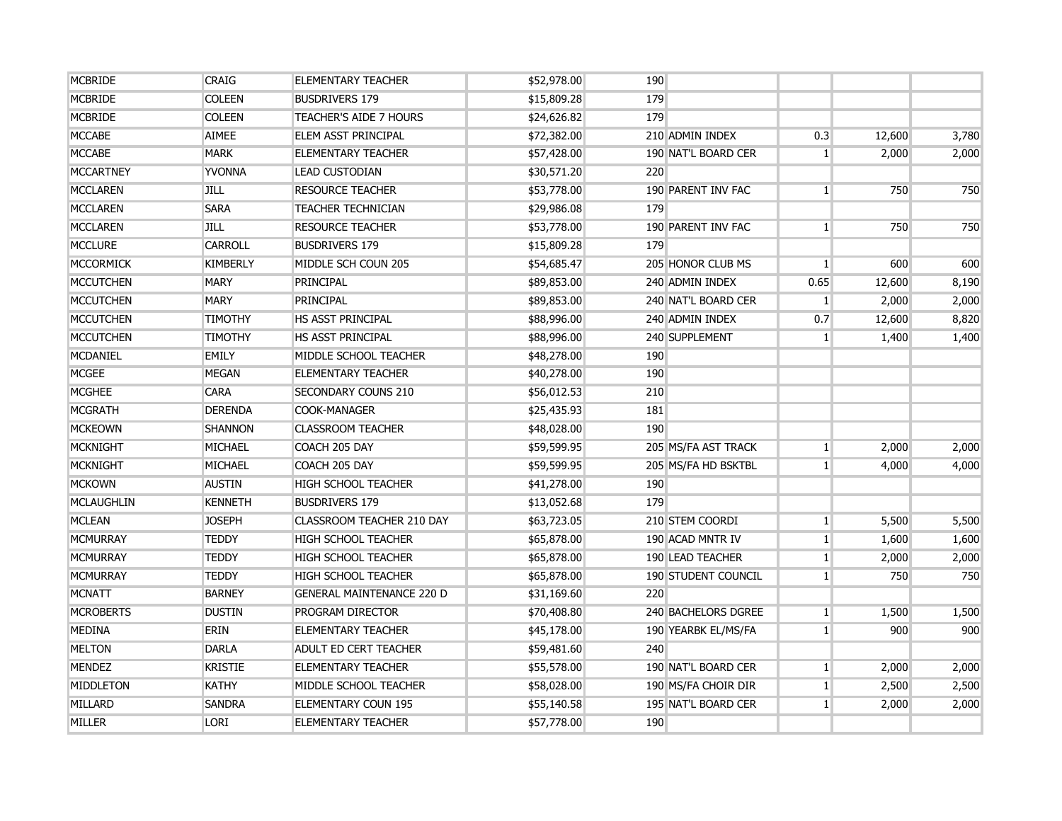| <b>MCBRIDE</b>    | <b>CRAIG</b>    | <b>ELEMENTARY TEACHER</b>        | \$52,978.00 | 190 |                            |                |        |       |
|-------------------|-----------------|----------------------------------|-------------|-----|----------------------------|----------------|--------|-------|
| <b>MCBRIDE</b>    | <b>COLEEN</b>   | <b>BUSDRIVERS 179</b>            | \$15,809.28 | 179 |                            |                |        |       |
| <b>MCBRIDE</b>    | <b>COLEEN</b>   | <b>TEACHER'S AIDE 7 HOURS</b>    | \$24,626.82 | 179 |                            |                |        |       |
| <b>MCCABE</b>     | <b>AIMEE</b>    | <b>ELEM ASST PRINCIPAL</b>       | \$72,382.00 |     | 210 ADMIN INDEX            | 0.3            | 12,600 | 3,780 |
| <b>MCCABE</b>     | <b>MARK</b>     | <b>ELEMENTARY TEACHER</b>        | \$57,428.00 |     | 190 NAT'L BOARD CER        | 1 <sup>1</sup> | 2,000  | 2,000 |
| <b>MCCARTNEY</b>  | <b>YVONNA</b>   | <b>LEAD CUSTODIAN</b>            | \$30,571.20 | 220 |                            |                |        |       |
| <b>MCCLAREN</b>   | JILL            | <b>RESOURCE TEACHER</b>          | \$53,778.00 |     | 190 PARENT INV FAC         | 1 <sup>1</sup> | 750    | 750   |
| <b>MCCLAREN</b>   | <b>SARA</b>     | <b>TEACHER TECHNICIAN</b>        | \$29,986.08 | 179 |                            |                |        |       |
| <b>MCCLAREN</b>   | <b>JILL</b>     | <b>RESOURCE TEACHER</b>          | \$53,778.00 |     | 190 PARENT INV FAC         | 1 <sup>1</sup> | 750    | 750   |
| <b>MCCLURE</b>    | <b>CARROLL</b>  | <b>BUSDRIVERS 179</b>            | \$15,809.28 | 179 |                            |                |        |       |
| <b>MCCORMICK</b>  | <b>KIMBERLY</b> | MIDDLE SCH COUN 205              | \$54,685.47 |     | 205 HONOR CLUB MS          | 1 <sup>1</sup> | 600    | 600   |
| <b>MCCUTCHEN</b>  | <b>MARY</b>     | PRINCIPAL                        | \$89,853.00 |     | 240 ADMIN INDEX            | 0.65           | 12,600 | 8,190 |
| <b>MCCUTCHEN</b>  | <b>MARY</b>     | PRINCIPAL                        | \$89,853.00 |     | 240 NAT'L BOARD CER        | 1 <sup>1</sup> | 2,000  | 2,000 |
| <b>MCCUTCHEN</b>  | <b>TIMOTHY</b>  | <b>HS ASST PRINCIPAL</b>         | \$88,996.00 |     | 240 ADMIN INDEX            | 0.7            | 12,600 | 8,820 |
| <b>MCCUTCHEN</b>  | <b>TIMOTHY</b>  | <b>HS ASST PRINCIPAL</b>         | \$88,996.00 |     | 240 SUPPLEMENT             | $\mathbf{1}$   | 1,400  | 1,400 |
| <b>MCDANIEL</b>   | <b>EMILY</b>    | MIDDLE SCHOOL TEACHER            | \$48,278.00 | 190 |                            |                |        |       |
| <b>MCGEE</b>      | <b>MEGAN</b>    | <b>ELEMENTARY TEACHER</b>        | \$40,278.00 | 190 |                            |                |        |       |
| <b>MCGHEE</b>     | <b>CARA</b>     | SECONDARY COUNS 210              | \$56,012.53 | 210 |                            |                |        |       |
| <b>MCGRATH</b>    | <b>DERENDA</b>  | <b>COOK-MANAGER</b>              | \$25,435.93 | 181 |                            |                |        |       |
| <b>MCKEOWN</b>    | <b>SHANNON</b>  | <b>CLASSROOM TEACHER</b>         | \$48,028.00 | 190 |                            |                |        |       |
| <b>MCKNIGHT</b>   | <b>MICHAEL</b>  | COACH 205 DAY                    | \$59,599.95 |     | 205 MS/FA AST TRACK        | 1 <sup>1</sup> | 2,000  | 2,000 |
| <b>MCKNIGHT</b>   | <b>MICHAEL</b>  | COACH 205 DAY                    | \$59,599.95 |     | 205 MS/FA HD BSKTBL        | 1 <sup>1</sup> | 4,000  | 4,000 |
| <b>MCKOWN</b>     | <b>AUSTIN</b>   | <b>HIGH SCHOOL TEACHER</b>       | \$41,278.00 | 190 |                            |                |        |       |
| <b>MCLAUGHLIN</b> | <b>KENNETH</b>  | <b>BUSDRIVERS 179</b>            | \$13,052.68 | 179 |                            |                |        |       |
| <b>MCLEAN</b>     | <b>JOSEPH</b>   | CLASSROOM TEACHER 210 DAY        | \$63,723.05 |     | 210 STEM COORDI            | 1 <sup>1</sup> | 5,500  | 5,500 |
| <b>MCMURRAY</b>   | <b>TEDDY</b>    | <b>HIGH SCHOOL TEACHER</b>       | \$65,878.00 |     | 190 ACAD MNTR IV           | $\mathbf{1}$   | 1,600  | 1,600 |
| <b>MCMURRAY</b>   | <b>TEDDY</b>    | <b>HIGH SCHOOL TEACHER</b>       | \$65,878.00 |     | 190 LEAD TEACHER           | $\mathbf{1}$   | 2,000  | 2,000 |
| <b>MCMURRAY</b>   | <b>TEDDY</b>    | <b>HIGH SCHOOL TEACHER</b>       | \$65,878.00 |     | <b>190 STUDENT COUNCIL</b> | $\mathbf{1}$   | 750    | 750   |
| <b>MCNATT</b>     | <b>BARNEY</b>   | <b>GENERAL MAINTENANCE 220 D</b> | \$31,169.60 | 220 |                            |                |        |       |
| <b>MCROBERTS</b>  | <b>DUSTIN</b>   | <b>PROGRAM DIRECTOR</b>          | \$70,408.80 |     | 240 BACHELORS DGREE        | $\mathbf{1}$   | 1,500  | 1,500 |
| <b>MEDINA</b>     | ERIN            | <b>ELEMENTARY TEACHER</b>        | \$45,178.00 |     | 190 YEARBK EL/MS/FA        | 1 <sup>1</sup> | 900    | 900   |
| <b>MELTON</b>     | <b>DARLA</b>    | <b>ADULT ED CERT TEACHER</b>     | \$59,481.60 | 240 |                            |                |        |       |
| <b>MENDEZ</b>     | <b>KRISTIE</b>  | <b>ELEMENTARY TEACHER</b>        | \$55,578.00 |     | 190 NAT'L BOARD CER        | 1 <sup>1</sup> | 2,000  | 2,000 |
| <b>MIDDLETON</b>  | <b>KATHY</b>    | MIDDLE SCHOOL TEACHER            | \$58,028.00 |     | 190 MS/FA CHOIR DIR        | 1 <sup>1</sup> | 2,500  | 2,500 |
| MILLARD           | <b>SANDRA</b>   | <b>ELEMENTARY COUN 195</b>       | \$55,140.58 |     | 195 NAT'L BOARD CER        | 1              | 2,000  | 2,000 |
| MILLER            | <b>LORI</b>     | <b>ELEMENTARY TEACHER</b>        | \$57,778.00 | 190 |                            |                |        |       |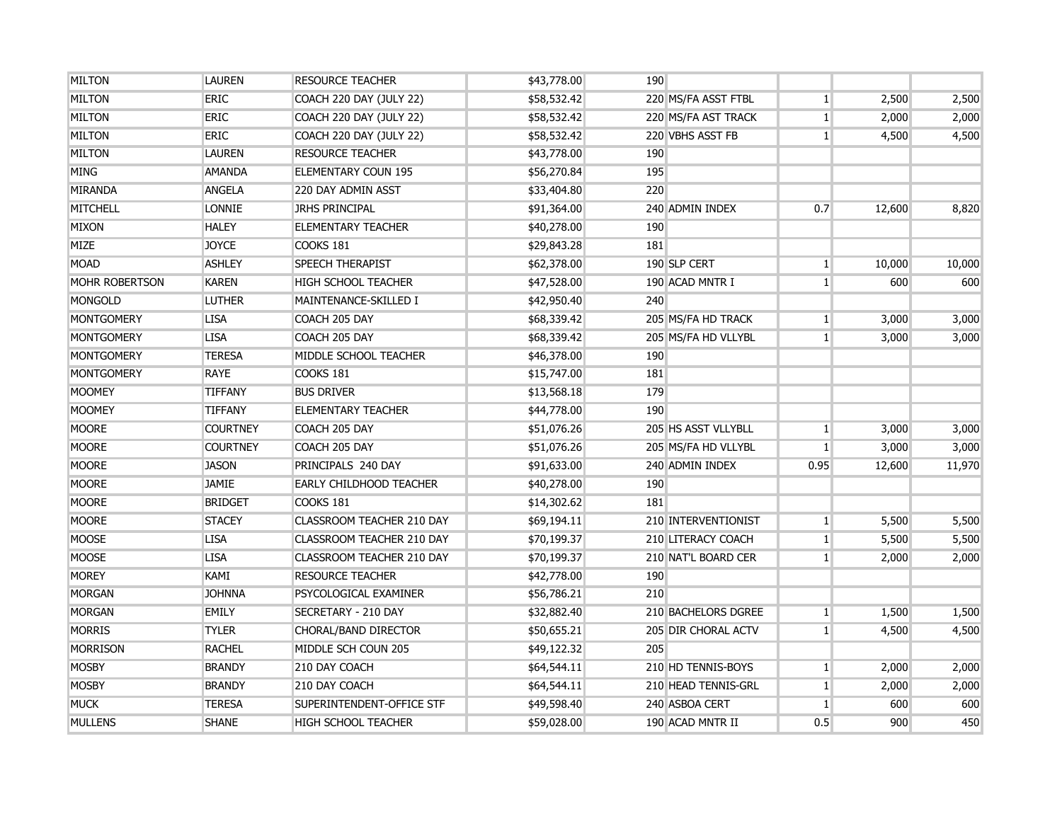| <b>MILTON</b>         | <b>LAUREN</b>   | <b>RESOURCE TEACHER</b>        | \$43,778.00 | 190 |                     |                |        |        |
|-----------------------|-----------------|--------------------------------|-------------|-----|---------------------|----------------|--------|--------|
| <b>MILTON</b>         | <b>ERIC</b>     | COACH 220 DAY (JULY 22)        | \$58,532.42 |     | 220 MS/FA ASST FTBL | $\mathbf{1}$   | 2,500  | 2,500  |
| <b>MILTON</b>         | <b>ERIC</b>     | COACH 220 DAY (JULY 22)        | \$58,532.42 |     | 220 MS/FA AST TRACK | $\mathbf{1}$   | 2,000  | 2,000  |
| <b>MILTON</b>         | <b>ERIC</b>     | COACH 220 DAY (JULY 22)        | \$58,532.42 |     | 220 VBHS ASST FB    | $\mathbf{1}$   | 4,500  | 4,500  |
| <b>MILTON</b>         | <b>LAUREN</b>   | <b>RESOURCE TEACHER</b>        | \$43,778.00 | 190 |                     |                |        |        |
| <b>MING</b>           | <b>AMANDA</b>   | <b>ELEMENTARY COUN 195</b>     | \$56,270.84 | 195 |                     |                |        |        |
| <b>MIRANDA</b>        | <b>ANGELA</b>   | 220 DAY ADMIN ASST             | \$33,404.80 | 220 |                     |                |        |        |
| <b>MITCHELL</b>       | <b>LONNIE</b>   | <b>JRHS PRINCIPAL</b>          | \$91,364.00 |     | 240 ADMIN INDEX     | 0.7            | 12,600 | 8,820  |
| <b>MIXON</b>          | <b>HALEY</b>    | <b>ELEMENTARY TEACHER</b>      | \$40,278.00 | 190 |                     |                |        |        |
| <b>MIZE</b>           | <b>JOYCE</b>    | COOKS 181                      | \$29,843.28 | 181 |                     |                |        |        |
| <b>MOAD</b>           | <b>ASHLEY</b>   | <b>SPEECH THERAPIST</b>        | \$62,378.00 |     | 190 SLP CERT        | $\mathbf{1}$   | 10,000 | 10,000 |
| <b>MOHR ROBERTSON</b> | <b>KAREN</b>    | <b>HIGH SCHOOL TEACHER</b>     | \$47,528.00 |     | 190 ACAD MNTR I     | $\mathbf{1}$   | 600    | 600    |
| <b>MONGOLD</b>        | <b>LUTHER</b>   | MAINTENANCE-SKILLED I          | \$42,950.40 | 240 |                     |                |        |        |
| <b>MONTGOMERY</b>     | <b>LISA</b>     | COACH 205 DAY                  | \$68,339.42 |     | 205 MS/FA HD TRACK  | $\mathbf{1}$   | 3,000  | 3,000  |
| <b>MONTGOMERY</b>     | <b>LISA</b>     | COACH 205 DAY                  | \$68,339.42 |     | 205 MS/FA HD VLLYBL | $\mathbf{1}$   | 3,000  | 3,000  |
| <b>MONTGOMERY</b>     | <b>TERESA</b>   | MIDDLE SCHOOL TEACHER          | \$46,378.00 | 190 |                     |                |        |        |
| <b>MONTGOMERY</b>     | <b>RAYE</b>     | COOKS 181                      | \$15,747.00 | 181 |                     |                |        |        |
| <b>MOOMEY</b>         | <b>TIFFANY</b>  | <b>BUS DRIVER</b>              | \$13,568.18 | 179 |                     |                |        |        |
| <b>MOOMEY</b>         | <b>TIFFANY</b>  | <b>ELEMENTARY TEACHER</b>      | \$44,778.00 | 190 |                     |                |        |        |
| <b>MOORE</b>          | <b>COURTNEY</b> | COACH 205 DAY                  | \$51,076.26 |     | 205 HS ASST VLLYBLL | $\mathbf{1}$   | 3,000  | 3,000  |
| <b>MOORE</b>          | <b>COURTNEY</b> | COACH 205 DAY                  | \$51,076.26 |     | 205 MS/FA HD VLLYBL | 1 <sup>1</sup> | 3,000  | 3,000  |
| <b>MOORE</b>          | <b>JASON</b>    | PRINCIPALS 240 DAY             | \$91,633.00 |     | 240 ADMIN INDEX     | 0.95           | 12,600 | 11,970 |
| <b>MOORE</b>          | <b>JAMIE</b>    | <b>EARLY CHILDHOOD TEACHER</b> | \$40,278.00 | 190 |                     |                |        |        |
| <b>MOORE</b>          | <b>BRIDGET</b>  | COOKS 181                      | \$14,302.62 | 181 |                     |                |        |        |
| <b>MOORE</b>          | <b>STACEY</b>   | CLASSROOM TEACHER 210 DAY      | \$69,194.11 |     | 210 INTERVENTIONIST | $\mathbf{1}$   | 5,500  | 5,500  |
| <b>MOOSE</b>          | <b>LISA</b>     | CLASSROOM TEACHER 210 DAY      | \$70,199.37 |     | 210 LITERACY COACH  | $\mathbf{1}$   | 5,500  | 5,500  |
| <b>MOOSE</b>          | <b>LISA</b>     | CLASSROOM TEACHER 210 DAY      | \$70,199.37 |     | 210 NAT'L BOARD CER | $\mathbf{1}$   | 2,000  | 2,000  |
| <b>MOREY</b>          | KAMI            | <b>RESOURCE TEACHER</b>        | \$42,778.00 | 190 |                     |                |        |        |
| <b>MORGAN</b>         | <b>JOHNNA</b>   | PSYCOLOGICAL EXAMINER          | \$56,786.21 | 210 |                     |                |        |        |
| <b>MORGAN</b>         | <b>EMILY</b>    | SECRETARY - 210 DAY            | \$32,882.40 |     | 210 BACHELORS DGREE | $\mathbf{1}$   | 1,500  | 1,500  |
| <b>MORRIS</b>         | <b>TYLER</b>    | CHORAL/BAND DIRECTOR           | \$50,655.21 |     | 205 DIR CHORAL ACTV | 1              | 4,500  | 4,500  |
| <b>MORRISON</b>       | <b>RACHEL</b>   | MIDDLE SCH COUN 205            | \$49,122.32 | 205 |                     |                |        |        |
| <b>MOSBY</b>          | <b>BRANDY</b>   | 210 DAY COACH                  | \$64,544.11 |     | 210 HD TENNIS-BOYS  | $\mathbf{1}$   | 2,000  | 2,000  |
| <b>MOSBY</b>          | <b>BRANDY</b>   | 210 DAY COACH                  | \$64,544.11 |     | 210 HEAD TENNIS-GRL | $\mathbf{1}$   | 2,000  | 2,000  |
| <b>MUCK</b>           | <b>TERESA</b>   | SUPERINTENDENT-OFFICE STF      | \$49,598.40 |     | 240 ASBOA CERT      | $\vert$ 1      | 600    | 600    |
| <b>MULLENS</b>        | <b>SHANE</b>    | <b>HIGH SCHOOL TEACHER</b>     | \$59,028.00 |     | 190 ACAD MNTR II    | 0.5            | 900    | 450    |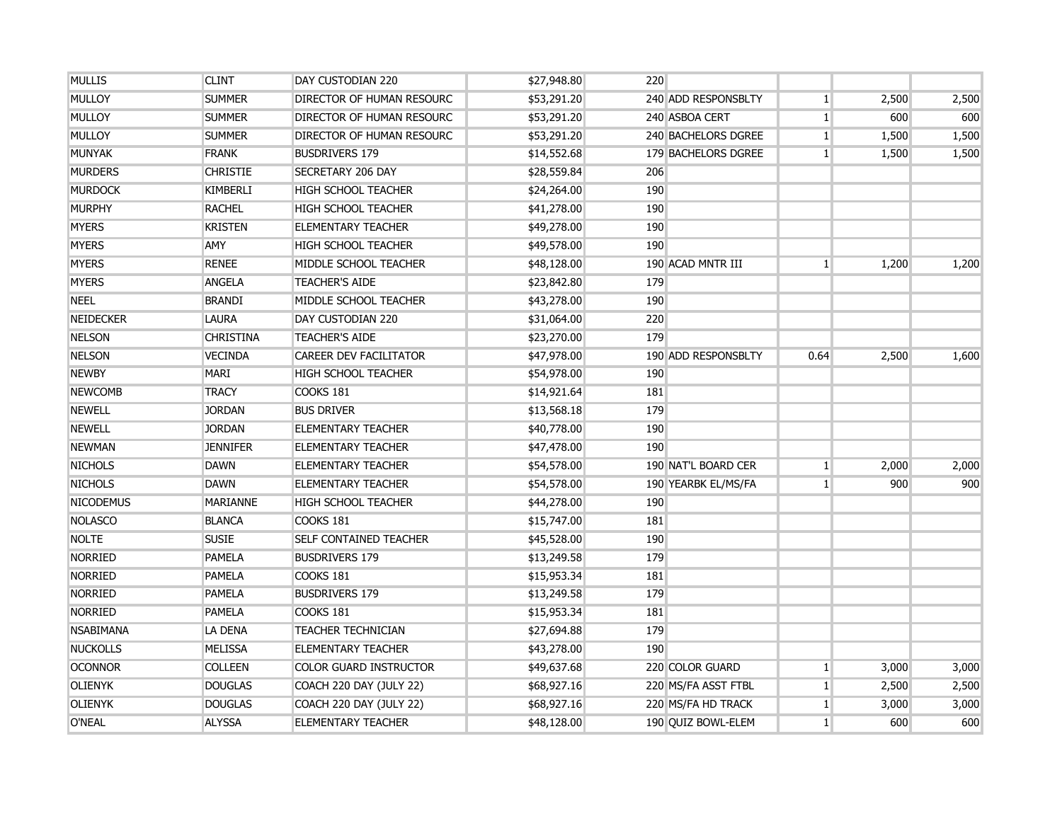| <b>MULLIS</b>    | <b>CLINT</b>     | DAY CUSTODIAN 220                | \$27,948.80 | 220                 |                |       |       |
|------------------|------------------|----------------------------------|-------------|---------------------|----------------|-------|-------|
| <b>MULLOY</b>    | <b>SUMMER</b>    | <b>DIRECTOR OF HUMAN RESOURC</b> | \$53,291.20 | 240 ADD RESPONSBLTY | $\mathbf{1}$   | 2,500 | 2,500 |
| <b>MULLOY</b>    | <b>SUMMER</b>    | <b>DIRECTOR OF HUMAN RESOURC</b> | \$53,291.20 | 240 ASBOA CERT      | $\mathbf{1}$   | 600   | 600   |
| MULLOY           | <b>SUMMER</b>    | DIRECTOR OF HUMAN RESOURC        | \$53,291.20 | 240 BACHELORS DGREE | $\mathbf{1}$   | 1,500 | 1,500 |
| <b>MUNYAK</b>    | <b>FRANK</b>     | <b>BUSDRIVERS 179</b>            | \$14,552.68 | 179 BACHELORS DGREE | $\mathbf{1}$   | 1,500 | 1,500 |
| <b>MURDERS</b>   | <b>CHRISTIE</b>  | <b>SECRETARY 206 DAY</b>         | \$28,559.84 | 206                 |                |       |       |
| <b>MURDOCK</b>   | <b>KIMBERLI</b>  | <b>HIGH SCHOOL TEACHER</b>       | \$24,264.00 | 190                 |                |       |       |
| <b>MURPHY</b>    | <b>RACHEL</b>    | <b>HIGH SCHOOL TEACHER</b>       | \$41,278.00 | 190                 |                |       |       |
| <b>MYERS</b>     | <b>KRISTEN</b>   | <b>ELEMENTARY TEACHER</b>        | \$49,278.00 | 190                 |                |       |       |
| <b>MYERS</b>     | AMY              | <b>HIGH SCHOOL TEACHER</b>       | \$49,578.00 | 190                 |                |       |       |
| <b>MYERS</b>     | <b>RENEE</b>     | MIDDLE SCHOOL TEACHER            | \$48,128.00 | 190 ACAD MNTR III   | 1 <sup>1</sup> | 1,200 | 1,200 |
| <b>MYERS</b>     | <b>ANGELA</b>    | <b>TEACHER'S AIDE</b>            | \$23,842.80 | 179                 |                |       |       |
| <b>NEEL</b>      | <b>BRANDI</b>    | MIDDLE SCHOOL TEACHER            | \$43,278.00 | 190                 |                |       |       |
| <b>NEIDECKER</b> | <b>LAURA</b>     | DAY CUSTODIAN 220                | \$31,064.00 | 220                 |                |       |       |
| <b>NELSON</b>    | <b>CHRISTINA</b> | <b>TEACHER'S AIDE</b>            | \$23,270.00 | 179                 |                |       |       |
| <b>NELSON</b>    | <b>VECINDA</b>   | <b>CAREER DEV FACILITATOR</b>    | \$47,978.00 | 190 ADD RESPONSBLTY | 0.64           | 2,500 | 1,600 |
| <b>NEWBY</b>     | <b>MARI</b>      | <b>HIGH SCHOOL TEACHER</b>       | \$54,978.00 | 190                 |                |       |       |
| <b>NEWCOMB</b>   | <b>TRACY</b>     | <b>COOKS 181</b>                 | \$14,921.64 | 181                 |                |       |       |
| <b>NEWELL</b>    | <b>JORDAN</b>    | <b>BUS DRIVER</b>                | \$13,568.18 | 179                 |                |       |       |
| <b>NEWELL</b>    | <b>JORDAN</b>    | <b>ELEMENTARY TEACHER</b>        | \$40,778.00 | 190                 |                |       |       |
| <b>NEWMAN</b>    | <b>JENNIFER</b>  | <b>ELEMENTARY TEACHER</b>        | \$47,478.00 | 190                 |                |       |       |
| <b>NICHOLS</b>   | <b>DAWN</b>      | <b>ELEMENTARY TEACHER</b>        | \$54,578.00 | 190 NAT'L BOARD CER | $\mathbf{1}$   | 2,000 | 2,000 |
| <b>NICHOLS</b>   | <b>DAWN</b>      | <b>ELEMENTARY TEACHER</b>        | \$54,578.00 | 190 YEARBK EL/MS/FA | 1 <sup>1</sup> | 900   | 900   |
| <b>NICODEMUS</b> | <b>MARIANNE</b>  | <b>HIGH SCHOOL TEACHER</b>       | \$44,278.00 | 190                 |                |       |       |
| <b>NOLASCO</b>   | <b>BLANCA</b>    | COOKS 181                        | \$15,747.00 | 181                 |                |       |       |
| <b>NOLTE</b>     | <b>SUSIE</b>     | <b>SELF CONTAINED TEACHER</b>    | \$45,528.00 | 190                 |                |       |       |
| <b>NORRIED</b>   | PAMELA           | <b>BUSDRIVERS 179</b>            | \$13,249.58 | 179                 |                |       |       |
| <b>NORRIED</b>   | PAMELA           | COOKS 181                        | \$15,953.34 | 181                 |                |       |       |
| <b>NORRIED</b>   | <b>PAMELA</b>    | <b>BUSDRIVERS 179</b>            | \$13,249.58 | 179                 |                |       |       |
| <b>NORRIED</b>   | <b>PAMELA</b>    | COOKS 181                        | \$15,953.34 | 181                 |                |       |       |
| <b>NSABIMANA</b> | LA DENA          | <b>TEACHER TECHNICIAN</b>        | \$27,694.88 | 179                 |                |       |       |
| <b>NUCKOLLS</b>  | <b>MELISSA</b>   | <b>ELEMENTARY TEACHER</b>        | \$43,278.00 | 190                 |                |       |       |
| <b>OCONNOR</b>   | <b>COLLEEN</b>   | <b>COLOR GUARD INSTRUCTOR</b>    | \$49,637.68 | 220 COLOR GUARD     | 1 <sup>1</sup> | 3,000 | 3,000 |
| <b>OLIENYK</b>   | <b>DOUGLAS</b>   | COACH 220 DAY (JULY 22)          | \$68,927.16 | 220 MS/FA ASST FTBL | $\mathbf{1}$   | 2,500 | 2,500 |
| <b>OLIENYK</b>   | <b>DOUGLAS</b>   | COACH 220 DAY (JULY 22)          | \$68,927.16 | 220 MS/FA HD TRACK  | $1\vert$       | 3,000 | 3,000 |
| O'NEAL           | <b>ALYSSA</b>    | <b>ELEMENTARY TEACHER</b>        | \$48,128.00 | 190 QUIZ BOWL-ELEM  | 1 <sup>1</sup> | 600   | 600   |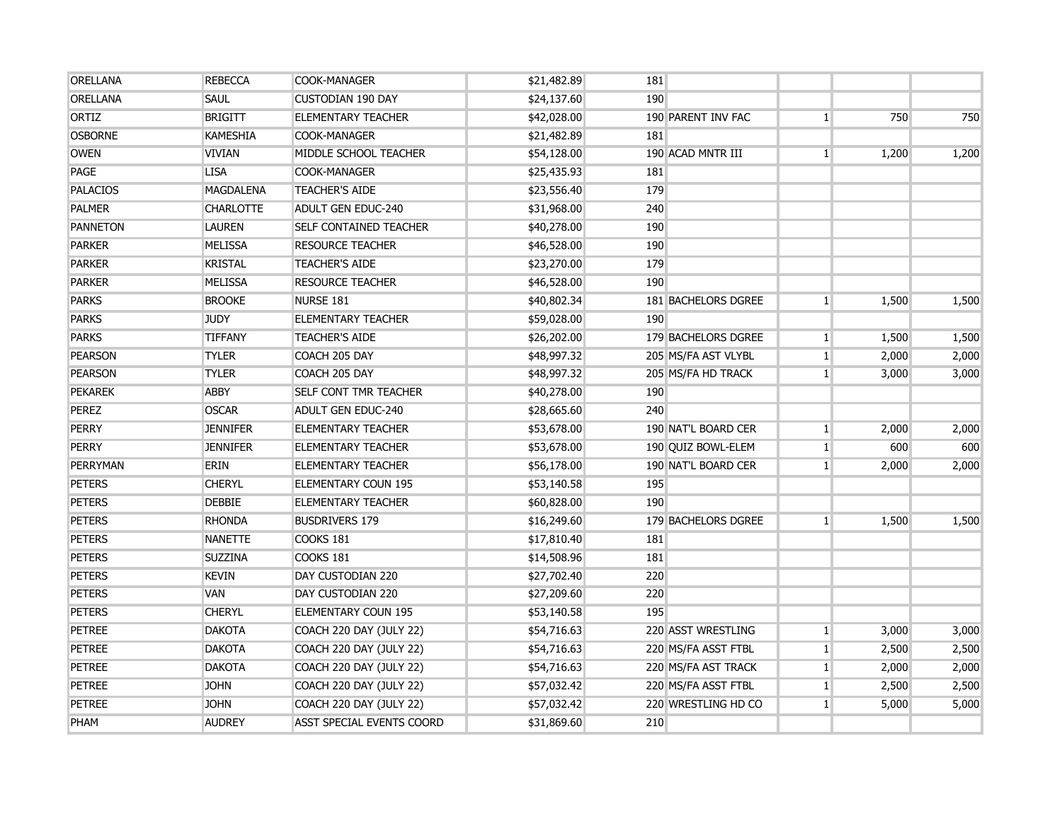| <b>ORELLANA</b> | <b>REBECCA</b>   | COOK-MANAGER                  | \$21,482.89 | 181        |                     |                |       |       |
|-----------------|------------------|-------------------------------|-------------|------------|---------------------|----------------|-------|-------|
| <b>ORELLANA</b> | <b>SAUL</b>      | <b>CUSTODIAN 190 DAY</b>      | \$24,137.60 | 190        |                     |                |       |       |
| ORTIZ           | <b>BRIGITT</b>   | <b>ELEMENTARY TEACHER</b>     | \$42,028.00 |            | 190 PARENT INV FAC  | $\mathbf{1}$   | 750   | 750   |
| <b>OSBORNE</b>  | <b>KAMESHIA</b>  | <b>COOK-MANAGER</b>           | \$21,482.89 | <b>181</b> |                     |                |       |       |
| <b>OWEN</b>     | <b>VIVIAN</b>    | MIDDLE SCHOOL TEACHER         | \$54,128.00 |            | 190 ACAD MNTR III   | $\mathbf{1}$   | 1,200 | 1,200 |
| PAGE            | <b>LISA</b>      | COOK-MANAGER                  | \$25,435.93 | 181        |                     |                |       |       |
| <b>PALACIOS</b> | <b>MAGDALENA</b> | <b>TEACHER'S AIDE</b>         | \$23,556.40 | 179        |                     |                |       |       |
| <b>PALMER</b>   | <b>CHARLOTTE</b> | <b>ADULT GEN EDUC-240</b>     | \$31,968.00 | 240        |                     |                |       |       |
| <b>PANNETON</b> | <b>LAUREN</b>    | <b>SELF CONTAINED TEACHER</b> | \$40,278.00 | 190        |                     |                |       |       |
| <b>PARKER</b>   | <b>MELISSA</b>   | <b>RESOURCE TEACHER</b>       | \$46,528.00 | 190        |                     |                |       |       |
| <b>PARKER</b>   | <b>KRISTAL</b>   | <b>TEACHER'S AIDE</b>         | \$23,270.00 | 179        |                     |                |       |       |
| <b>PARKER</b>   | <b>MELISSA</b>   | <b>RESOURCE TEACHER</b>       | \$46,528.00 | 190        |                     |                |       |       |
| <b>PARKS</b>    | <b>BROOKE</b>    | NURSE 181                     | \$40,802.34 |            | 181 BACHELORS DGREE | 1 <sup>1</sup> | 1,500 | 1,500 |
| <b>PARKS</b>    | <b>JUDY</b>      | <b>ELEMENTARY TEACHER</b>     | \$59,028.00 | 190        |                     |                |       |       |
| <b>PARKS</b>    | <b>TIFFANY</b>   | <b>TEACHER'S AIDE</b>         | \$26,202.00 |            | 179 BACHELORS DGREE | $\mathbf{1}$   | 1,500 | 1,500 |
| <b>PEARSON</b>  | <b>TYLER</b>     | COACH 205 DAY                 | \$48,997.32 |            | 205 MS/FA AST VLYBL | $\mathbf{1}$   | 2,000 | 2,000 |
| <b>PEARSON</b>  | <b>TYLER</b>     | COACH 205 DAY                 | \$48,997.32 |            | 205 MS/FA HD TRACK  | $\mathbf{1}$   | 3,000 | 3,000 |
| <b>PEKAREK</b>  | <b>ABBY</b>      | <b>SELF CONT TMR TEACHER</b>  | \$40,278.00 | 190        |                     |                |       |       |
| <b>PEREZ</b>    | <b>OSCAR</b>     | <b>ADULT GEN EDUC-240</b>     | \$28,665.60 | 240        |                     |                |       |       |
| <b>PERRY</b>    | <b>JENNIFER</b>  | <b>ELEMENTARY TEACHER</b>     | \$53,678.00 |            | 190 NAT'L BOARD CER | $1\vert$       | 2,000 | 2,000 |
| PERRY           | <b>JENNIFER</b>  | <b>ELEMENTARY TEACHER</b>     | \$53,678.00 |            | 190 QUIZ BOWL-ELEM  | 1 <sup>1</sup> | 600   | 600   |
| <b>PERRYMAN</b> | <b>ERIN</b>      | <b>ELEMENTARY TEACHER</b>     | \$56,178.00 |            | 190 NAT'L BOARD CER | 1 <sup>1</sup> | 2,000 | 2,000 |
| <b>PETERS</b>   | <b>CHERYL</b>    | <b>ELEMENTARY COUN 195</b>    | \$53,140.58 | 195        |                     |                |       |       |
| <b>PETERS</b>   | <b>DEBBIE</b>    | <b>ELEMENTARY TEACHER</b>     | \$60,828.00 | 190        |                     |                |       |       |
| <b>PETERS</b>   | <b>RHONDA</b>    | <b>BUSDRIVERS 179</b>         | \$16,249.60 |            | 179 BACHELORS DGREE | 1 <sup>1</sup> | 1,500 | 1,500 |
| <b>PETERS</b>   | <b>NANETTE</b>   | COOKS 181                     | \$17,810.40 | 181        |                     |                |       |       |
| <b>PETERS</b>   | <b>SUZZINA</b>   | COOKS 181                     | \$14,508.96 | <b>181</b> |                     |                |       |       |
| <b>PETERS</b>   | <b>KEVIN</b>     | DAY CUSTODIAN 220             | \$27,702.40 | 220        |                     |                |       |       |
| <b>PETERS</b>   | VAN              | DAY CUSTODIAN 220             | \$27,209.60 | 220        |                     |                |       |       |
| <b>PETERS</b>   | <b>CHERYL</b>    | ELEMENTARY COUN 195           | \$53,140.58 | 195        |                     |                |       |       |
| <b>PETREE</b>   | <b>DAKOTA</b>    | COACH 220 DAY (JULY 22)       | \$54,716.63 |            | 220 ASST WRESTLING  | 1 <sup>1</sup> | 3,000 | 3,000 |
| <b>PETREE</b>   | <b>DAKOTA</b>    | COACH 220 DAY (JULY 22)       | \$54,716.63 |            | 220 MS/FA ASST FTBL | $1\vert$       | 2,500 | 2,500 |
| <b>PETREE</b>   | <b>DAKOTA</b>    | COACH 220 DAY (JULY 22)       | \$54,716.63 |            | 220 MS/FA AST TRACK | 1 <sup>1</sup> | 2,000 | 2,000 |
| <b>PETREE</b>   | <b>JOHN</b>      | COACH 220 DAY (JULY 22)       | \$57,032.42 |            | 220 MS/FA ASST FTBL | 1 <sup>1</sup> | 2,500 | 2,500 |
| <b>PETREE</b>   | <b>JOHN</b>      | COACH 220 DAY (JULY 22)       | \$57,032.42 |            | 220 WRESTLING HD CO | 1 <sup>1</sup> | 5,000 | 5,000 |
| PHAM            | <b>AUDREY</b>    | ASST SPECIAL EVENTS COORD     | \$31,869.60 | 210        |                     |                |       |       |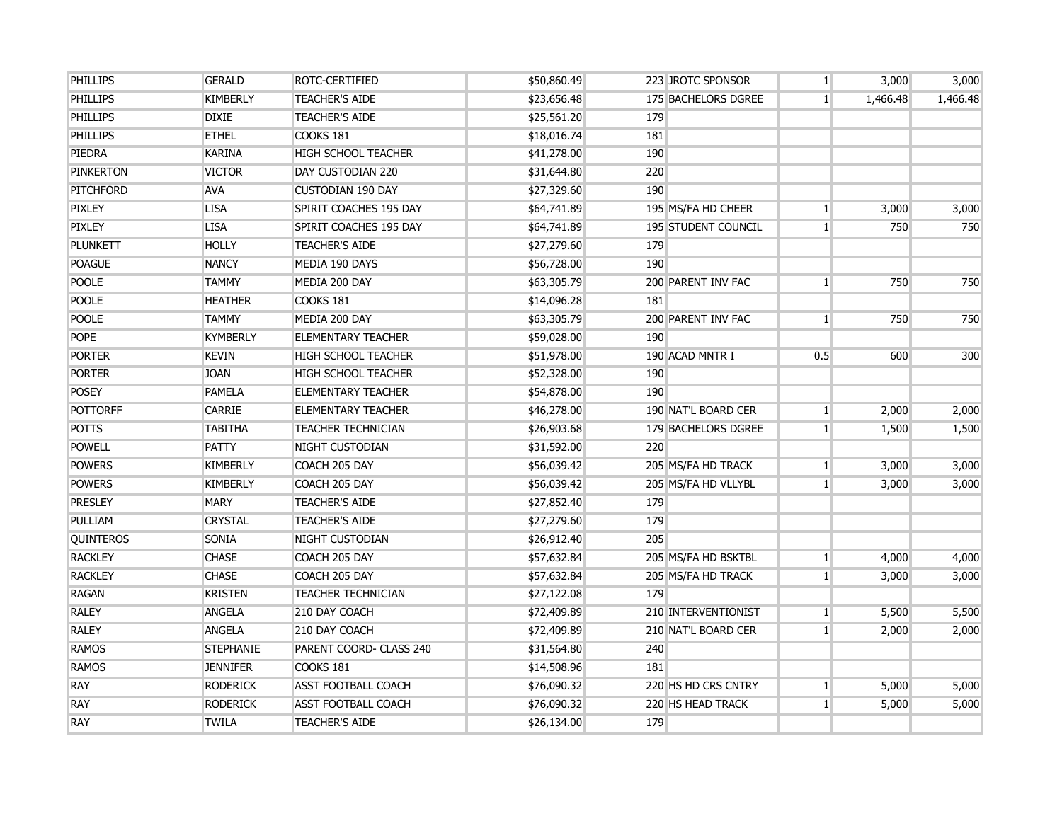| <b>PHILLIPS</b>  | <b>GERALD</b>    | <b>ROTC-CERTIFIED</b>      | \$50,860.49 |            | 223 JROTC SPONSOR          | 1 <sup>1</sup> | 3,000    | 3,000    |
|------------------|------------------|----------------------------|-------------|------------|----------------------------|----------------|----------|----------|
| <b>PHILLIPS</b>  | <b>KIMBERLY</b>  | <b>TEACHER'S AIDE</b>      | \$23,656.48 |            | 175 BACHELORS DGREE        | 1 <sup>1</sup> | 1,466.48 | 1,466.48 |
| <b>PHILLIPS</b>  | <b>DIXIE</b>     | <b>TEACHER'S AIDE</b>      | \$25,561.20 | 179        |                            |                |          |          |
| <b>PHILLIPS</b>  | <b>ETHEL</b>     | COOKS 181                  | \$18,016.74 | 181        |                            |                |          |          |
| PIEDRA           | <b>KARINA</b>    | <b>HIGH SCHOOL TEACHER</b> | \$41,278.00 | 190        |                            |                |          |          |
| <b>PINKERTON</b> | <b>VICTOR</b>    | DAY CUSTODIAN 220          | \$31,644.80 | 220        |                            |                |          |          |
| <b>PITCHFORD</b> | AVA              | <b>CUSTODIAN 190 DAY</b>   | \$27,329.60 | 190        |                            |                |          |          |
| PIXLEY           | <b>LISA</b>      | SPIRIT COACHES 195 DAY     | \$64,741.89 |            | 195 MS/FA HD CHEER         | 1 <sup>1</sup> | 3,000    | 3,000    |
| <b>PIXLEY</b>    | <b>LISA</b>      | SPIRIT COACHES 195 DAY     | \$64,741.89 |            | <b>195 STUDENT COUNCIL</b> | 1 <sup>1</sup> | 750      | 750      |
| <b>PLUNKETT</b>  | <b>HOLLY</b>     | <b>TEACHER'S AIDE</b>      | \$27,279.60 | 179        |                            |                |          |          |
| <b>POAGUE</b>    | <b>NANCY</b>     | MEDIA 190 DAYS             | \$56,728.00 | 190        |                            |                |          |          |
| <b>POOLE</b>     | <b>TAMMY</b>     | MEDIA 200 DAY              | \$63,305.79 |            | <b>200 PARENT INV FAC</b>  | 1 <sup>1</sup> | 750      | 750      |
| <b>POOLE</b>     | <b>HEATHER</b>   | COOKS 181                  | \$14,096.28 | <b>181</b> |                            |                |          |          |
| <b>POOLE</b>     | <b>TAMMY</b>     | MEDIA 200 DAY              | \$63,305.79 |            | 200 PARENT INV FAC         | $\mathbf{1}$   | 750      | 750      |
| <b>POPE</b>      | <b>KYMBERLY</b>  | <b>ELEMENTARY TEACHER</b>  | \$59,028.00 | 190        |                            |                |          |          |
| <b>PORTER</b>    | <b>KEVIN</b>     | <b>HIGH SCHOOL TEACHER</b> | \$51,978.00 |            | 190 ACAD MNTR I            | 0.5            | 600      | 300      |
| <b>PORTER</b>    | <b>JOAN</b>      | <b>HIGH SCHOOL TEACHER</b> | \$52,328.00 | 190        |                            |                |          |          |
| <b>POSEY</b>     | <b>PAMELA</b>    | <b>ELEMENTARY TEACHER</b>  | \$54,878.00 | 190        |                            |                |          |          |
| <b>POTTORFF</b>  | <b>CARRIE</b>    | <b>ELEMENTARY TEACHER</b>  | \$46,278.00 |            | 190 NAT'L BOARD CER        | $\mathbf{1}$   | 2,000    | 2,000    |
| <b>POTTS</b>     | <b>TABITHA</b>   | <b>TEACHER TECHNICIAN</b>  | \$26,903.68 |            | 179 BACHELORS DGREE        | 1 <sup>1</sup> | 1,500    | 1,500    |
| <b>POWELL</b>    | PATTY            | NIGHT CUSTODIAN            | \$31,592.00 | 220        |                            |                |          |          |
| <b>POWERS</b>    | <b>KIMBERLY</b>  | COACH 205 DAY              | \$56,039.42 |            | 205 MS/FA HD TRACK         | 1 <sup>1</sup> | 3,000    | 3,000    |
| <b>POWERS</b>    | <b>KIMBERLY</b>  | COACH 205 DAY              | \$56,039.42 |            | 205 MS/FA HD VLLYBL        | 1 <sup>1</sup> | 3,000    | 3,000    |
| <b>PRESLEY</b>   | <b>MARY</b>      | <b>TEACHER'S AIDE</b>      | \$27,852.40 | 179        |                            |                |          |          |
| PULLIAM          | <b>CRYSTAL</b>   | <b>TEACHER'S AIDE</b>      | \$27,279.60 | 179        |                            |                |          |          |
| <b>QUINTEROS</b> | SONIA            | NIGHT CUSTODIAN            | \$26,912.40 | 205        |                            |                |          |          |
| <b>RACKLEY</b>   | <b>CHASE</b>     | COACH 205 DAY              | \$57,632.84 |            | 205 MS/FA HD BSKTBL        | $\mathbf{1}$   | 4,000    | 4,000    |
| <b>RACKLEY</b>   | <b>CHASE</b>     | COACH 205 DAY              | \$57,632.84 |            | 205 MS/FA HD TRACK         | $\mathbf{1}$   | 3,000    | 3,000    |
| <b>RAGAN</b>     | <b>KRISTEN</b>   | <b>TEACHER TECHNICIAN</b>  | \$27,122.08 | 179        |                            |                |          |          |
| <b>RALEY</b>     | ANGELA           | 210 DAY COACH              | \$72,409.89 |            | 210 INTERVENTIONIST        | $\mathbf{1}$   | 5,500    | 5,500    |
| <b>RALEY</b>     | <b>ANGELA</b>    | 210 DAY COACH              | \$72,409.89 |            | 210 NAT'L BOARD CER        | 1 <sup>1</sup> | 2,000    | 2,000    |
| <b>RAMOS</b>     | <b>STEPHANIE</b> | PARENT COORD- CLASS 240    | \$31,564.80 | 240        |                            |                |          |          |
| <b>RAMOS</b>     | <b>JENNIFER</b>  | COOKS 181                  | \$14,508.96 | <b>181</b> |                            |                |          |          |
| <b>RAY</b>       | <b>RODERICK</b>  | <b>ASST FOOTBALL COACH</b> | \$76,090.32 |            | 220 HS HD CRS CNTRY        | 1 <sup>1</sup> | 5,000    | 5,000    |
| <b>RAY</b>       | <b>RODERICK</b>  | <b>ASST FOOTBALL COACH</b> | \$76,090.32 |            | 220 HS HEAD TRACK          | 1 <sup>1</sup> | 5,000    | 5,000    |
| <b>RAY</b>       | <b>TWILA</b>     | <b>TEACHER'S AIDE</b>      | \$26,134.00 | 179        |                            |                |          |          |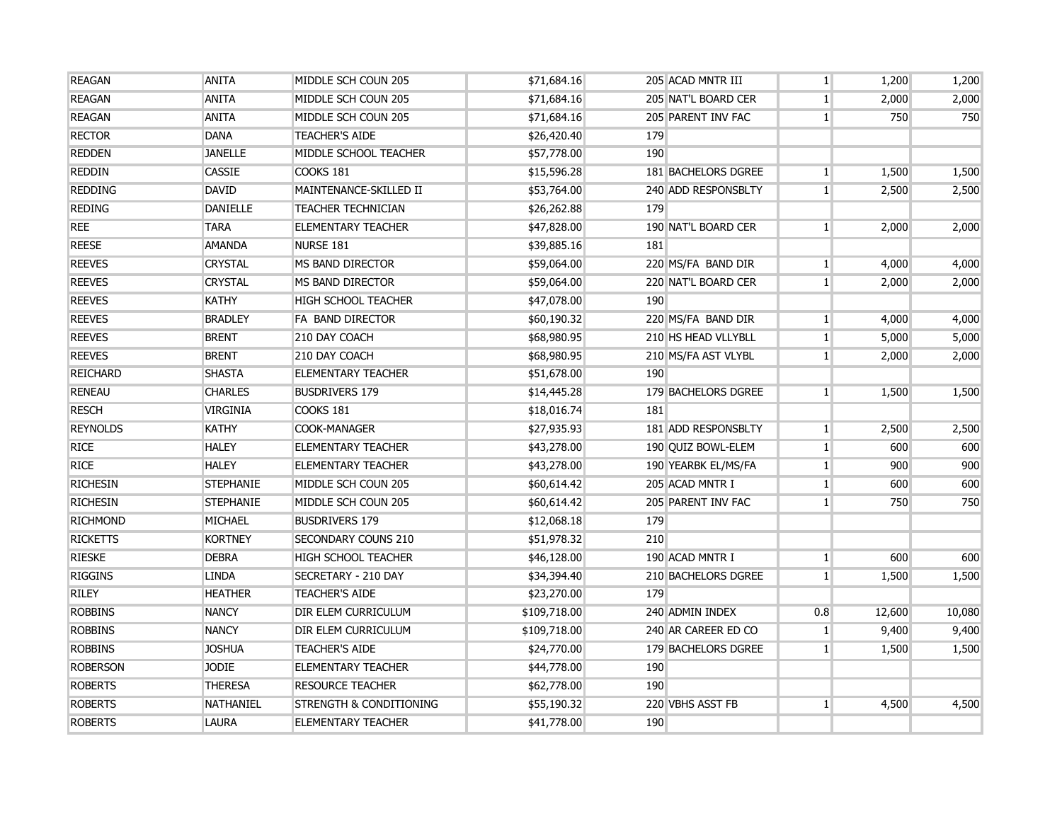| <b>REAGAN</b>   | <b>ANITA</b>     | MIDDLE SCH COUN 205                | \$71,684.16  |     | 205 ACAD MNTR III   | $\mathbf{1}$   | 1,200  | 1,200  |
|-----------------|------------------|------------------------------------|--------------|-----|---------------------|----------------|--------|--------|
| <b>REAGAN</b>   | <b>ANITA</b>     | MIDDLE SCH COUN 205                | \$71,684.16  |     | 205 NAT'L BOARD CER | $1\vert$       | 2,000  | 2,000  |
| <b>REAGAN</b>   | <b>ANITA</b>     | MIDDLE SCH COUN 205                | \$71,684.16  |     | 205 PARENT INV FAC  | $\mathbf{1}$   | 750    | 750    |
| <b>RECTOR</b>   | <b>DANA</b>      | <b>TEACHER'S AIDE</b>              | \$26,420.40  | 179 |                     |                |        |        |
| <b>REDDEN</b>   | <b>JANELLE</b>   | MIDDLE SCHOOL TEACHER              | \$57,778.00  | 190 |                     |                |        |        |
| <b>REDDIN</b>   | <b>CASSIE</b>    | COOKS 181                          | \$15,596.28  |     | 181 BACHELORS DGREE | $\mathbf{1}$   | 1,500  | 1,500  |
| <b>REDDING</b>  | <b>DAVID</b>     | MAINTENANCE-SKILLED II             | \$53,764.00  |     | 240 ADD RESPONSBLTY | 1 <sup>1</sup> | 2,500  | 2,500  |
| <b>REDING</b>   | <b>DANIELLE</b>  | <b>TEACHER TECHNICIAN</b>          | \$26,262.88  | 179 |                     |                |        |        |
| <b>REE</b>      | <b>TARA</b>      | <b>ELEMENTARY TEACHER</b>          | \$47,828.00  |     | 190 NAT'L BOARD CER | 1 <sup>1</sup> | 2,000  | 2,000  |
| <b>REESE</b>    | <b>AMANDA</b>    | NURSE 181                          | \$39,885.16  | 181 |                     |                |        |        |
| <b>REEVES</b>   | <b>CRYSTAL</b>   | MS BAND DIRECTOR                   | \$59,064.00  |     | 220 MS/FA BAND DIR  | 1 <sup>1</sup> | 4,000  | 4,000  |
| <b>REEVES</b>   | <b>CRYSTAL</b>   | MS BAND DIRECTOR                   | \$59,064.00  |     | 220 NAT'L BOARD CER | 1 <sup>1</sup> | 2,000  | 2,000  |
| <b>REEVES</b>   | <b>KATHY</b>     | <b>HIGH SCHOOL TEACHER</b>         | \$47,078.00  | 190 |                     |                |        |        |
| <b>REEVES</b>   | <b>BRADLEY</b>   | FA BAND DIRECTOR                   | \$60,190.32  |     | 220 MS/FA BAND DIR  | $\mathbf{1}$   | 4,000  | 4,000  |
| <b>REEVES</b>   | <b>BRENT</b>     | 210 DAY COACH                      | \$68,980.95  |     | 210 HS HEAD VLLYBLL | $\mathbf{1}$   | 5,000  | 5,000  |
| <b>REEVES</b>   | <b>BRENT</b>     | 210 DAY COACH                      | \$68,980.95  |     | 210 MS/FA AST VLYBL | $\mathbf{1}$   | 2,000  | 2,000  |
| <b>REICHARD</b> | <b>SHASTA</b>    | <b>ELEMENTARY TEACHER</b>          | \$51,678.00  | 190 |                     |                |        |        |
| <b>RENEAU</b>   | <b>CHARLES</b>   | <b>BUSDRIVERS 179</b>              | \$14,445.28  |     | 179 BACHELORS DGREE | 1 <sup>1</sup> | 1,500  | 1,500  |
| <b>RESCH</b>    | VIRGINIA         | COOKS 181                          | \$18,016.74  | 181 |                     |                |        |        |
| <b>REYNOLDS</b> | <b>KATHY</b>     | COOK-MANAGER                       | \$27,935.93  |     | 181 ADD RESPONSBLTY | $\mathbf{1}$   | 2,500  | 2,500  |
| <b>RICE</b>     | <b>HALEY</b>     | <b>ELEMENTARY TEACHER</b>          | \$43,278.00  |     | 190 OUIZ BOWL-ELEM  | 1 <sup>1</sup> | 600    | 600    |
| <b>RICE</b>     | <b>HALEY</b>     | <b>ELEMENTARY TEACHER</b>          | \$43,278.00  |     | 190 YEARBK EL/MS/FA | 1 <sup>1</sup> | 900    | 900    |
| <b>RICHESIN</b> | <b>STEPHANIE</b> | MIDDLE SCH COUN 205                | \$60,614.42  |     | 205 ACAD MNTR I     | 1 <sup>1</sup> | 600    | 600    |
| <b>RICHESIN</b> | <b>STEPHANIE</b> | MIDDLE SCH COUN 205                | \$60,614.42  |     | 205 PARENT INV FAC  | 1 <sup>1</sup> | 750    | 750    |
| <b>RICHMOND</b> | MICHAEL          | <b>BUSDRIVERS 179</b>              | \$12,068.18  | 179 |                     |                |        |        |
| <b>RICKETTS</b> | <b>KORTNEY</b>   | <b>SECONDARY COUNS 210</b>         | \$51,978.32  | 210 |                     |                |        |        |
| <b>RIESKE</b>   | <b>DEBRA</b>     | <b>HIGH SCHOOL TEACHER</b>         | \$46,128.00  |     | 190 ACAD MNTR I     | $1\vert$       | 600    | 600    |
| <b>RIGGINS</b>  | <b>LINDA</b>     | SECRETARY - 210 DAY                | \$34,394.40  |     | 210 BACHELORS DGREE | $\mathbf{1}$   | 1,500  | 1,500  |
| <b>RILEY</b>    | <b>HEATHER</b>   | <b>TEACHER'S AIDE</b>              | \$23,270.00  | 179 |                     |                |        |        |
| <b>ROBBINS</b>  | <b>NANCY</b>     | DIR ELEM CURRICULUM                | \$109,718.00 |     | 240 ADMIN INDEX     | 0.8            | 12,600 | 10,080 |
| <b>ROBBINS</b>  | <b>NANCY</b>     | DIR ELEM CURRICULUM                | \$109,718.00 |     | 240 AR CAREER ED CO | $\mathbf{1}$   | 9,400  | 9,400  |
| <b>ROBBINS</b>  | <b>JOSHUA</b>    | <b>TEACHER'S AIDE</b>              | \$24,770.00  |     | 179 BACHELORS DGREE | 1 <sup>1</sup> | 1,500  | 1,500  |
| <b>ROBERSON</b> | <b>JODIE</b>     | <b>ELEMENTARY TEACHER</b>          | \$44,778.00  | 190 |                     |                |        |        |
| <b>ROBERTS</b>  | <b>THERESA</b>   | <b>RESOURCE TEACHER</b>            | \$62,778.00  | 190 |                     |                |        |        |
| <b>ROBERTS</b>  | <b>NATHANIEL</b> | <b>STRENGTH &amp; CONDITIONING</b> | \$55,190.32  |     | 220 VBHS ASST FB    | 1 <sup>1</sup> | 4,500  | 4,500  |
| <b>ROBERTS</b>  | <b>LAURA</b>     | <b>ELEMENTARY TEACHER</b>          | \$41,778.00  | 190 |                     |                |        |        |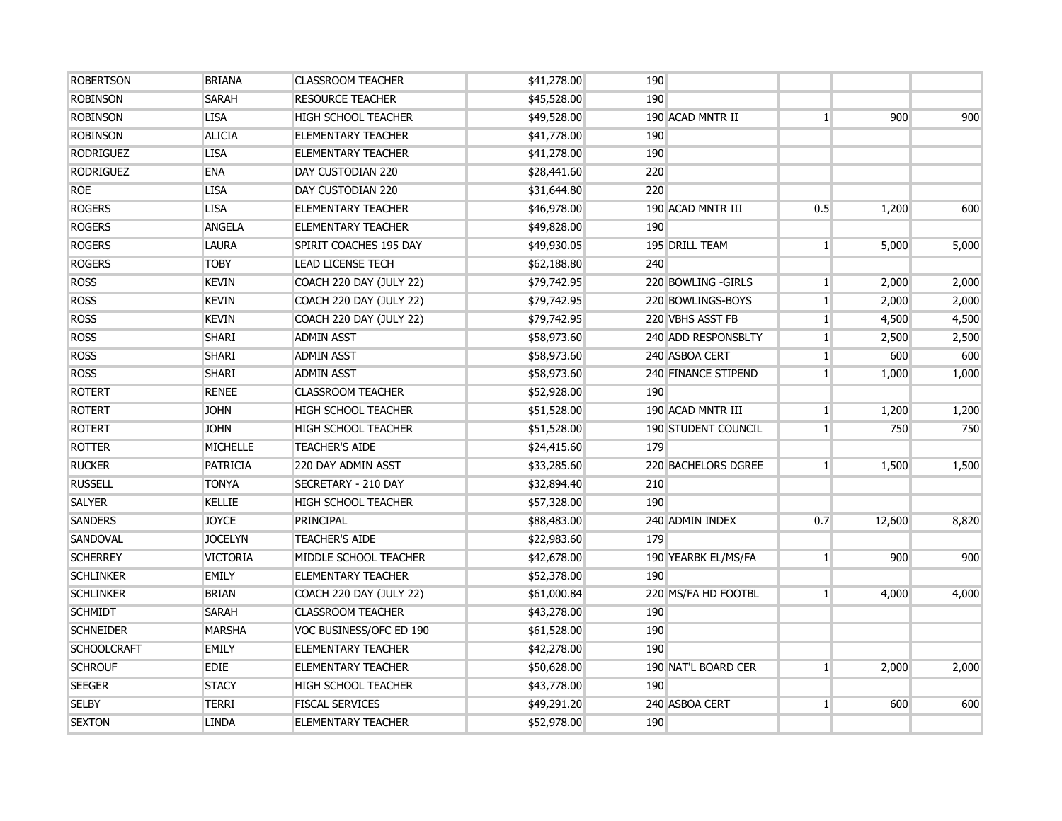| <b>ROBERTSON</b>   | <b>BRIANA</b>   | <b>CLASSROOM TEACHER</b>   | \$41,278.00 | 190 |                            |                |        |       |
|--------------------|-----------------|----------------------------|-------------|-----|----------------------------|----------------|--------|-------|
| <b>ROBINSON</b>    | <b>SARAH</b>    | <b>RESOURCE TEACHER</b>    | \$45,528.00 | 190 |                            |                |        |       |
| <b>ROBINSON</b>    | <b>LISA</b>     | <b>HIGH SCHOOL TEACHER</b> | \$49,528.00 |     | 190 ACAD MNTR II           | 1              | 900    | 900   |
| <b>ROBINSON</b>    | <b>ALICIA</b>   | <b>ELEMENTARY TEACHER</b>  | \$41,778.00 | 190 |                            |                |        |       |
| <b>RODRIGUEZ</b>   | <b>LISA</b>     | <b>ELEMENTARY TEACHER</b>  | \$41,278.00 | 190 |                            |                |        |       |
| <b>RODRIGUEZ</b>   | <b>ENA</b>      | DAY CUSTODIAN 220          | \$28,441.60 | 220 |                            |                |        |       |
| <b>ROE</b>         | <b>LISA</b>     | DAY CUSTODIAN 220          | \$31,644.80 | 220 |                            |                |        |       |
| <b>ROGERS</b>      | <b>LISA</b>     | <b>ELEMENTARY TEACHER</b>  | \$46,978.00 |     | 190 ACAD MNTR III          | 0.5            | 1,200  | 600   |
| <b>ROGERS</b>      | <b>ANGELA</b>   | <b>ELEMENTARY TEACHER</b>  | \$49,828.00 | 190 |                            |                |        |       |
| <b>ROGERS</b>      | <b>LAURA</b>    | SPIRIT COACHES 195 DAY     | \$49,930.05 |     | 195 DRILL TEAM             | 1 <sup>1</sup> | 5,000  | 5,000 |
| <b>ROGERS</b>      | <b>TOBY</b>     | <b>LEAD LICENSE TECH</b>   | \$62,188.80 | 240 |                            |                |        |       |
| <b>ROSS</b>        | <b>KEVIN</b>    | COACH 220 DAY (JULY 22)    | \$79,742.95 |     | 220 BOWLING - GIRLS        | $\mathbf{1}$   | 2,000  | 2,000 |
| <b>ROSS</b>        | <b>KEVIN</b>    | COACH 220 DAY (JULY 22)    | \$79,742.95 |     | 220 BOWLINGS-BOYS          | $\mathbf{1}$   | 2,000  | 2,000 |
| <b>ROSS</b>        | <b>KEVIN</b>    | COACH 220 DAY (JULY 22)    | \$79,742.95 |     | 220 VBHS ASST FB           | $\mathbf{1}$   | 4,500  | 4,500 |
| <b>ROSS</b>        | <b>SHARI</b>    | <b>ADMIN ASST</b>          | \$58,973.60 |     | 240 ADD RESPONSBLTY        | 1              | 2,500  | 2,500 |
| <b>ROSS</b>        | <b>SHARI</b>    | <b>ADMIN ASST</b>          | \$58,973.60 |     | 240 ASBOA CERT             | 1              | 600    | 600   |
| <b>ROSS</b>        | <b>SHARI</b>    | <b>ADMIN ASST</b>          | \$58,973.60 |     | 240 FINANCE STIPEND        | 1              | 1,000  | 1,000 |
| <b>ROTERT</b>      | <b>RENEE</b>    | <b>CLASSROOM TEACHER</b>   | \$52,928.00 | 190 |                            |                |        |       |
| <b>ROTERT</b>      | <b>JOHN</b>     | <b>HIGH SCHOOL TEACHER</b> | \$51,528.00 |     | 190 ACAD MNTR III          | $\mathbf{1}$   | 1,200  | 1,200 |
| <b>ROTERT</b>      | <b>JOHN</b>     | <b>HIGH SCHOOL TEACHER</b> | \$51,528.00 |     | <b>190 STUDENT COUNCIL</b> | $\mathbf{1}$   | 750    | 750   |
| <b>ROTTER</b>      | <b>MICHELLE</b> | <b>TEACHER'S AIDE</b>      | \$24,415.60 | 179 |                            |                |        |       |
| <b>RUCKER</b>      | <b>PATRICIA</b> | 220 DAY ADMIN ASST         | \$33,285.60 |     | 220 BACHELORS DGREE        | 1 <sup>1</sup> | 1,500  | 1,500 |
| <b>RUSSELL</b>     | <b>TONYA</b>    | SECRETARY - 210 DAY        | \$32,894.40 | 210 |                            |                |        |       |
| <b>SALYER</b>      | <b>KELLIE</b>   | <b>HIGH SCHOOL TEACHER</b> | \$57,328.00 | 190 |                            |                |        |       |
| <b>SANDERS</b>     | <b>JOYCE</b>    | PRINCIPAL                  | \$88,483.00 |     | 240 ADMIN INDEX            | 0.7            | 12,600 | 8,820 |
| SANDOVAL           | <b>JOCELYN</b>  | <b>TEACHER'S AIDE</b>      | \$22,983.60 | 179 |                            |                |        |       |
| <b>SCHERREY</b>    | <b>VICTORIA</b> | MIDDLE SCHOOL TEACHER      | \$42,678.00 |     | 190 YEARBK EL/MS/FA        | $\mathbf{1}$   | 900    | 900   |
| <b>SCHLINKER</b>   | <b>EMILY</b>    | <b>ELEMENTARY TEACHER</b>  | \$52,378.00 | 190 |                            |                |        |       |
| <b>SCHLINKER</b>   | <b>BRIAN</b>    | COACH 220 DAY (JULY 22)    | \$61,000.84 |     | 220 MS/FA HD FOOTBL        | 1              | 4,000  | 4,000 |
| <b>SCHMIDT</b>     | <b>SARAH</b>    | <b>CLASSROOM TEACHER</b>   | \$43,278.00 | 190 |                            |                |        |       |
| <b>SCHNEIDER</b>   | <b>MARSHA</b>   | VOC BUSINESS/OFC ED 190    | \$61,528.00 | 190 |                            |                |        |       |
| <b>SCHOOLCRAFT</b> | <b>EMILY</b>    | <b>ELEMENTARY TEACHER</b>  | \$42,278.00 | 190 |                            |                |        |       |
| <b>SCHROUF</b>     | <b>EDIE</b>     | <b>ELEMENTARY TEACHER</b>  | \$50,628.00 |     | 190 NAT'L BOARD CER        | $\mathbf{1}$   | 2,000  | 2,000 |
| <b>SEEGER</b>      | <b>STACY</b>    | <b>HIGH SCHOOL TEACHER</b> | \$43,778.00 | 190 |                            |                |        |       |
| <b>SELBY</b>       | <b>TERRI</b>    | <b>FISCAL SERVICES</b>     | \$49,291.20 |     | 240 ASBOA CERT             | $\mathbf{1}$   | 600    | 600   |
| <b>SEXTON</b>      | <b>LINDA</b>    | <b>ELEMENTARY TEACHER</b>  | \$52,978.00 | 190 |                            |                |        |       |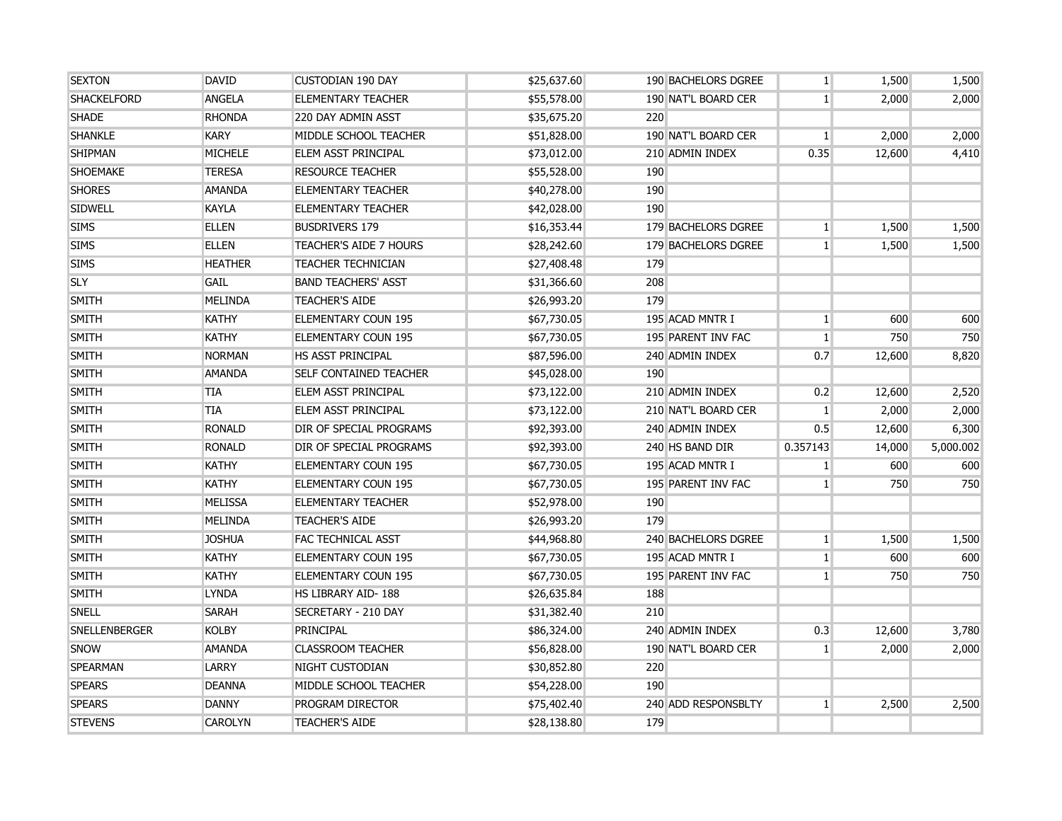| <b>SEXTON</b>        | DAVID          | <b>CUSTODIAN 190 DAY</b>       | \$25,637.60 | 190 BACHELORS DGREE | $\mathbf{1}$   | 1,500  | 1,500     |
|----------------------|----------------|--------------------------------|-------------|---------------------|----------------|--------|-----------|
| <b>SHACKELFORD</b>   | <b>ANGELA</b>  | <b>ELEMENTARY TEACHER</b>      | \$55,578.00 | 190 NAT'L BOARD CER | 1 <sup>1</sup> | 2,000  | 2,000     |
| <b>SHADE</b>         | <b>RHONDA</b>  | 220 DAY ADMIN ASST             | \$35,675.20 | 220                 |                |        |           |
| <b>SHANKLE</b>       | <b>KARY</b>    | MIDDLE SCHOOL TEACHER          | \$51,828.00 | 190 NAT'L BOARD CER | $\mathbf{1}$   | 2,000  | 2,000     |
| <b>SHIPMAN</b>       | <b>MICHELE</b> | <b>ELEM ASST PRINCIPAL</b>     | \$73,012.00 | 210 ADMIN INDEX     | 0.35           | 12,600 | 4,410     |
| <b>SHOEMAKE</b>      | <b>TERESA</b>  | <b>RESOURCE TEACHER</b>        | \$55,528.00 | 190                 |                |        |           |
| <b>SHORES</b>        | <b>AMANDA</b>  | <b>ELEMENTARY TEACHER</b>      | \$40,278.00 | 190                 |                |        |           |
| <b>SIDWELL</b>       | <b>KAYLA</b>   | <b>ELEMENTARY TEACHER</b>      | \$42,028.00 | 190                 |                |        |           |
| <b>SIMS</b>          | <b>ELLEN</b>   | <b>BUSDRIVERS 179</b>          | \$16,353.44 | 179 BACHELORS DGREE | 1 <sup>1</sup> | 1,500  | 1,500     |
| <b>SIMS</b>          | <b>ELLEN</b>   | <b>TEACHER'S AIDE 7 HOURS</b>  | \$28,242.60 | 179 BACHELORS DGREE | 1 <sup>1</sup> | 1,500  | 1,500     |
| <b>SIMS</b>          | <b>HEATHER</b> | <b>TEACHER TECHNICIAN</b>      | \$27,408.48 | 179                 |                |        |           |
| <b>SLY</b>           | <b>GAIL</b>    | <b>BAND TEACHERS' ASST</b>     | \$31,366.60 | 208                 |                |        |           |
| <b>SMITH</b>         | <b>MELINDA</b> | <b>TEACHER'S AIDE</b>          | \$26,993.20 | 179                 |                |        |           |
| <b>SMITH</b>         | <b>KATHY</b>   | <b>ELEMENTARY COUN 195</b>     | \$67,730.05 | 195 ACAD MNTR I     | 1 <sup>1</sup> | 600    | 600       |
| <b>SMITH</b>         | KATHY          | <b>ELEMENTARY COUN 195</b>     | \$67,730.05 | 195 PARENT INV FAC  | $\mathbf{1}$   | 750    | 750       |
| <b>SMITH</b>         | <b>NORMAN</b>  | <b>HS ASST PRINCIPAL</b>       | \$87,596.00 | 240 ADMIN INDEX     | 0.7            | 12,600 | 8,820     |
| <b>SMITH</b>         | <b>AMANDA</b>  | <b>SELF CONTAINED TEACHER</b>  | \$45,028.00 | 190                 |                |        |           |
| <b>SMITH</b>         | TIA            | ELEM ASST PRINCIPAL            | \$73,122.00 | 210 ADMIN INDEX     | 0.2            | 12,600 | 2,520     |
| <b>SMITH</b>         | TIA            | <b>ELEM ASST PRINCIPAL</b>     | \$73,122.00 | 210 NAT'L BOARD CER | $\mathbf{1}$   | 2,000  | 2,000     |
| <b>SMITH</b>         | <b>RONALD</b>  | <b>DIR OF SPECIAL PROGRAMS</b> | \$92,393.00 | 240 ADMIN INDEX     | 0.5            | 12,600 | 6,300     |
| <b>SMITH</b>         | <b>RONALD</b>  | <b>DIR OF SPECIAL PROGRAMS</b> | \$92,393.00 | 240 HS BAND DIR     | 0.357143       | 14,000 | 5,000.002 |
| <b>SMITH</b>         | <b>KATHY</b>   | <b>ELEMENTARY COUN 195</b>     | \$67,730.05 | 195 ACAD MNTR I     | 1 <sup>1</sup> | 600    | 600       |
| <b>SMITH</b>         | <b>KATHY</b>   | <b>ELEMENTARY COUN 195</b>     | \$67,730.05 | 195 PARENT INV FAC  | $\mathbf{1}$   | 750    | 750       |
| <b>SMITH</b>         | <b>MELISSA</b> | <b>ELEMENTARY TEACHER</b>      | \$52,978.00 | 190                 |                |        |           |
| <b>SMITH</b>         | MELINDA        | <b>TEACHER'S AIDE</b>          | \$26,993.20 | 179                 |                |        |           |
| SMITH                | <b>JOSHUA</b>  | <b>FAC TECHNICAL ASST</b>      | \$44,968.80 | 240 BACHELORS DGREE | $\mathbf{1}$   | 1,500  | 1,500     |
| <b>SMITH</b>         | <b>KATHY</b>   | <b>ELEMENTARY COUN 195</b>     | \$67,730.05 | 195 ACAD MNTR I     | $\mathbf{1}$   | 600    | 600       |
| <b>SMITH</b>         | <b>KATHY</b>   | <b>ELEMENTARY COUN 195</b>     | \$67,730.05 | 195 PARENT INV FAC  | 1 <sup>1</sup> | 750    | 750       |
| <b>SMITH</b>         | <b>LYNDA</b>   | HS LIBRARY AID-188             | \$26,635.84 | 188                 |                |        |           |
| <b>SNELL</b>         | SARAH          | SECRETARY - 210 DAY            | \$31,382.40 | 210                 |                |        |           |
| <b>SNELLENBERGER</b> | <b>KOLBY</b>   | <b>PRINCIPAL</b>               | \$86,324.00 | 240 ADMIN INDEX     | 0.3            | 12,600 | 3,780     |
| SNOW                 | <b>AMANDA</b>  | <b>CLASSROOM TEACHER</b>       | \$56,828.00 | 190 NAT'L BOARD CER | 1 <sup>1</sup> | 2,000  | 2,000     |
| <b>SPEARMAN</b>      | LARRY          | NIGHT CUSTODIAN                | \$30,852.80 | 220                 |                |        |           |
| <b>SPEARS</b>        | <b>DEANNA</b>  | MIDDLE SCHOOL TEACHER          | \$54,228.00 | 190                 |                |        |           |
| <b>SPEARS</b>        | <b>DANNY</b>   | <b>PROGRAM DIRECTOR</b>        | \$75,402.40 | 240 ADD RESPONSBLTY | $\mathbf{1}$   | 2,500  | 2,500     |
| <b>STEVENS</b>       | <b>CAROLYN</b> | <b>TEACHER'S AIDE</b>          | \$28,138.80 | 179                 |                |        |           |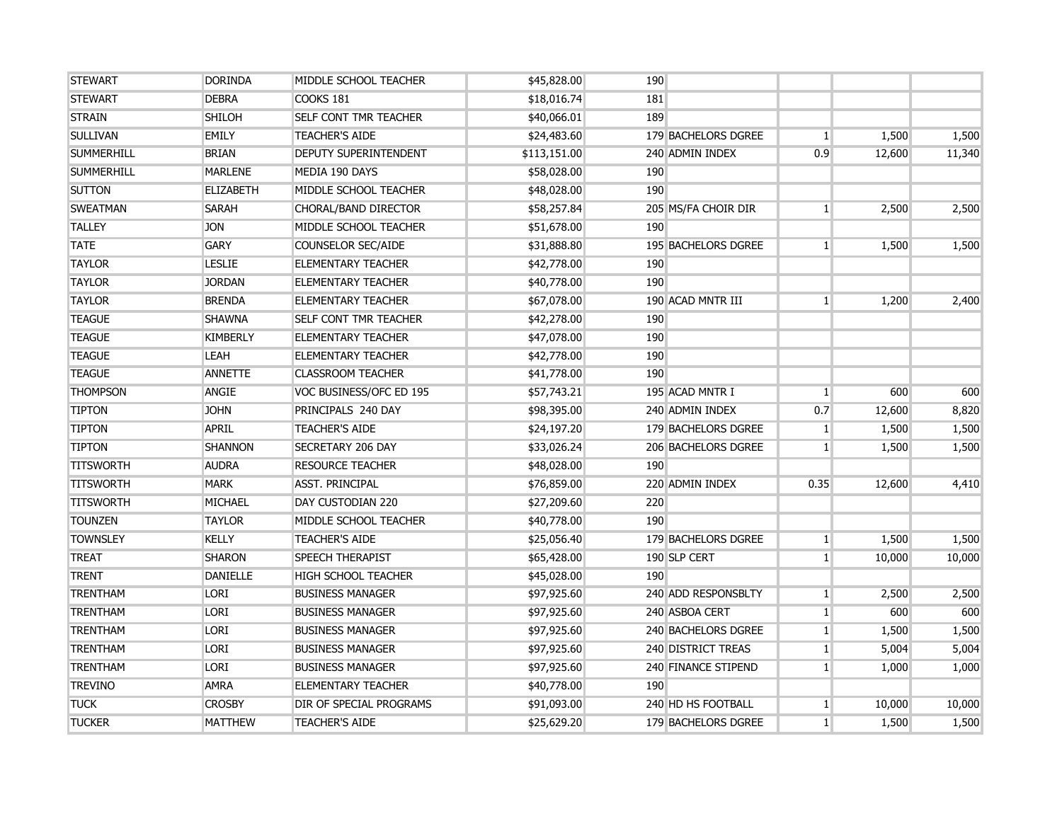| <b>STEWART</b>    | <b>DORINDA</b>   | MIDDLE SCHOOL TEACHER        | \$45,828.00  | 190                        |                |        |        |
|-------------------|------------------|------------------------------|--------------|----------------------------|----------------|--------|--------|
| <b>STEWART</b>    | <b>DEBRA</b>     | COOKS 181                    | \$18,016.74  | 181                        |                |        |        |
| <b>STRAIN</b>     | <b>SHILOH</b>    | <b>SELF CONT TMR TEACHER</b> | \$40,066.01  | 189                        |                |        |        |
| <b>SULLIVAN</b>   | <b>EMILY</b>     | <b>TEACHER'S AIDE</b>        | \$24,483.60  | 179 BACHELORS DGREE        | $\mathbf{1}$   | 1,500  | 1,500  |
| <b>SUMMERHILL</b> | <b>BRIAN</b>     | DEPUTY SUPERINTENDENT        | \$113,151.00 | 240 ADMIN INDEX            | 0.9            | 12,600 | 11,340 |
| <b>SUMMERHILL</b> | <b>MARLENE</b>   | MEDIA 190 DAYS               | \$58,028.00  | 190                        |                |        |        |
| <b>SUTTON</b>     | <b>ELIZABETH</b> | MIDDLE SCHOOL TEACHER        | \$48,028.00  | 190                        |                |        |        |
| <b>SWEATMAN</b>   | <b>SARAH</b>     | CHORAL/BAND DIRECTOR         | \$58,257.84  | 205 MS/FA CHOIR DIR        | 1 <sup>1</sup> | 2,500  | 2,500  |
| <b>TALLEY</b>     | <b>JON</b>       | MIDDLE SCHOOL TEACHER        | \$51,678.00  | 190                        |                |        |        |
| <b>TATE</b>       | <b>GARY</b>      | <b>COUNSELOR SEC/AIDE</b>    | \$31,888.80  | 195 BACHELORS DGREE        | 1 <sup>1</sup> | 1,500  | 1,500  |
| <b>TAYLOR</b>     | <b>LESLIE</b>    | <b>ELEMENTARY TEACHER</b>    | \$42,778.00  | 190                        |                |        |        |
| <b>TAYLOR</b>     | <b>JORDAN</b>    | <b>ELEMENTARY TEACHER</b>    | \$40,778.00  | 190                        |                |        |        |
| <b>TAYLOR</b>     | <b>BRENDA</b>    | <b>ELEMENTARY TEACHER</b>    | \$67,078.00  | 190 ACAD MNTR III          | 1 <sup>1</sup> | 1,200  | 2,400  |
| <b>TEAGUE</b>     | <b>SHAWNA</b>    | <b>SELF CONT TMR TEACHER</b> | \$42,278.00  | 190                        |                |        |        |
| <b>TEAGUE</b>     | <b>KIMBERLY</b>  | <b>ELEMENTARY TEACHER</b>    | \$47,078.00  | 190                        |                |        |        |
| <b>TEAGUE</b>     | LEAH             | <b>ELEMENTARY TEACHER</b>    | \$42,778.00  | 190                        |                |        |        |
| <b>TEAGUE</b>     | <b>ANNETTE</b>   | <b>CLASSROOM TEACHER</b>     | \$41,778.00  | 190                        |                |        |        |
| <b>THOMPSON</b>   | ANGIE            | VOC BUSINESS/OFC ED 195      | \$57,743.21  | 195 ACAD MNTR I            | $\vert$ 1      | 600    | 600    |
| <b>TIPTON</b>     | <b>JOHN</b>      | PRINCIPALS 240 DAY           | \$98,395.00  | 240 ADMIN INDEX            | 0.7            | 12,600 | 8,820  |
| <b>TIPTON</b>     | <b>APRIL</b>     | <b>TEACHER'S AIDE</b>        | \$24,197.20  | 179 BACHELORS DGREE        | $\mathbf{1}$   | 1,500  | 1,500  |
| <b>TIPTON</b>     | <b>SHANNON</b>   | <b>SECRETARY 206 DAY</b>     | \$33,026.24  | <b>206 BACHELORS DGREE</b> | 1 <sup>1</sup> | 1,500  | 1,500  |
| <b>TITSWORTH</b>  | <b>AUDRA</b>     | <b>RESOURCE TEACHER</b>      | \$48,028.00  | 190                        |                |        |        |
| <b>TITSWORTH</b>  | <b>MARK</b>      | <b>ASST. PRINCIPAL</b>       | \$76,859.00  | 220 ADMIN INDEX            | 0.35           | 12,600 | 4,410  |
| <b>TITSWORTH</b>  | <b>MICHAEL</b>   | DAY CUSTODIAN 220            | \$27,209.60  | 220                        |                |        |        |
| <b>TOUNZEN</b>    | <b>TAYLOR</b>    | MIDDLE SCHOOL TEACHER        | \$40,778.00  | 190                        |                |        |        |
| <b>TOWNSLEY</b>   | <b>KELLY</b>     | <b>TEACHER'S AIDE</b>        | \$25,056.40  | 179 BACHELORS DGREE        | $\mathbf{1}$   | 1,500  | 1,500  |
| <b>TREAT</b>      | <b>SHARON</b>    | <b>SPEECH THERAPIST</b>      | \$65,428.00  | 190 SLP CERT               | 1 <sup>1</sup> | 10,000 | 10,000 |
| <b>TRENT</b>      | <b>DANIELLE</b>  | <b>HIGH SCHOOL TEACHER</b>   | \$45,028.00  | 190                        |                |        |        |
| <b>TRENTHAM</b>   | <b>LORI</b>      | <b>BUSINESS MANAGER</b>      | \$97,925.60  | 240 ADD RESPONSBLTY        | $\mathbf{1}$   | 2,500  | 2,500  |
| <b>TRENTHAM</b>   | <b>LORI</b>      | <b>BUSINESS MANAGER</b>      | \$97,925.60  | 240 ASBOA CERT             | $\mathbf{1}$   | 600    | 600    |
| <b>TRENTHAM</b>   | <b>LORI</b>      | <b>BUSINESS MANAGER</b>      | \$97,925.60  | 240 BACHELORS DGREE        | $\mathbf{1}$   | 1,500  | 1,500  |
| <b>TRENTHAM</b>   | <b>LORI</b>      | <b>BUSINESS MANAGER</b>      | \$97,925.60  | 240 DISTRICT TREAS         | $\mathbf{1}$   | 5,004  | 5,004  |
| <b>TRENTHAM</b>   | <b>LORI</b>      | <b>BUSINESS MANAGER</b>      | \$97,925.60  | 240 FINANCE STIPEND        | $1\vert$       | 1,000  | 1,000  |
| <b>TREVINO</b>    | <b>AMRA</b>      | <b>ELEMENTARY TEACHER</b>    | \$40,778.00  | 190                        |                |        |        |
| <b>TUCK</b>       | <b>CROSBY</b>    | DIR OF SPECIAL PROGRAMS      | \$91,093.00  | 240 HD HS FOOTBALL         | $1\vert$       | 10,000 | 10,000 |
| <b>TUCKER</b>     | <b>MATTHEW</b>   | <b>TEACHER'S AIDE</b>        | \$25,629.20  | 179 BACHELORS DGREE        | $\mathbf{1}$   | 1,500  | 1,500  |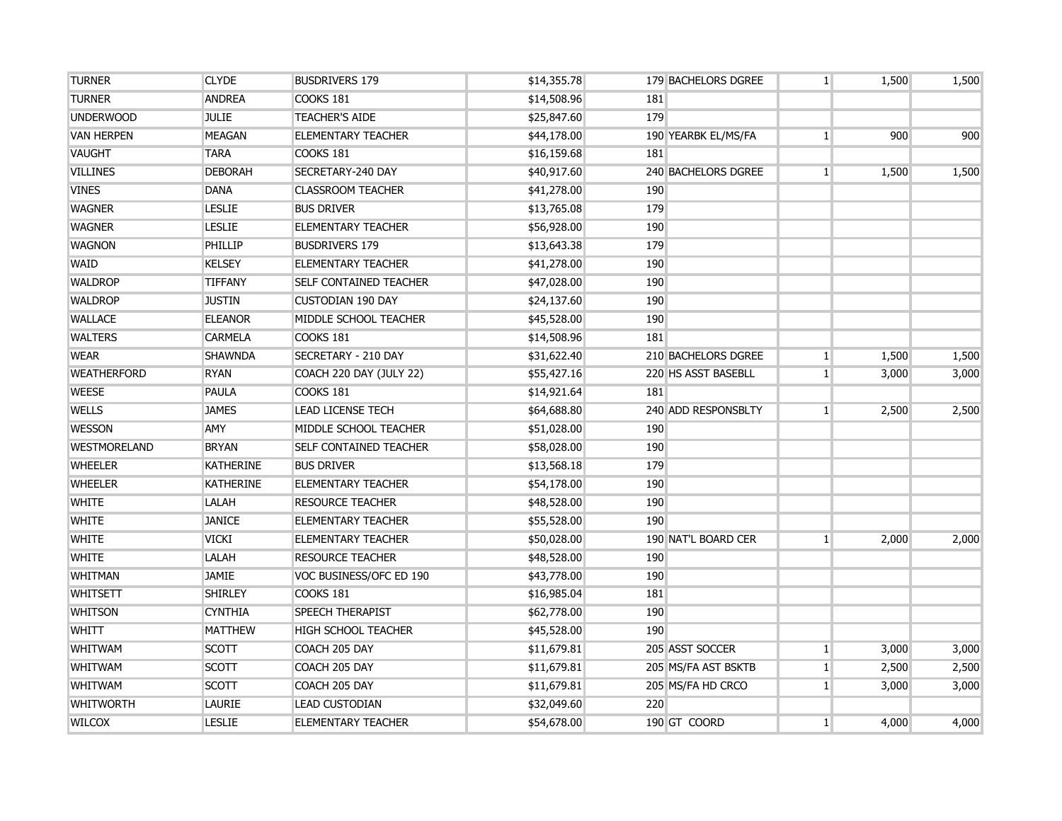| <b>TURNER</b>       | <b>CLYDE</b>     | <b>BUSDRIVERS 179</b>         | \$14,355.78 |     | 179 BACHELORS DGREE        | 1 <sup>1</sup> | 1,500 | 1,500 |
|---------------------|------------------|-------------------------------|-------------|-----|----------------------------|----------------|-------|-------|
| <b>TURNER</b>       | <b>ANDREA</b>    | <b>COOKS 181</b>              | \$14,508.96 | 181 |                            |                |       |       |
| <b>UNDERWOOD</b>    | <b>JULIE</b>     | <b>TEACHER'S AIDE</b>         | \$25,847.60 | 179 |                            |                |       |       |
| <b>VAN HERPEN</b>   | <b>MEAGAN</b>    | <b>ELEMENTARY TEACHER</b>     | \$44,178.00 |     | 190 YEARBK EL/MS/FA        | 1 <sup>1</sup> | 900   | 900   |
| <b>VAUGHT</b>       | <b>TARA</b>      | COOKS 181                     | \$16,159.68 | 181 |                            |                |       |       |
| <b>VILLINES</b>     | <b>DEBORAH</b>   | SECRETARY-240 DAY             | \$40,917.60 |     | <b>240 BACHELORS DGREE</b> | 1 <sup>1</sup> | 1,500 | 1,500 |
| <b>VINES</b>        | <b>DANA</b>      | <b>CLASSROOM TEACHER</b>      | \$41,278.00 | 190 |                            |                |       |       |
| <b>WAGNER</b>       | <b>LESLIE</b>    | <b>BUS DRIVER</b>             | \$13,765.08 | 179 |                            |                |       |       |
| <b>WAGNER</b>       | <b>LESLIE</b>    | <b>ELEMENTARY TEACHER</b>     | \$56,928.00 | 190 |                            |                |       |       |
| <b>WAGNON</b>       | PHILLIP          | <b>BUSDRIVERS 179</b>         | \$13,643.38 | 179 |                            |                |       |       |
| <b>WAID</b>         | <b>KELSEY</b>    | <b>ELEMENTARY TEACHER</b>     | \$41,278.00 | 190 |                            |                |       |       |
| <b>WALDROP</b>      | <b>TIFFANY</b>   | <b>SELF CONTAINED TEACHER</b> | \$47,028.00 | 190 |                            |                |       |       |
| <b>WALDROP</b>      | <b>JUSTIN</b>    | <b>CUSTODIAN 190 DAY</b>      | \$24,137.60 | 190 |                            |                |       |       |
| <b>WALLACE</b>      | <b>ELEANOR</b>   | MIDDLE SCHOOL TEACHER         | \$45,528.00 | 190 |                            |                |       |       |
| <b>WALTERS</b>      | <b>CARMELA</b>   | COOKS 181                     | \$14,508.96 | 181 |                            |                |       |       |
| <b>WEAR</b>         | <b>SHAWNDA</b>   | SECRETARY - 210 DAY           | \$31,622.40 |     | 210 BACHELORS DGREE        | 1 <sub>1</sub> | 1,500 | 1,500 |
| <b>WEATHERFORD</b>  | <b>RYAN</b>      | COACH 220 DAY (JULY 22)       | \$55,427.16 |     | 220 HS ASST BASEBLL        | 1 <sup>1</sup> | 3,000 | 3,000 |
| <b>WEESE</b>        | <b>PAULA</b>     | COOKS 181                     | \$14,921.64 | 181 |                            |                |       |       |
| <b>WELLS</b>        | <b>JAMES</b>     | <b>LEAD LICENSE TECH</b>      | \$64,688.80 |     | 240 ADD RESPONSBLTY        | 1 <sup>1</sup> | 2,500 | 2,500 |
| <b>WESSON</b>       | <b>AMY</b>       | MIDDLE SCHOOL TEACHER         | \$51,028.00 | 190 |                            |                |       |       |
| <b>WESTMORELAND</b> | <b>BRYAN</b>     | <b>SELF CONTAINED TEACHER</b> | \$58,028.00 | 190 |                            |                |       |       |
| <b>WHEELER</b>      | <b>KATHERINE</b> | <b>BUS DRIVER</b>             | \$13,568.18 | 179 |                            |                |       |       |
| <b>WHEELER</b>      | <b>KATHERINE</b> | <b>ELEMENTARY TEACHER</b>     | \$54,178.00 | 190 |                            |                |       |       |
| <b>WHITE</b>        | LALAH            | <b>RESOURCE TEACHER</b>       | \$48,528.00 | 190 |                            |                |       |       |
| <b>WHITE</b>        | <b>JANICE</b>    | <b>ELEMENTARY TEACHER</b>     | \$55,528.00 | 190 |                            |                |       |       |
| <b>WHITE</b>        | <b>VICKI</b>     | <b>ELEMENTARY TEACHER</b>     | \$50,028.00 |     | 190 NAT'L BOARD CER        | $\mathbf{1}$   | 2,000 | 2,000 |
| <b>WHITE</b>        | LALAH            | <b>RESOURCE TEACHER</b>       | \$48,528.00 | 190 |                            |                |       |       |
| <b>WHITMAN</b>      | <b>JAMIE</b>     | VOC BUSINESS/OFC ED 190       | \$43,778.00 | 190 |                            |                |       |       |
| <b>WHITSETT</b>     | <b>SHIRLEY</b>   | COOKS 181                     | \$16,985.04 | 181 |                            |                |       |       |
| <b>WHITSON</b>      | <b>CYNTHIA</b>   | <b>SPEECH THERAPIST</b>       | \$62,778.00 | 190 |                            |                |       |       |
| <b>WHITT</b>        | <b>MATTHEW</b>   | <b>HIGH SCHOOL TEACHER</b>    | \$45,528.00 | 190 |                            |                |       |       |
| <b>WHITWAM</b>      | <b>SCOTT</b>     | COACH 205 DAY                 | \$11,679.81 |     | 205 ASST SOCCER            | $1\vert$       | 3,000 | 3,000 |
| <b>WHITWAM</b>      | <b>SCOTT</b>     | COACH 205 DAY                 | \$11,679.81 |     | 205 MS/FA AST BSKTB        | $1\vert$       | 2,500 | 2,500 |
| <b>WHITWAM</b>      | <b>SCOTT</b>     | COACH 205 DAY                 | \$11,679.81 |     | 205 MS/FA HD CRCO          | $1\vert$       | 3,000 | 3,000 |
| <b>WHITWORTH</b>    | <b>LAURIE</b>    | <b>LEAD CUSTODIAN</b>         | \$32,049.60 | 220 |                            |                |       |       |
| <b>WILCOX</b>       | <b>LESLIE</b>    | <b>ELEMENTARY TEACHER</b>     | \$54,678.00 |     | 190 GT COORD               | 1 <sup>1</sup> | 4,000 | 4,000 |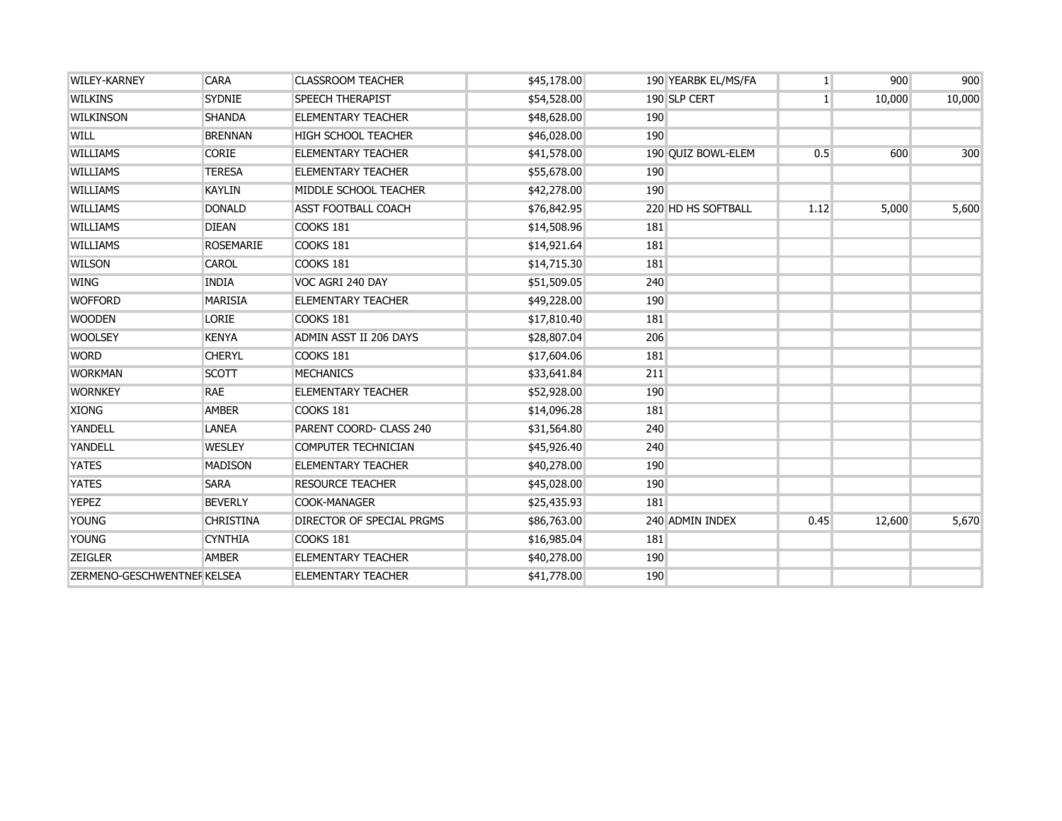| <b>WILEY-KARNEY</b>         | <b>CARA</b>      | <b>CLASSROOM TEACHER</b>         | \$45,178.00 |     | 190 YEARBK EL/MS/FA | 1 <sup>1</sup> | 900    | 900    |
|-----------------------------|------------------|----------------------------------|-------------|-----|---------------------|----------------|--------|--------|
| <b>WILKINS</b>              | <b>SYDNIE</b>    | <b>SPEECH THERAPIST</b>          | \$54,528.00 |     | 190 SLP CERT        | 1 <sup>1</sup> | 10,000 | 10,000 |
| <b>WILKINSON</b>            | <b>SHANDA</b>    | <b>ELEMENTARY TEACHER</b>        | \$48,628.00 | 190 |                     |                |        |        |
| <b>WILL</b>                 | <b>BRENNAN</b>   | <b>HIGH SCHOOL TEACHER</b>       | \$46,028.00 | 190 |                     |                |        |        |
| <b>WILLIAMS</b>             | <b>CORIE</b>     | <b>ELEMENTARY TEACHER</b>        | \$41,578.00 |     | 190 QUIZ BOWL-ELEM  | 0.5            | 600    | 300    |
| <b>WILLIAMS</b>             | <b>TERESA</b>    | <b>ELEMENTARY TEACHER</b>        | \$55,678.00 | 190 |                     |                |        |        |
| <b>WILLIAMS</b>             | <b>KAYLIN</b>    | MIDDLE SCHOOL TEACHER            | \$42,278.00 | 190 |                     |                |        |        |
| <b>WILLIAMS</b>             | <b>DONALD</b>    | <b>ASST FOOTBALL COACH</b>       | \$76,842.95 |     | 220 HD HS SOFTBALL  | 1.12           | 5,000  | 5,600  |
| <b>WILLIAMS</b>             | <b>DIEAN</b>     | COOKS 181                        | \$14,508.96 | 181 |                     |                |        |        |
| <b>WILLIAMS</b>             | <b>ROSEMARIE</b> | COOKS 181                        | \$14,921.64 | 181 |                     |                |        |        |
| <b>WILSON</b>               | CAROL            | COOKS 181                        | \$14,715.30 | 181 |                     |                |        |        |
| <b>WING</b>                 | <b>INDIA</b>     | VOC AGRI 240 DAY                 | \$51,509.05 | 240 |                     |                |        |        |
| <b>WOFFORD</b>              | <b>MARISIA</b>   | <b>ELEMENTARY TEACHER</b>        | \$49,228.00 | 190 |                     |                |        |        |
| <b>WOODEN</b>               | <b>LORIE</b>     | COOKS 181                        | \$17,810.40 | 181 |                     |                |        |        |
| <b>WOOLSEY</b>              | <b>KENYA</b>     | ADMIN ASST II 206 DAYS           | \$28,807.04 | 206 |                     |                |        |        |
| <b>WORD</b>                 | <b>CHERYL</b>    | <b>COOKS 181</b>                 | \$17,604.06 | 181 |                     |                |        |        |
| <b>WORKMAN</b>              | <b>SCOTT</b>     | <b>MECHANICS</b>                 | \$33,641.84 | 211 |                     |                |        |        |
| <b>WORNKEY</b>              | <b>RAE</b>       | <b>ELEMENTARY TEACHER</b>        | \$52,928.00 | 190 |                     |                |        |        |
| <b>XIONG</b>                | <b>AMBER</b>     | COOKS 181                        | \$14,096.28 | 181 |                     |                |        |        |
| YANDELL                     | <b>LANEA</b>     | PARENT COORD- CLASS 240          | \$31,564.80 | 240 |                     |                |        |        |
| YANDELL                     | <b>WESLEY</b>    | <b>COMPUTER TECHNICIAN</b>       | \$45,926.40 | 240 |                     |                |        |        |
| <b>YATES</b>                | <b>MADISON</b>   | <b>ELEMENTARY TEACHER</b>        | \$40,278.00 | 190 |                     |                |        |        |
| <b>YATES</b>                | <b>SARA</b>      | <b>RESOURCE TEACHER</b>          | \$45,028.00 | 190 |                     |                |        |        |
| <b>YEPEZ</b>                | <b>BEVERLY</b>   | <b>COOK-MANAGER</b>              | \$25,435.93 | 181 |                     |                |        |        |
| <b>YOUNG</b>                | <b>CHRISTINA</b> | <b>DIRECTOR OF SPECIAL PRGMS</b> | \$86,763.00 |     | 240 ADMIN INDEX     | 0.45           | 12,600 | 5,670  |
| <b>YOUNG</b>                | <b>CYNTHIA</b>   | COOKS 181                        | \$16,985.04 | 181 |                     |                |        |        |
| <b>ZEIGLER</b>              | <b>AMBER</b>     | <b>ELEMENTARY TEACHER</b>        | \$40,278.00 | 190 |                     |                |        |        |
| ZERMENO-GESCHWENTNEF KELSEA |                  | <b>ELEMENTARY TEACHER</b>        | \$41,778.00 | 190 |                     |                |        |        |